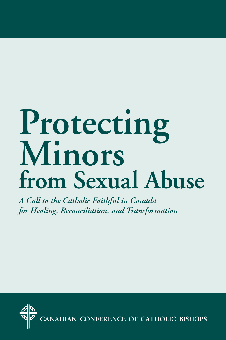# **Protecting Minors from Sexual Abuse**

*A Call to the Catholic Faithful in Canada for Healing, Reconciliation, and Transformation*

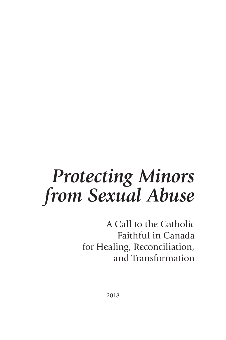# *Protecting Minors from Sexual Abuse*

A Call to the Catholic Faithful in Canada for Healing, Reconciliation, and Transformation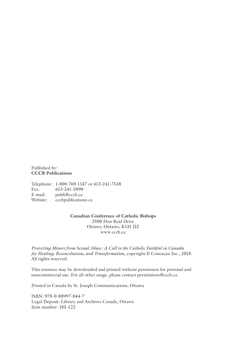Published by: **CCCB Publications**

Telephone: 1-800-769-1147 or 613-241-7538 Fax: 613-241-5090<br>E-mail: publi@cccb.ca publi@cccb.ca Website: cccbpublications.ca

> **Canadian Conference of Catholic Bishops** 2500 Don Reid Drive Ottawa, Ontario, K1H 2J2 www.cccb.ca

*Protecting Minors from Sexual Abuse: A Call to the Catholic Faithful in Canada for Healing, Reconciliation, and Transformation*, copyright © Concacan Inc., 2018. All rights reserved.

This resource may be downloaded and printed without permission for personal and noncommercial use. For all other usage, please contact permissions@cccb.ca.

Printed in Canada by St. Joseph Communications, Ottawa

ISBN: 978-0-88997-844-7 Legal Deposit: Library and Archives Canada, Ottawa Item number: 185-122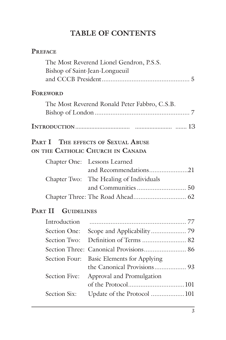# **TABLE OF CONTENTS**

| <b>PREFACE</b>               |                                               |
|------------------------------|-----------------------------------------------|
|                              | The Most Reverend Lionel Gendron, P.S.S.      |
|                              | Bishop of Saint-Jean-Longueuil                |
|                              |                                               |
| <b>FOREWORD</b>              |                                               |
|                              | The Most Reverend Ronald Peter Fabbro, C.S.B. |
|                              |                                               |
|                              |                                               |
|                              |                                               |
| PART I                       | THE EFFECTS OF SEXUAL ABUSE                   |
|                              | ON THE CATHOLIC CHURCH IN CANADA              |
|                              | Chapter One: Lessons Learned                  |
|                              | and Recommendations21                         |
|                              | Chapter Two: The Healing of Individuals       |
|                              |                                               |
|                              |                                               |
| PART II<br><b>GUIDELINES</b> |                                               |
| Introduction                 |                                               |
| Section One:                 |                                               |
| Section Two:                 |                                               |
|                              |                                               |
| Section Four:                | <b>Basic Elements for Applying</b>            |
|                              | the Canonical Provisions 93                   |
| <b>Section Five:</b>         | Approval and Promulgation                     |
|                              |                                               |
| Section Six:                 | Update of the Protocol  101                   |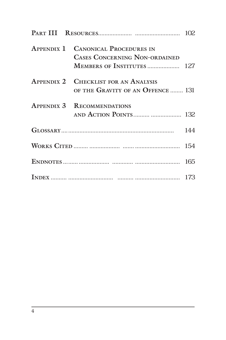|  | <b>APPENDIX 1 CANONICAL PROCEDURES IN</b><br><b>CASES CONCERNING NON-ORDAINED</b><br><b>MEMBERS OF INSTITUTES  127</b> |     |
|--|------------------------------------------------------------------------------------------------------------------------|-----|
|  | <b>APPENDIX 2 CHECKLIST FOR AN ANALYSIS</b><br>OF THE GRAVITY OF AN OFFENCE  131                                       |     |
|  | <b>APPENDIX 3 RECOMMENDATIONS</b><br>AND ACTION POINTS  132                                                            |     |
|  |                                                                                                                        | 144 |
|  |                                                                                                                        | 154 |
|  |                                                                                                                        |     |
|  |                                                                                                                        |     |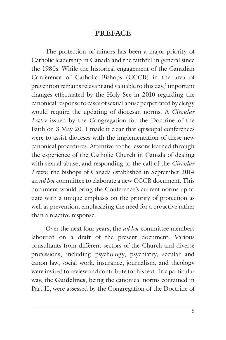#### **PREFACE**

The protection of minors has been a major priority of Catholic leadership in Canada and the faithful in general since the 1980s. While the historical engagement of the Canadian Conference of Catholic Bishops (CCCB) in the area of prevention remains relevant and valuable to this day, $1$  important changes effectuated by the Holy See in 2010 regarding the canonical response to cases of sexual abuse perpetrated by clergy would require the updating of diocesan norms. A *Circular Letter* issued by the Congregation for the Doctrine of the Faith on 3 May 2011 made it clear that episcopal conferences were to assist dioceses with the implementation of these new canonical procedures. Attentive to the lessons learned through the experience of the Catholic Church in Canada of dealing with sexual abuse, and responding to the call of the *Circular Letter*, the bishops of Canada established in September 2014 an *ad hoc* committee to elaborate a new CCCB document. This document would bring the Conference's current norms up to date with a unique emphasis on the priority of protection as well as prevention, emphasizing the need for a proactive rather than a reactive response.

Over the next four years, the *ad hoc* committee members laboured on a draft of the present document. Various consultants from different sectors of the Church and diverse professions, including psychology, psychiatry, secular and canon law, social work, insurance, journalism, and theology were invited to review and contribute to this text. In a particular way, the **Guidelines**, being the canonical norms contained in Part II, were assessed by the Congregation of the Doctrine of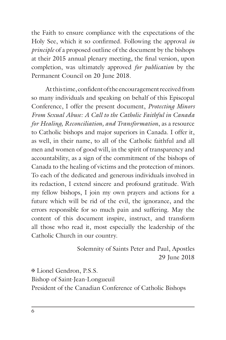the Faith to ensure compliance with the expectations of the Holy See, which it so confirmed. Following the approval *in principle* of a proposed outline of the document by the bishops at their 2015 annual plenary meeting, the final version, upon completion, was ultimately approved *for publication* by the Permanent Council on 20 June 2018.

At this time, confident of the encouragement received from so many individuals and speaking on behalf of this Episcopal Conference, I offer the present document, *Protecting Minors From Sexual Abuse: A Call to the Catholic Faithful in Canada for Healing, Reconciliation, and Transformation*, as a resource to Catholic bishops and major superiors in Canada. I offer it, as well, in their name, to all of the Catholic faithful and all men and women of good will, in the spirit of transparency and accountability, as a sign of the commitment of the bishops of Canada to the healing of victims and the protection of minors. To each of the dedicated and generous individuals involved in its redaction, I extend sincere and profound gratitude. With my fellow bishops, I join my own prayers and actions for a future which will be rid of the evil, the ignorance, and the errors responsible for so much pain and suffering. May the content of this document inspire, instruct, and transform all those who read it, most especially the leadership of the Catholic Church in our country.

> Solemnity of Saints Peter and Paul, Apostles 29 June 2018

✠ Lionel Gendron, P.S.S. Bishop of Saint-Jean-Longueuil President of the Canadian Conference of Catholic Bishops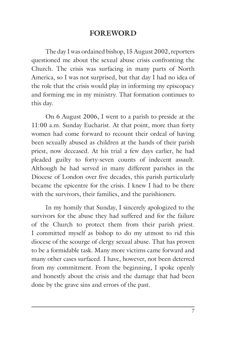#### **FOREWORD**

The day I was ordained bishop, 15 August 2002, reporters questioned me about the sexual abuse crisis confronting the Church. The crisis was surfacing in many parts of North America, so I was not surprised, but that day I had no idea of the role that the crisis would play in informing my episcopacy and forming me in my ministry. That formation continues to this day.

On 6 August 2006, I went to a parish to preside at the 11:00 a.m. Sunday Eucharist. At that point, more than forty women had come forward to recount their ordeal of having been sexually abused as children at the hands of their parish priest, now deceased. At his trial a few days earlier, he had pleaded guilty to forty-seven counts of indecent assault. Although he had served in many different parishes in the Diocese of London over five decades, this parish particularly became the epicentre for the crisis. I knew I had to be there with the survivors, their families, and the parishioners.

In my homily that Sunday, I sincerely apologized to the survivors for the abuse they had suffered and for the failure of the Church to protect them from their parish priest. I committed myself as bishop to do my utmost to rid this diocese of the scourge of clergy sexual abuse. That has proven to be a formidable task. Many more victims came forward and many other cases surfaced. I have, however, not been deterred from my commitment. From the beginning, I spoke openly and honestly about the crisis and the damage that had been done by the grave sins and errors of the past.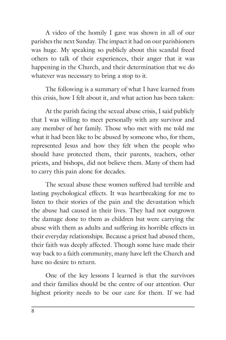A video of the homily I gave was shown in all of our parishes the next Sunday. The impact it had on our parishioners was huge. My speaking so publicly about this scandal freed others to talk of their experiences, their anger that it was happening in the Church, and their determination that we do whatever was necessary to bring a stop to it.

The following is a summary of what I have learned from this crisis, how I felt about it, and what action has been taken:

At the parish facing the sexual abuse crisis, I said publicly that I was willing to meet personally with any survivor and any member of her family. Those who met with me told me what it had been like to be abused by someone who, for them, represented Jesus and how they felt when the people who should have protected them, their parents, teachers, other priests, and bishops, did not believe them. Many of them had to carry this pain alone for decades.

The sexual abuse these women suffered had terrible and lasting psychological effects. It was heartbreaking for me to listen to their stories of the pain and the devastation which the abuse had caused in their lives. They had not outgrown the damage done to them as children but were carrying the abuse with them as adults and suffering its horrible effects in their everyday relationships. Because a priest had abused them, their faith was deeply affected. Though some have made their way back to a faith community, many have left the Church and have no desire to return.

One of the key lessons I learned is that the survivors and their families should be the centre of our attention. Our highest priority needs to be our care for them. If we had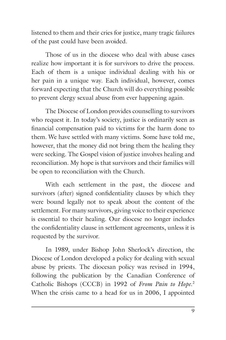listened to them and their cries for justice, many tragic failures of the past could have been avoided.

Those of us in the diocese who deal with abuse cases realize how important it is for survivors to drive the process. Each of them is a unique individual dealing with his or her pain in a unique way. Each individual, however, comes forward expecting that the Church will do everything possible to prevent clergy sexual abuse from ever happening again.

The Diocese of London provides counselling to survivors who request it. In today's society, justice is ordinarily seen as financial compensation paid to victims for the harm done to them. We have settled with many victims. Some have told me, however, that the money did not bring them the healing they were seeking. The Gospel vision of justice involves healing and reconciliation. My hope is that survivors and their families will be open to reconciliation with the Church.

With each settlement in the past, the diocese and survivors (after) signed confidentiality clauses by which they were bound legally not to speak about the content of the settlement. For many survivors, giving voice to their experience is essential to their healing. Our diocese no longer includes the confidentiality clause in settlement agreements, unless it is requested by the survivor.

In 1989, under Bishop John Sherlock's direction, the Diocese of London developed a policy for dealing with sexual abuse by priests. The diocesan policy was revised in 1994, following the publication by the Canadian Conference of Catholic Bishops (CCCB) in 1992 of *From Pain to Hope*. 2 When the crisis came to a head for us in 2006, I appointed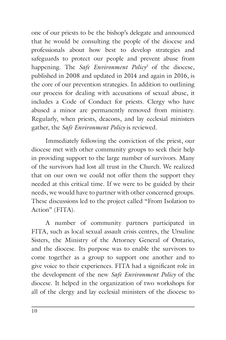one of our priests to be the bishop's delegate and announced that he would be consulting the people of the diocese and professionals about how best to develop strategies and safeguards to protect our people and prevent abuse from happening. The *Safe Environment Policy3* of the diocese, published in 2008 and updated in 2014 and again in 2016, is the core of our prevention strategies. In addition to outlining our process for dealing with accusations of sexual abuse, it includes a Code of Conduct for priests. Clergy who have abused a minor are permanently removed from ministry. Regularly, when priests, deacons, and lay ecclesial ministers gather, the *Safe Environment Policy* is reviewed.

Immediately following the conviction of the priest, our diocese met with other community groups to seek their help in providing support to the large number of survivors. Many of the survivors had lost all trust in the Church. We realized that on our own we could not offer them the support they needed at this critical time. If we were to be guided by their needs, we would have to partner with other concerned groups. These discussions led to the project called "From Isolation to Action" (FITA).

A number of community partners participated in FITA, such as local sexual assault crisis centres, the Ursuline Sisters, the Ministry of the Attorney General of Ontario, and the diocese. Its purpose was to enable the survivors to come together as a group to support one another and to give voice to their experiences. FITA had a significant role in the development of the new *Safe Environment Policy* of the diocese. It helped in the organization of two workshops for all of the clergy and lay ecclesial ministers of the diocese to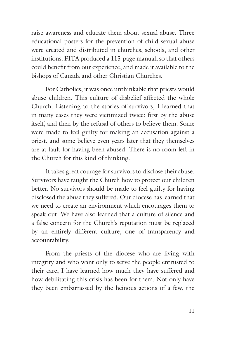raise awareness and educate them about sexual abuse. Three educational posters for the prevention of child sexual abuse were created and distributed in churches, schools, and other institutions. FITA produced a 115-page manual, so that others could benefit from our experience, and made it available to the bishops of Canada and other Christian Churches.

For Catholics, it was once unthinkable that priests would abuse children. This culture of disbelief affected the whole Church. Listening to the stories of survivors, I learned that in many cases they were victimized twice: first by the abuse itself, and then by the refusal of others to believe them. Some were made to feel guilty for making an accusation against a priest, and some believe even years later that they themselves are at fault for having been abused. There is no room left in the Church for this kind of thinking.

It takes great courage for survivors to disclose their abuse. Survivors have taught the Church how to protect our children better. No survivors should be made to feel guilty for having disclosed the abuse they suffered. Our diocese has learned that we need to create an environment which encourages them to speak out. We have also learned that a culture of silence and a false concern for the Church's reputation must be replaced by an entirely different culture, one of transparency and accountability.

From the priests of the diocese who are living with integrity and who want only to serve the people entrusted to their care, I have learned how much they have suffered and how debilitating this crisis has been for them. Not only have they been embarrassed by the heinous actions of a few, the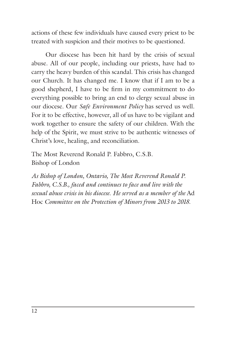actions of these few individuals have caused every priest to be treated with suspicion and their motives to be questioned.

Our diocese has been hit hard by the crisis of sexual abuse. All of our people, including our priests, have had to carry the heavy burden of this scandal. This crisis has changed our Church. It has changed me. I know that if I am to be a good shepherd, I have to be firm in my commitment to do everything possible to bring an end to clergy sexual abuse in our diocese. Our *Safe Environment Policy* has served us well. For it to be effective, however, all of us have to be vigilant and work together to ensure the safety of our children. With the help of the Spirit, we must strive to be authentic witnesses of Christ's love, healing, and reconciliation.

The Most Reverend Ronald P. Fabbro, C.S.B. Bishop of London

*As Bishop of London, Ontario, The Most Reverend Ronald P. Fabbro, C.S.B., faced and continues to face and live with the sexual abuse crisis in his diocese*. *He served as a member of the* Ad Hoc *Committee on the Protection of Minors from 2013 to 2018.*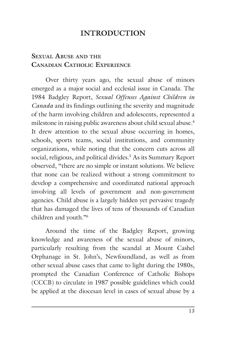# **INTRODUCTION**

#### **SEXUAL ABUSE AND THE CANADIAN CATHOLIC EXPERIENCE**

Over thirty years ago, the sexual abuse of minors emerged as a major social and ecclesial issue in Canada. The 1984 Badgley Report, *Sexual Offenses Against Children in Canada* and its findings outlining the severity and magnitude of the harm involving children and adolescents, represented a milestone in raising public awareness about child sexual abuse.<sup>4</sup> It drew attention to the sexual abuse occurring in homes, schools, sports teams, social institutions, and community organizations, while noting that the concern cuts across all social, religious, and political divides.<sup>5</sup> As its Summary Report observed, "there are no simple or instant solutions. We believe that none can be realized without a strong commitment to develop a comprehensive and coordinated national approach involving all levels of government and non-government agencies. Child abuse is a largely hidden yet pervasive tragedy that has damaged the lives of tens of thousands of Canadian children and youth."6

Around the time of the Badgley Report, growing knowledge and awareness of the sexual abuse of minors, particularly resulting from the scandal at Mount Cashel Orphanage in St. John's, Newfoundland, as well as from other sexual abuse cases that came to light during the 1980s, prompted the Canadian Conference of Catholic Bishops (CCCB) to circulate in 1987 possible guidelines which could be applied at the diocesan level in cases of sexual abuse by a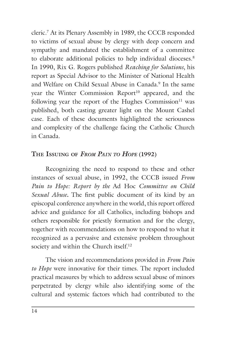cleric.7 At its Plenary Assembly in 1989, the CCCB responded to victims of sexual abuse by clergy with deep concern and sympathy and mandated the establishment of a committee to elaborate additional policies to help individual dioceses.<sup>8</sup> In 1990, Rix G. Rogers published *Reaching for Solutions*, his report as Special Advisor to the Minister of National Health and Welfare on Child Sexual Abuse in Canada.<sup>9</sup> In the same year the Winter Commission Report<sup>10</sup> appeared, and the following year the report of the Hughes Commission $11$  was published, both casting greater light on the Mount Cashel case. Each of these documents highlighted the seriousness and complexity of the challenge facing the Catholic Church in Canada.

#### **THE ISSUING OF** *FROM PAIN TO HOPE* **(1992)**

Recognizing the need to respond to these and other instances of sexual abuse, in 1992, the CCCB issued *From Pain to Hope: Report by the* Ad Hoc *Committee on Child Sexual Abuse.* The first public document of its kind by an episcopal conference anywhere in the world, this report offered advice and guidance for all Catholics, including bishops and others responsible for priestly formation and for the clergy, together with recommendations on how to respond to what it recognized as a pervasive and extensive problem throughout society and within the Church itself.<sup>12</sup>

The vision and recommendations provided in *From Pain to Hope* were innovative for their times. The report included practical measures by which to address sexual abuse of minors perpetrated by clergy while also identifying some of the cultural and systemic factors which had contributed to the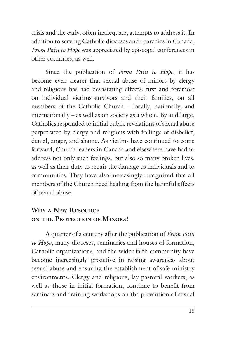crisis and the early, often inadequate, attempts to address it. In addition to serving Catholic dioceses and eparchies in Canada, *From Pain to Hope* was appreciated by episcopal conferences in other countries, as well.

Since the publication of *From Pain to Hope*, it has become even clearer that sexual abuse of minors by clergy and religious has had devastating effects, first and foremost on individual victims-survivors and their families, on all members of the Catholic Church – locally, nationally, and internationally – as well as on society as a whole. By and large, Catholics responded to initial public revelations of sexual abuse perpetrated by clergy and religious with feelings of disbelief, denial, anger, and shame. As victims have continued to come forward, Church leaders in Canada and elsewhere have had to address not only such feelings, but also so many broken lives, as well as their duty to repair the damage to individuals and to communities. They have also increasingly recognized that all members of the Church need healing from the harmful effects of sexual abuse.

#### **WHY A NEW RESOURCE ON THE PROTECTION OF MINORS?**

A quarter of a century after the publication of *From Pain to Hope*, many dioceses, seminaries and houses of formation, Catholic organizations, and the wider faith community have become increasingly proactive in raising awareness about sexual abuse and ensuring the establishment of safe ministry environments. Clergy and religious, lay pastoral workers, as well as those in initial formation, continue to benefit from seminars and training workshops on the prevention of sexual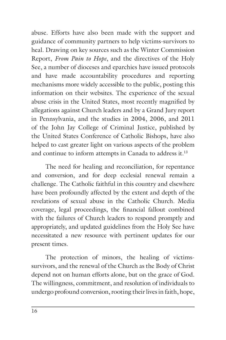abuse. Efforts have also been made with the support and guidance of community partners to help victims-survivors to heal. Drawing on key sources such as the Winter Commission Report, *From Pain to Hope*, and the directives of the Holy See, a number of dioceses and eparchies have issued protocols and have made accountability procedures and reporting mechanisms more widely accessible to the public, posting this information on their websites. The experience of the sexual abuse crisis in the United States, most recently magnified by allegations against Church leaders and by a Grand Jury report in Pennsylvania, and the studies in 2004, 2006, and 2011 of the John Jay College of Criminal Justice, published by the United States Conference of Catholic Bishops, have also helped to cast greater light on various aspects of the problem and continue to inform attempts in Canada to address it.<sup>13</sup>

The need for healing and reconciliation, for repentance and conversion, and for deep ecclesial renewal remain a challenge. The Catholic faithful in this country and elsewhere have been profoundly affected by the extent and depth of the revelations of sexual abuse in the Catholic Church. Media coverage, legal proceedings, the financial fallout combined with the failures of Church leaders to respond promptly and appropriately, and updated guidelines from the Holy See have necessitated a new resource with pertinent updates for our present times.

The protection of minors, the healing of victimssurvivors, and the renewal of the Church as the Body of Christ depend not on human efforts alone, but on the grace of God. The willingness, commitment, and resolution of individuals to undergo profound conversion, rooting their lives in faith, hope,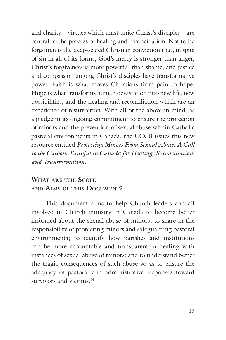and charity – virtues which must unite Christ's disciples – are central to the process of healing and reconciliation. Not to be forgotten is the deep-seated Christian conviction that, in spite of sin in all of its forms, God's mercy is stronger than anger, Christ's forgiveness is more powerful than shame, and justice and compassion among Christ's disciples have transformative power. Faith is what moves Christians from pain to hope. Hope is what transforms human devastation into new life, new possibilities, and the healing and reconciliation which are an experience of resurrection. With all of the above in mind, as a pledge in its ongoing commitment to ensure the protection of minors and the prevention of sexual abuse within Catholic pastoral environments in Canada, the CCCB issues this new resource entitled *Protecting Minors From Sexual Abuse: A Call to the Catholic Faithful in Canada for Healing, Reconciliation, and Transformation.*

#### **WHAT ARE THE SCOPE AND AIMS OF THIS DOCUMENT?**

This document aims to help Church leaders and all involved in Church ministry in Canada to become better informed about the sexual abuse of minors; to share in the responsibility of protecting minors and safeguarding pastoral environments; to identify how parishes and institutions can be more accountable and transparent in dealing with instances of sexual abuse of minors; and to understand better the tragic consequences of such abuse so as to ensure the adequacy of pastoral and administrative responses toward survivors and victims.<sup>14</sup>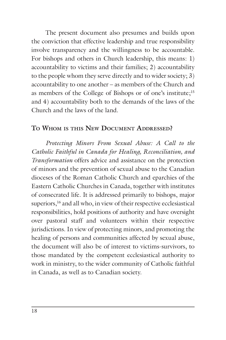The present document also presumes and builds upon the conviction that effective leadership and true responsibility involve transparency and the willingness to be accountable. For bishops and others in Church leadership, this means: 1) accountability to victims and their families; 2) accountability to the people whom they serve directly and to wider society; 3) accountability to one another – as members of the Church and as members of the College of Bishops or of one's institute;15 and 4) accountability both to the demands of the laws of the Church and the laws of the land.

#### **TO WHOM IS THIS NEW DOCUMENT ADDRESSED?**

*Protecting Minors From Sexual Abuse: A Call to the Catholic Faithful in Canada for Healing, Reconciliation, and Transformation* offers advice and assistance on the protection of minors and the prevention of sexual abuse to the Canadian dioceses of the Roman Catholic Church and eparchies of the Eastern Catholic Churches in Canada, together with institutes of consecrated life. It is addressed primarily to bishops, major superiors,<sup>16</sup> and all who, in view of their respective ecclesiastical responsibilities, hold positions of authority and have oversight over pastoral staff and volunteers within their respective jurisdictions. In view of protecting minors, and promoting the healing of persons and communities affected by sexual abuse, the document will also be of interest to victims-survivors, to those mandated by the competent ecclesiastical authority to work in ministry, to the wider community of Catholic faithful in Canada, as well as to Canadian society.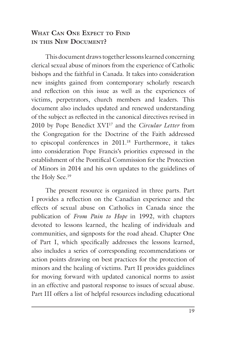#### **WHAT CAN ONE EXPECT TO FIND IN THIS NEW DOCUMENT?**

This document draws together lessons learned concerning clerical sexual abuse of minors from the experience of Catholic bishops and the faithful in Canada. It takes into consideration new insights gained from contemporary scholarly research and reflection on this issue as well as the experiences of victims, perpetrators, church members and leaders. This document also includes updated and renewed understanding of the subject as reflected in the canonical directives revised in 2010 by Pope Benedict XVI17 and the *Circular Letter* from the Congregation for the Doctrine of the Faith addressed to episcopal conferences in 2011.<sup>18</sup> Furthermore, it takes into consideration Pope Francis's priorities expressed in the establishment of the Pontifical Commission for the Protection of Minors in 2014 and his own updates to the guidelines of the Holy See.19

The present resource is organized in three parts. Part I provides a reflection on the Canadian experience and the effects of sexual abuse on Catholics in Canada since the publication of *From Pain to Hope* in 1992*,* with chapters devoted to lessons learned, the healing of individuals and communities, and signposts for the road ahead. Chapter One of Part I, which specifically addresses the lessons learned, also includes a series of corresponding recommendations or action points drawing on best practices for the protection of minors and the healing of victims. Part II provides guidelines for moving forward with updated canonical norms to assist in an effective and pastoral response to issues of sexual abuse. Part III offers a list of helpful resources including educational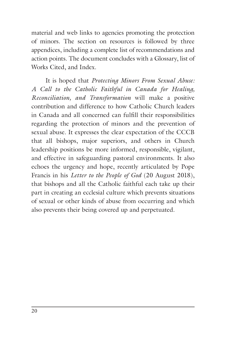material and web links to agencies promoting the protection of minors. The section on resources is followed by three appendices, including a complete list of recommendations and action points. The document concludes with a Glossary, list of Works Cited, and Index.

It is hoped that *Protecting Minors From Sexual Abuse: A Call to the Catholic Faithful in Canada for Healing, Reconciliation, and Transformation* will make a positive contribution and difference to how Catholic Church leaders in Canada and all concerned can fulfill their responsibilities regarding the protection of minors and the prevention of sexual abuse. It expresses the clear expectation of the CCCB that all bishops, major superiors, and others in Church leadership positions be more informed, responsible, vigilant, and effective in safeguarding pastoral environments. It also echoes the urgency and hope, recently articulated by Pope Francis in his *Letter to the People of God* (20 August 2018), that bishops and all the Catholic faithful each take up their part in creating an ecclesial culture which prevents situations of sexual or other kinds of abuse from occurring and which also prevents their being covered up and perpetuated.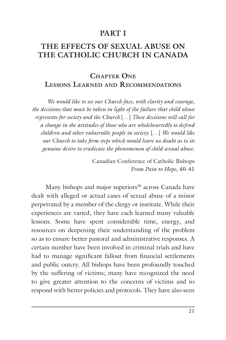#### **PART I**

# **THE EFFECTS OF SEXUAL ABUSE ON THE CATHOLIC CHURCH IN CANADA**

#### **CHAPTER ONE LESSONS LEARNED AND RECOMMENDATIONS**

*We would like to see our Church face, with clarity and courage, the decisions that must be taken in light of the failure that child abuse represents for society and the Church* […] *These decisions will call for a change in the attitudes of those who are wholeheartedly to defend children and other vulnerable people in society.* [*…*] *We would like our Church to take firm steps which would leave no doubt as to its genuine desire to eradicate the phenomenon of child sexual abuse*.

> Canadian Conference of Catholic Bishops *From Pain to Hope*, 40-41

Many bishops and major superiors<sup>20</sup> across Canada have dealt with alleged or actual cases of sexual abuse of a minor perpetrated by a member of the clergy or institute. While their experiences are varied, they have each learned many valuable lessons. Some have spent considerable time, energy, and resources on deepening their understanding of the problem so as to ensure better pastoral and administrative responses. A certain number have been involved in criminal trials and have had to manage significant fallout from financial settlements and public outcry. All bishops have been profoundly touched by the suffering of victims; many have recognized the need to give greater attention to the concerns of victims and to respond with better policies and protocols. They have also seen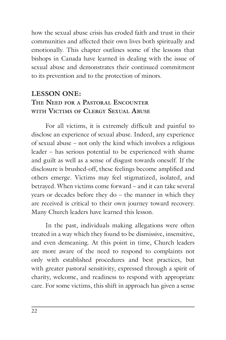how the sexual abuse crisis has eroded faith and trust in their communities and affected their own lives both spiritually and emotionally. This chapter outlines some of the lessons that bishops in Canada have learned in dealing with the issue of sexual abuse and demonstrates their continued commitment to its prevention and to the protection of minors.

#### **LESSON ONE: THE NEED FOR A PASTORAL ENCOUNTER WITH VICTIMS OF CLERGY SEXUAL ABUSE**

For all victims, it is extremely difficult and painful to disclose an experience of sexual abuse. Indeed, any experience of sexual abuse – not only the kind which involves a religious leader – has serious potential to be experienced with shame and guilt as well as a sense of disgust towards oneself. If the disclosure is brushed-off, these feelings become amplified and others emerge. Victims may feel stigmatized, isolated, and betrayed. When victims come forward – and it can take several years or decades before they do – the manner in which they are received is critical to their own journey toward recovery. Many Church leaders have learned this lesson.

In the past, individuals making allegations were often treated in a way which they found to be dismissive, insensitive, and even demeaning. At this point in time, Church leaders are more aware of the need to respond to complaints not only with established procedures and best practices, but with greater pastoral sensitivity, expressed through a spirit of charity, welcome, and readiness to respond with appropriate care. For some victims, this shift in approach has given a sense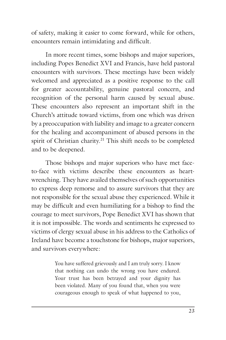of safety, making it easier to come forward, while for others, encounters remain intimidating and difficult.

In more recent times, some bishops and major superiors, including Popes Benedict XVI and Francis, have held pastoral encounters with survivors. These meetings have been widely welcomed and appreciated as a positive response to the call for greater accountability, genuine pastoral concern, and recognition of the personal harm caused by sexual abuse. These encounters also represent an important shift in the Church's attitude toward victims, from one which was driven by a preoccupation with liability and image to a greater concern for the healing and accompaniment of abused persons in the spirit of Christian charity.<sup>21</sup> This shift needs to be completed and to be deepened.

Those bishops and major superiors who have met faceto-face with victims describe these encounters as heartwrenching. They have availed themselves of such opportunities to express deep remorse and to assure survivors that they are not responsible for the sexual abuse they experienced. While it may be difficult and even humiliating for a bishop to find the courage to meet survivors, Pope Benedict XVI has shown that it is not impossible. The words and sentiments he expressed to victims of clergy sexual abuse in his address to the Catholics of Ireland have become a touchstone for bishops, major superiors, and survivors everywhere:

> You have suffered grievously and I am truly sorry. I know that nothing can undo the wrong you have endured. Your trust has been betrayed and your dignity has been violated. Many of you found that, when you were courageous enough to speak of what happened to you,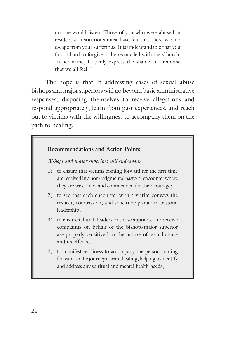no one would listen. Those of you who were abused in residential institutions must have felt that there was no escape from your sufferings. It is understandable that you find it hard to forgive or be reconciled with the Church. In her name, I openly express the shame and remorse that we all feel.<sup>22</sup>

The hope is that in addressing cases of sexual abuse bishops and major superiors will go beyond basic administrative responses, disposing themselves to receive allegations and respond appropriately, learn from past experiences, and reach out to victims with the willingness to accompany them on the path to healing.

# **Recommendations and Action Points** *Bishops and major superiors will endeavour* 1) to ensure that victims coming forward for the first time are received in a non-judgmental pastoral encounter where they are welcomed and commended for their courage; 2) to see that each encounter with a victim conveys the respect, compassion, and solicitude proper to pastoral leadership; 3) to ensure Church leaders or those appointed to receive complaints on behalf of the bishop/major superior are properly sensitized to the nature of sexual abuse and its effects; 4) to manifest readiness to accompany the person coming forward on the journey toward healing, helping to identify and address any spiritual and mental health needs;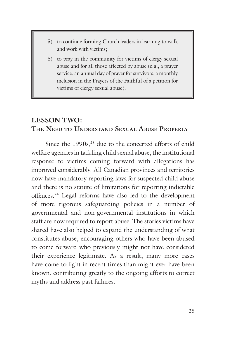- 5) to continue forming Church leaders in learning to walk and work with victims;
- 6) to pray in the community for victims of clergy sexual abuse and for all those affected by abuse (e.g., a prayer service, an annual day of prayer for survivors, a monthly inclusion in the Prayers of the Faithful of a petition for victims of clergy sexual abuse).

#### **LESSON TWO: THE NEED TO UNDERSTAND SEXUAL ABUSE PROPERLY**

Since the  $1990s<sub>1</sub><sup>23</sup>$  due to the concerted efforts of child welfare agencies in tackling child sexual abuse, the institutional response to victims coming forward with allegations has improved considerably. All Canadian provinces and territories now have mandatory reporting laws for suspected child abuse and there is no statute of limitations for reporting indictable offences.24 Legal reforms have also led to the development of more rigorous safeguarding policies in a number of governmental and non-governmental institutions in which staff are now required to report abuse. The stories victims have shared have also helped to expand the understanding of what constitutes abuse, encouraging others who have been abused to come forward who previously might not have considered their experience legitimate. As a result, many more cases have come to light in recent times than might ever have been known, contributing greatly to the ongoing efforts to correct myths and address past failures.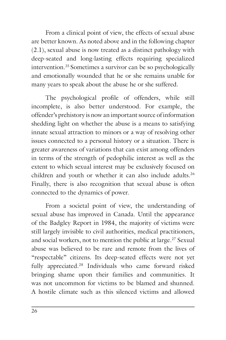From a clinical point of view, the effects of sexual abuse are better known. As noted above and in the following chapter (2.1), sexual abuse is now treated as a distinct pathology with deep-seated and long-lasting effects requiring specialized intervention.25 Sometimes a survivor can be so psychologically and emotionally wounded that he or she remains unable for many years to speak about the abuse he or she suffered.

The psychological profile of offenders, while still incomplete, is also better understood. For example, the offender's prehistory is now an important source of information shedding light on whether the abuse is a means to satisfying innate sexual attraction to minors or a way of resolving other issues connected to a personal history or a situation. There is greater awareness of variations that can exist among offenders in terms of the strength of pedophilic interest as well as the extent to which sexual interest may be exclusively focused on children and youth or whether it can also include adults.<sup>26</sup> Finally, there is also recognition that sexual abuse is often connected to the dynamics of power.

From a societal point of view, the understanding of sexual abuse has improved in Canada. Until the appearance of the Badgley Report in 1984, the majority of victims were still largely invisible to civil authorities, medical practitioners, and social workers, not to mention the public at large.<sup>27</sup> Sexual abuse was believed to be rare and remote from the lives of "respectable" citizens. Its deep-seated effects were not yet fully appreciated.28 Individuals who came forward risked bringing shame upon their families and communities. It was not uncommon for victims to be blamed and shunned. A hostile climate such as this silenced victims and allowed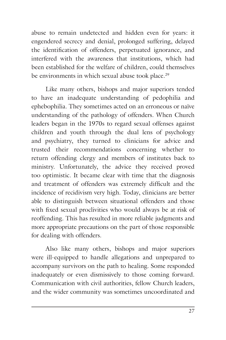abuse to remain undetected and hidden even for years: it engendered secrecy and denial, prolonged suffering, delayed the identification of offenders, perpetuated ignorance, and interfered with the awareness that institutions, which had been established for the welfare of children, could themselves be environments in which sexual abuse took place.<sup>29</sup>

Like many others, bishops and major superiors tended to have an inadequate understanding of pedophilia and ephebophilia. They sometimes acted on an erroneous or naïve understanding of the pathology of offenders. When Church leaders began in the 1970s to regard sexual offenses against children and youth through the dual lens of psychology and psychiatry, they turned to clinicians for advice and trusted their recommendations concerning whether to return offending clergy and members of institutes back to ministry. Unfortunately, the advice they received proved too optimistic. It became clear with time that the diagnosis and treatment of offenders was extremely difficult and the incidence of recidivism very high. Today, clinicians are better able to distinguish between situational offenders and those with fixed sexual proclivities who would always be at risk of reoffending. This has resulted in more reliable judgments and more appropriate precautions on the part of those responsible for dealing with offenders.

Also like many others, bishops and major superiors were ill-equipped to handle allegations and unprepared to accompany survivors on the path to healing. Some responded inadequately or even dismissively to those coming forward. Communication with civil authorities, fellow Church leaders, and the wider community was sometimes uncoordinated and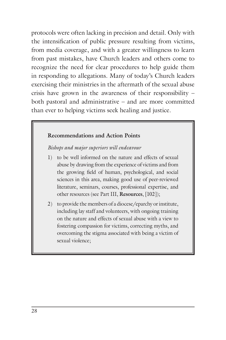protocols were often lacking in precision and detail. Only with the intensification of public pressure resulting from victims, from media coverage, and with a greater willingness to learn from past mistakes, have Church leaders and others come to recognize the need for clear procedures to help guide them in responding to allegations. Many of today's Church leaders exercising their ministries in the aftermath of the sexual abuse crisis have grown in the awareness of their responsibility – both pastoral and administrative – and are more committed than ever to helping victims seek healing and justice.

#### **Recommendations and Action Points**

*Bishops and major superiors will endeavour*

- 1) to be well informed on the nature and effects of sexual abuse by drawing from the experience of victims and from the growing field of human, psychological, and social sciences in this area, making good use of peer-reviewed literature, seminars, courses, professional expertise, and other resources (see Part III, **Resources**, [102]);
- 2) to provide the members of a diocese/eparchy or institute, including lay staff and volunteers, with ongoing training on the nature and effects of sexual abuse with a view to fostering compassion for victims, correcting myths, and overcoming the stigma associated with being a victim of sexual violence;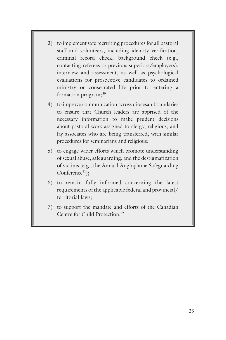- 3) to implement safe recruiting procedures for all pastoral staff and volunteers, including identity verification, criminal record check, background check (e.g., contacting referees or previous superiors/employers), interview and assessment, as well as psychological evaluations for prospective candidates to ordained ministry or consecrated life prior to entering a formation program;<sup>30</sup>
- 4) to improve communication across diocesan boundaries to ensure that Church leaders are apprised of the necessary information to make prudent decisions about pastoral work assigned to clergy, religious, and lay associates who are being transferred, with similar procedures for seminarians and religious;
- 5) to engage wider efforts which promote understanding of sexual abuse, safeguarding, and the destigmatization of victims (e.g., the Annual Anglophone Safeguarding Conference<sup>31</sup>):
- 6) to remain fully informed concerning the latest requirements of the applicable federal and provincial/ territorial laws;
- 7) to support the mandate and efforts of the Canadian Centre for Child Protection<sup>32</sup>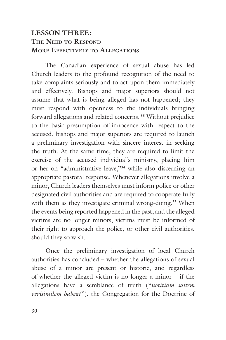### **LESSON THREE: THE NEED TO RESPOND MORE EFFECTIVELY TO ALLEGATIONS**

The Canadian experience of sexual abuse has led Church leaders to the profound recognition of the need to take complaints seriously and to act upon them immediately and effectively. Bishops and major superiors should not assume that what is being alleged has not happened; they must respond with openness to the individuals bringing forward allegations and related concerns. 33 Without prejudice to the basic presumption of innocence with respect to the accused, bishops and major superiors are required to launch a preliminary investigation with sincere interest in seeking the truth. At the same time, they are required to limit the exercise of the accused individual's ministry, placing him or her on "administrative leave,"34 while also discerning an appropriate pastoral response. Whenever allegations involve a minor, Church leaders themselves must inform police or other designated civil authorities and are required to cooperate fully with them as they investigate criminal wrong-doing.<sup>35</sup> When the events being reported happened in the past, and the alleged victims are no longer minors, victims must be informed of their right to approach the police, or other civil authorities, should they so wish.

Once the preliminary investigation of local Church authorities has concluded – whether the allegations of sexual abuse of a minor are present or historic, and regardless of whether the alleged victim is no longer a minor – if the allegations have a semblance of truth ("*notitiam saltem verisimilem habeat*"), the Congregation for the Doctrine of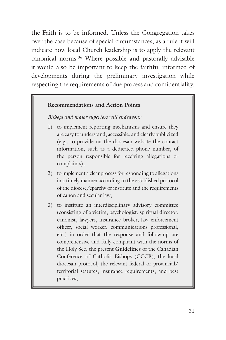the Faith is to be informed. Unless the Congregation takes over the case because of special circumstances, as a rule it will indicate how local Church leadership is to apply the relevant canonical norms.36 Where possible and pastorally advisable it would also be important to keep the faithful informed of developments during the preliminary investigation while respecting the requirements of due process and confidentiality.

#### **Recommendations and Action Points**

#### *Bishops and major superiors will endeavour*

- 1) to implement reporting mechanisms and ensure they are easy to understand, accessible, and clearly publicized (e.g., to provide on the diocesan website the contact information, such as a dedicated phone number, of the person responsible for receiving allegations or complaints);
- 2) to implement a clear process for responding to allegations in a timely manner according to the established protocol of the diocese/eparchy or institute and the requirements of canon and secular law;
- 3) to institute an interdisciplinary advisory committee (consisting of a victim, psychologist, spiritual director, canonist, lawyers, insurance broker, law enforcement officer, social worker, communications professional, etc.) in order that the response and follow-up are comprehensive and fully compliant with the norms of the Holy See, the present **Guidelines** of the Canadian Conference of Catholic Bishops (CCCB), the local diocesan protocol, the relevant federal or provincial/ territorial statutes, insurance requirements, and best practices;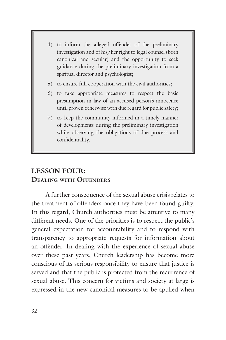- 4) to inform the alleged offender of the preliminary investigation and of his/her right to legal counsel (both canonical and secular) and the opportunity to seek guidance during the preliminary investigation from a spiritual director and psychologist;
- 5) to ensure full cooperation with the civil authorities;
- 6) to take appropriate measures to respect the basic presumption in law of an accused person's innocence until proven otherwise with due regard for public safety;
- 7) to keep the community informed in a timely manner of developments during the preliminary investigation while observing the obligations of due process and confidentiality.

# **LESSON FOUR: DEALING WITH OFFENDERS**

A further consequence of the sexual abuse crisis relates to the treatment of offenders once they have been found guilty. In this regard, Church authorities must be attentive to many different needs. One of the priorities is to respect the public's general expectation for accountability and to respond with transparency to appropriate requests for information about an offender. In dealing with the experience of sexual abuse over these past years, Church leadership has become more conscious of its serious responsibility to ensure that justice is served and that the public is protected from the recurrence of sexual abuse. This concern for victims and society at large is expressed in the new canonical measures to be applied when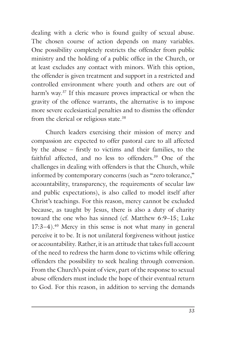dealing with a cleric who is found guilty of sexual abuse. The chosen course of action depends on many variables. One possibility completely restricts the offender from public ministry and the holding of a public office in the Church, or at least excludes any contact with minors. With this option, the offender is given treatment and support in a restricted and controlled environment where youth and others are out of harm's way.<sup>37</sup> If this measure proves impractical or when the gravity of the offence warrants, the alternative is to impose more severe ecclesiastical penalties and to dismiss the offender from the clerical or religious state.38

Church leaders exercising their mission of mercy and compassion are expected to offer pastoral care to all affected by the abuse – firstly to victims and their families, to the faithful affected, and no less to offenders.39 One of the challenges in dealing with offenders is that the Church, while informed by contemporary concerns (such as "zero tolerance," accountability, transparency, the requirements of secular law and public expectations), is also called to model itself after Christ's teachings. For this reason, mercy cannot be excluded because, as taught by Jesus, there is also a duty of charity toward the one who has sinned (cf. Matthew 6:9–15; Luke 17:3–4).40 Mercy in this sense is not what many in general perceive it to be. It is not unilateral forgiveness without justice or accountability. Rather, it is an attitude that takes full account of the need to redress the harm done to victims while offering offenders the possibility to seek healing through conversion. From the Church's point of view, part of the response to sexual abuse offenders must include the hope of their eventual return to God. For this reason, in addition to serving the demands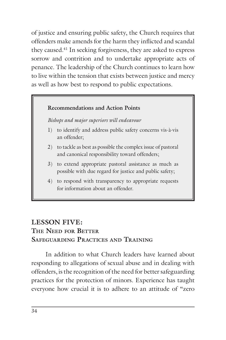of justice and ensuring public safety, the Church requires that offenders make amends for the harm they inflicted and scandal they caused.41 In seeking forgiveness, they are asked to express sorrow and contrition and to undertake appropriate acts of penance. The leadership of the Church continues to learn how to live within the tension that exists between justice and mercy as well as how best to respond to public expectations.

#### **Recommendations and Action Points**

*Bishops and major superiors will endeavour*

- 1) to identify and address public safety concerns vis-à-vis an offender;
- 2) to tackle as best as possible the complex issue of pastoral and canonical responsibility toward offenders;
- 3) to extend appropriate pastoral assistance as much as possible with due regard for justice and public safety;
- 4) to respond with transparency to appropriate requests for information about an offender.

# **LESSON FIVE: THE NEED FOR BETTER SAFEGUARDING PRACTICES AND TRAINING**

In addition to what Church leaders have learned about responding to allegations of sexual abuse and in dealing with offenders, is the recognition of the need for better safeguarding practices for the protection of minors. Experience has taught everyone how crucial it is to adhere to an attitude of "zero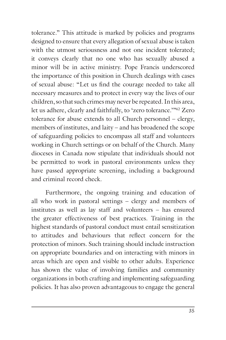tolerance." This attitude is marked by policies and programs designed to ensure that every allegation of sexual abuse is taken with the utmost seriousness and not one incident tolerated; it conveys clearly that no one who has sexually abused a minor will be in active ministry. Pope Francis underscored the importance of this position in Church dealings with cases of sexual abuse: "Let us find the courage needed to take all necessary measures and to protect in every way the lives of our children, so that such crimes may never be repeated. In this area, let us adhere, clearly and faithfully, to 'zero tolerance.'"42 Zero tolerance for abuse extends to all Church personnel – clergy, members of institutes, and laity – and has broadened the scope of safeguarding policies to encompass all staff and volunteers working in Church settings or on behalf of the Church. Many dioceses in Canada now stipulate that individuals should not be permitted to work in pastoral environments unless they have passed appropriate screening, including a background and criminal record check.

Furthermore, the ongoing training and education of all who work in pastoral settings – clergy and members of institutes as well as lay staff and volunteers – has ensured the greater effectiveness of best practices. Training in the highest standards of pastoral conduct must entail sensitization to attitudes and behaviours that reflect concern for the protection of minors. Such training should include instruction on appropriate boundaries and on interacting with minors in areas which are open and visible to other adults. Experience has shown the value of involving families and community organizations in both crafting and implementing safeguarding policies. It has also proven advantageous to engage the general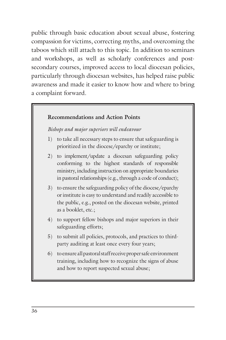public through basic education about sexual abuse, fostering compassion for victims, correcting myths, and overcoming the taboos which still attach to this topic. In addition to seminars and workshops, as well as scholarly conferences and postsecondary courses, improved access to local diocesan policies, particularly through diocesan websites, has helped raise public awareness and made it easier to know how and where to bring a complaint forward.

#### **Recommendations and Action Points**

*Bishops and major superiors will endeavour*

- 1) to take all necessary steps to ensure that safeguarding is prioritized in the diocese/eparchy or institute;
- 2) to implement/update a diocesan safeguarding policy conforming to the highest standards of responsible ministry, including instruction on appropriate boundaries in pastoral relationships (e.g., through a code of conduct);
- 3) to ensure the safeguarding policy of the diocese/eparchy or institute is easy to understand and readily accessible to the public, e.g., posted on the diocesan website, printed as a booklet, etc.;
- 4) to support fellow bishops and major superiors in their safeguarding efforts;
- 5) to submit all policies, protocols, and practices to thirdparty auditing at least once every four years;
- 6) to ensure all pastoral staff receive proper safe environment training, including how to recognize the signs of abuse and how to report suspected sexual abuse;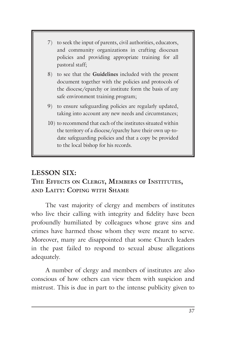- 7) to seek the input of parents, civil authorities, educators, and community organizations in crafting diocesan policies and providing appropriate training for all pastoral staff;
- 8) to see that the **Guidelines** included with the present document together with the policies and protocols of the diocese/eparchy or institute form the basis of any safe environment training program;
- 9) to ensure safeguarding policies are regularly updated, taking into account any new needs and circumstances;
- 10) to recommend that each of the institutes situated within the territory of a diocese/eparchy have their own up-todate safeguarding policies and that a copy be provided to the local bishop for his records.

# **LESSON SIX:**

# **THE EFFECTS ON CLERGY, MEMBERS OF INSTITUTES, AND LAITY: COPING WITH SHAME**

The vast majority of clergy and members of institutes who live their calling with integrity and fidelity have been profoundly humiliated by colleagues whose grave sins and crimes have harmed those whom they were meant to serve. Moreover, many are disappointed that some Church leaders in the past failed to respond to sexual abuse allegations adequately.

A number of clergy and members of institutes are also conscious of how others can view them with suspicion and mistrust. This is due in part to the intense publicity given to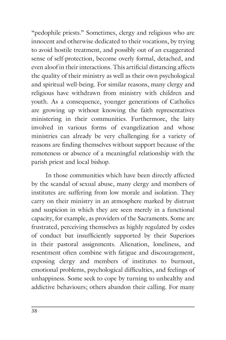"pedophile priests." Sometimes, clergy and religious who are innocent and otherwise dedicated to their vocations, by trying to avoid hostile treatment, and possibly out of an exaggerated sense of self-protection, become overly formal, detached, and even aloof in their interactions. This artificial distancing affects the quality of their ministry as well as their own psychological and spiritual well-being. For similar reasons, many clergy and religious have withdrawn from ministry with children and youth. As a consequence, younger generations of Catholics are growing up without knowing the faith representatives ministering in their communities. Furthermore, the laity involved in various forms of evangelization and whose ministries can already be very challenging for a variety of reasons are finding themselves without support because of the remoteness or absence of a meaningful relationship with the parish priest and local bishop.

In those communities which have been directly affected by the scandal of sexual abuse, many clergy and members of institutes are suffering from low morale and isolation. They carry on their ministry in an atmosphere marked by distrust and suspicion in which they are seen merely in a functional capacity, for example, as providers of the Sacraments. Some are frustrated, perceiving themselves as highly regulated by codes of conduct but insufficiently supported by their Superiors in their pastoral assignments. Alienation, loneliness, and resentment often combine with fatigue and discouragement, exposing clergy and members of institutes to burnout, emotional problems, psychological difficulties, and feelings of unhappiness. Some seek to cope by turning to unhealthy and addictive behaviours; others abandon their calling. For many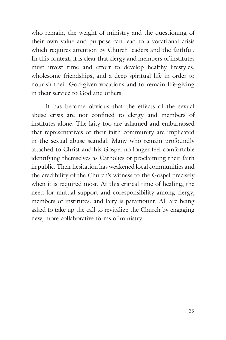who remain, the weight of ministry and the questioning of their own value and purpose can lead to a vocational crisis which requires attention by Church leaders and the faithful. In this context, it is clear that clergy and members of institutes must invest time and effort to develop healthy lifestyles, wholesome friendships, and a deep spiritual life in order to nourish their God-given vocations and to remain life-giving in their service to God and others.

It has become obvious that the effects of the sexual abuse crisis are not confined to clergy and members of institutes alone. The laity too are ashamed and embarrassed that representatives of their faith community are implicated in the sexual abuse scandal. Many who remain profoundly attached to Christ and his Gospel no longer feel comfortable identifying themselves as Catholics or proclaiming their faith in public. Their hesitation has weakened local communities and the credibility of the Church's witness to the Gospel precisely when it is required most. At this critical time of healing, the need for mutual support and coresponsibility among clergy, members of institutes, and laity is paramount. All are being asked to take up the call to revitalize the Church by engaging new, more collaborative forms of ministry.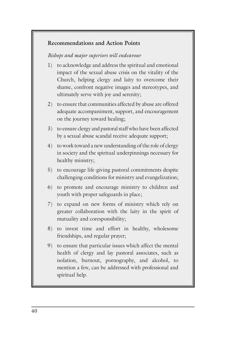#### **Recommendations and Action Points**

#### *Bishops and major superiors will endeavour*

- 1) to acknowledge and address the spiritual and emotional impact of the sexual abuse crisis on the vitality of the Church, helping clergy and laity to overcome their shame, confront negative images and stereotypes, and ultimately serve with joy and serenity;
- 2) to ensure that communities affected by abuse are offered adequate accompaniment, support, and encouragement on the journey toward healing;
- 3) to ensure clergy and pastoral staff who have been affected by a sexual abuse scandal receive adequate support;
- 4) to work toward a new understanding of the role of clergy in society and the spiritual underpinnings necessary for healthy ministry;
- 5) to encourage life-giving pastoral commitments despite challenging conditions for ministry and evangelization;
- 6) to promote and encourage ministry to children and youth with proper safeguards in place;
- 7) to expand on new forms of ministry which rely on greater collaboration with the laity in the spirit of mutuality and coresponsibility;
- 8) to invest time and effort in healthy, wholesome friendships, and regular prayer;
- 9) to ensure that particular issues which affect the mental health of clergy and lay pastoral associates, such as isolation, burnout, pornography, and alcohol, to mention a few, can be addressed with professional and spiritual help.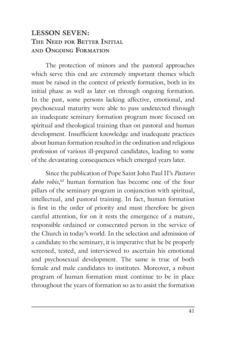# **LESSON SEVEN: THE NEED FOR BETTER INITIAL AND ONGOING FORMATION**

The protection of minors and the pastoral approaches which serve this end are extremely important themes which must be raised in the context of priestly formation, both in its initial phase as well as later on through ongoing formation. In the past, some persons lacking affective, emotional, and psychosexual maturity were able to pass undetected through an inadequate seminary formation program more focused on spiritual and theological training than on pastoral and human development. Insufficient knowledge and inadequate practices about human formation resulted in the ordination and religious profession of various ill-prepared candidates, leading to some of the devastating consequences which emerged years later.

Since the publication of Pope Saint John Paul II's *Pastores dabo vobis*, 43 human formation has become one of the four pillars of the seminary program in conjunction with spiritual, intellectual, and pastoral training. In fact, human formation is first in the order of priority and must therefore be given careful attention, for on it rests the emergence of a mature, responsible ordained or consecrated person in the service of the Church in today's world. In the selection and admission of a candidate to the seminary, it is imperative that he be properly screened, tested, and interviewed to ascertain his emotional and psychosexual development. The same is true of both female and male candidates to institutes. Moreover, a robust program of human formation must continue to be in place throughout the years of formation so as to assist the formation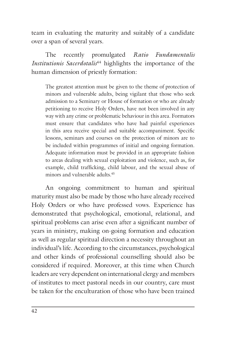team in evaluating the maturity and suitably of a candidate over a span of several years.

The recently promulgated *Ratio Fundamentalis Institutionis Sacerdotalis*<sup>44</sup> highlights the importance of the human dimension of priestly formation:

The greatest attention must be given to the theme of protection of minors and vulnerable adults, being vigilant that those who seek admission to a Seminary or House of formation or who are already petitioning to receive Holy Orders, have not been involved in any way with any crime or problematic behaviour in this area. Formators must ensure that candidates who have had painful experiences in this area receive special and suitable accompaniment. Specific lessons, seminars and courses on the protection of minors are to be included within programmes of initial and ongoing formation. Adequate information must be provided in an appropriate fashion to areas dealing with sexual exploitation and violence, such as, for example, child trafficking, child labour, and the sexual abuse of minors and vulnerable adults.<sup>45</sup>

An ongoing commitment to human and spiritual maturity must also be made by those who have already received Holy Orders or who have professed vows. Experience has demonstrated that psychological, emotional, relational, and spiritual problems can arise even after a significant number of years in ministry, making on-going formation and education as well as regular spiritual direction a necessity throughout an individual's life. According to the circumstances, psychological and other kinds of professional counselling should also be considered if required. Moreover, at this time when Church leaders are very dependent on international clergy and members of institutes to meet pastoral needs in our country, care must be taken for the enculturation of those who have been trained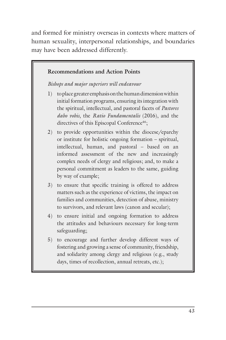and formed for ministry overseas in contexts where matters of human sexuality, interpersonal relationships, and boundaries may have been addressed differently.

#### **Recommendations and Action Points**

*Bishops and major superiors will endeavour*

- 1) to place greater emphasis on the human dimension within initial formation programs, ensuring its integration with the spiritual, intellectual, and pastoral facets of *Pastores dabo vobis*, the *Ratio Fundamentalis* (2016), and the directives of this Episcopal Conference<sup>46</sup>;
- 2) to provide opportunities within the diocese/eparchy or institute for holistic ongoing formation – spiritual, intellectual, human, and pastoral – based on an informed assessment of the new and increasingly complex needs of clergy and religious; and, to make a personal commitment as leaders to the same, guiding by way of example;
- 3) to ensure that specific training is offered to address matters such as the experience of victims, the impact on families and communities, detection of abuse, ministry to survivors, and relevant laws (canon and secular);
- 4) to ensure initial and ongoing formation to address the attitudes and behaviours necessary for long-term safeguarding;
- 5) to encourage and further develop different ways of fostering and growing a sense of community, friendship, and solidarity among clergy and religious (e.g., study days, times of recollection, annual retreats, etc.);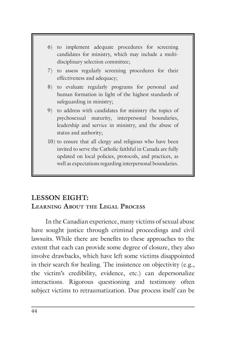

well as expectations regarding interpersonal boundaries.

# **LESSON EIGHT: LEARNING ABOUT THE LEGAL PROCESS**

In the Canadian experience, many victims of sexual abuse have sought justice through criminal proceedings and civil lawsuits. While there are benefits to these approaches to the extent that each can provide some degree of closure, they also involve drawbacks, which have left some victims disappointed in their search for healing. The insistence on objectivity (e.g., the victim's credibility, evidence, etc.) can depersonalize interactions. Rigorous questioning and testimony often subject victims to retraumatization. Due process itself can be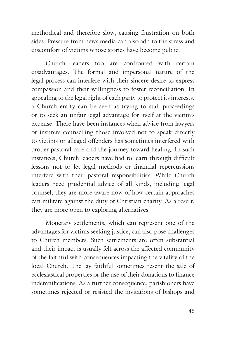methodical and therefore slow, causing frustration on both sides. Pressure from news media can also add to the stress and discomfort of victims whose stories have become public.

Church leaders too are confronted with certain disadvantages. The formal and impersonal nature of the legal process can interfere with their sincere desire to express compassion and their willingness to foster reconciliation. In appealing to the legal right of each party to protect its interests, a Church entity can be seen as trying to stall proceedings or to seek an unfair legal advantage for itself at the victim's expense. There have been instances when advice from lawyers or insurers counselling those involved not to speak directly to victims or alleged offenders has sometimes interfered with proper pastoral care and the journey toward healing. In such instances, Church leaders have had to learn through difficult lessons not to let legal methods or financial repercussions interfere with their pastoral responsibilities. While Church leaders need prudential advice of all kinds, including legal counsel, they are more aware now of how certain approaches can militate against the duty of Christian charity. As a result, they are more open to exploring alternatives.

Monetary settlements, which can represent one of the advantages for victims seeking justice, can also pose challenges to Church members. Such settlements are often substantial and their impact is usually felt across the affected community of the faithful with consequences impacting the vitality of the local Church. The lay faithful sometimes resent the sale of ecclesiastical properties or the use of their donations to finance indemnifications. As a further consequence, parishioners have sometimes rejected or resisted the invitations of bishops and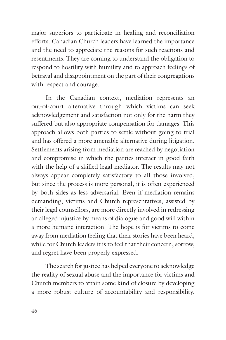major superiors to participate in healing and reconciliation efforts. Canadian Church leaders have learned the importance and the need to appreciate the reasons for such reactions and resentments. They are coming to understand the obligation to respond to hostility with humility and to approach feelings of betrayal and disappointment on the part of their congregations with respect and courage.

In the Canadian context, mediation represents an out-of-court alternative through which victims can seek acknowledgement and satisfaction not only for the harm they suffered but also appropriate compensation for damages. This approach allows both parties to settle without going to trial and has offered a more amenable alternative during litigation. Settlements arising from mediation are reached by negotiation and compromise in which the parties interact in good faith with the help of a skilled legal mediator. The results may not always appear completely satisfactory to all those involved, but since the process is more personal, it is often experienced by both sides as less adversarial. Even if mediation remains demanding, victims and Church representatives, assisted by their legal counsellors, are more directly involved in redressing an alleged injustice by means of dialogue and good will within a more humane interaction. The hope is for victims to come away from mediation feeling that their stories have been heard, while for Church leaders it is to feel that their concern, sorrow, and regret have been properly expressed.

The search for justice has helped everyone to acknowledge the reality of sexual abuse and the importance for victims and Church members to attain some kind of closure by developing a more robust culture of accountability and responsibility.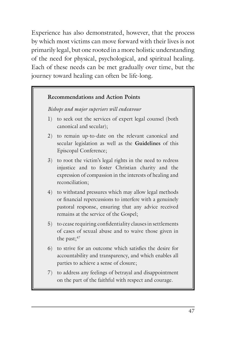Experience has also demonstrated, however, that the process by which most victims can move forward with their lives is not primarily legal, but one rooted in a more holistic understanding of the need for physical, psychological, and spiritual healing. Each of these needs can be met gradually over time, but the journey toward healing can often be life-long.

#### **Recommendations and Action Points**

*Bishops and major superiors will endeavour*

- 1) to seek out the services of expert legal counsel (both canonical and secular);
- 2) to remain up-to-date on the relevant canonical and secular legislation as well as the **Guidelines** of this Episcopal Conference;
- 3) to root the victim's legal rights in the need to redress injustice and to foster Christian charity and the expression of compassion in the interests of healing and reconciliation;
- 4) to withstand pressures which may allow legal methods or financial repercussions to interfere with a genuinely pastoral response, ensuring that any advice received remains at the service of the Gospel;
- 5) to cease requiring confidentiality clauses in settlements of cases of sexual abuse and to waive those given in the past; $47$
- 6) to strive for an outcome which satisfies the desire for accountability and transparency, and which enables all parties to achieve a sense of closure;
- 7) to address any feelings of betrayal and disappointment on the part of the faithful with respect and courage.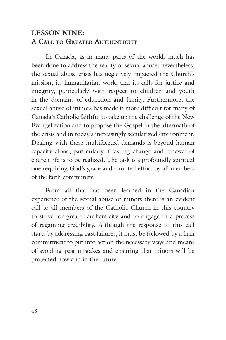# **LESSON NINE: A CALL TO GREATER AUTHENTICITY**

In Canada, as in many parts of the world, much has been done to address the reality of sexual abuse; nevertheless, the sexual abuse crisis has negatively impacted the Church's mission, its humanitarian work, and its calls for justice and integrity, particularly with respect to children and youth in the domains of education and family. Furthermore, the sexual abuse of minors has made it more difficult for many of Canada's Catholic faithful to take up the challenge of the New Evangelization and to propose the Gospel in the aftermath of the crisis and in today's increasingly secularized environment. Dealing with these multifaceted demands is beyond human capacity alone, particularly if lasting change and renewal of church life is to be realized. The task is a profoundly spiritual one requiring God's grace and a united effort by all members of the faith community.

From all that has been learned in the Canadian experience of the sexual abuse of minors there is an evident call to all members of the Catholic Church in this country to strive for greater authenticity and to engage in a process of regaining credibility. Although the response to this call starts by addressing past failures, it must be followed by a firm commitment to put into action the necessary ways and means of avoiding past mistakes and ensuring that minors will be protected now and in the future.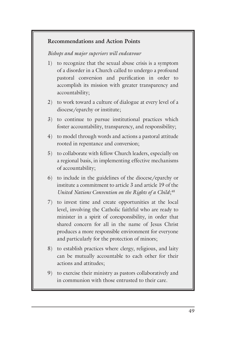#### **Recommendations and Action Points**

#### *Bishops and major superiors will endeavour*

- 1) to recognize that the sexual abuse crisis is a symptom of a disorder in a Church called to undergo a profound pastoral conversion and purification in order to accomplish its mission with greater transparency and accountability;
- 2) to work toward a culture of dialogue at every level of a diocese/eparchy or institute;
- 3) to continue to pursue institutional practices which foster accountability, transparency, and responsibility;
- 4) to model through words and actions a pastoral attitude rooted in repentance and conversion;
- 5) to collaborate with fellow Church leaders, especially on a regional basis, in implementing effective mechanisms of accountability;
- 6) to include in the guidelines of the diocese/eparchy or institute a commitment to article 3 and article 19 of the *United Nations Convention on the Rights of a Child*; 48
- 7) to invest time and create opportunities at the local level, involving the Catholic faithful who are ready to minister in a spirit of coresponsibility, in order that shared concern for all in the name of Jesus Christ produces a more responsible environment for everyone and particularly for the protection of minors;
- 8) to establish practices where clergy, religious, and laity can be mutually accountable to each other for their actions and attitudes;
- 9) to exercise their ministry as pastors collaboratively and in communion with those entrusted to their care.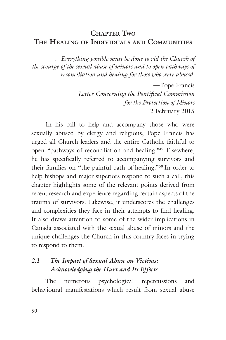# **CHAPTER TWO THE HEALING OF INDIVIDUALS AND COMMUNITIES**

*…Everything possible must be done to rid the Church of the scourge of the sexual abuse of minors and to open pathways of reconciliation and healing for those who were abused.*

> *—* Pope Francis *Letter Concerning the Pontifical Commission for the Protection of Minors* 2 February 2015

In his call to help and accompany those who were sexually abused by clergy and religious, Pope Francis has urged all Church leaders and the entire Catholic faithful to open "pathways of reconciliation and healing."49 Elsewhere, he has specifically referred to accompanying survivors and their families on "the painful path of healing."50 In order to help bishops and major superiors respond to such a call, this chapter highlights some of the relevant points derived from recent research and experience regarding certain aspects of the trauma of survivors. Likewise, it underscores the challenges and complexities they face in their attempts to find healing. It also draws attention to some of the wider implications in Canada associated with the sexual abuse of minors and the unique challenges the Church in this country faces in trying to respond to them.

## *2.1 The Impact of Sexual Abuse on Victims: Acknowledging the Hurt and Its Effects*

The numerous psychological repercussions and behavioural manifestations which result from sexual abuse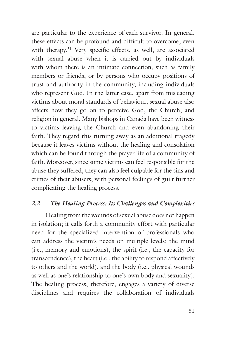are particular to the experience of each survivor. In general, these effects can be profound and difficult to overcome, even with therapy.<sup>51</sup> Very specific effects, as well, are associated with sexual abuse when it is carried out by individuals with whom there is an intimate connection, such as family members or friends, or by persons who occupy positions of trust and authority in the community, including individuals who represent God. In the latter case, apart from misleading victims about moral standards of behaviour, sexual abuse also affects how they go on to perceive God, the Church, and religion in general. Many bishops in Canada have been witness to victims leaving the Church and even abandoning their faith. They regard this turning away as an additional tragedy because it leaves victims without the healing and consolation which can be found through the prayer life of a community of faith. Moreover, since some victims can feel responsible for the abuse they suffered, they can also feel culpable for the sins and crimes of their abusers, with personal feelings of guilt further complicating the healing process.

#### *2.2 The Healing Process: Its Challenges and Complexities*

Healing from the wounds of sexual abuse does not happen in isolation; it calls forth a community effort with particular need for the specialized intervention of professionals who can address the victim's needs on multiple levels: the mind (i.e., memory and emotions), the spirit (i.e., the capacity for transcendence), the heart (i.e., the ability to respond affectively to others and the world), and the body (i.e., physical wounds as well as one's relationship to one's own body and sexuality). The healing process, therefore, engages a variety of diverse disciplines and requires the collaboration of individuals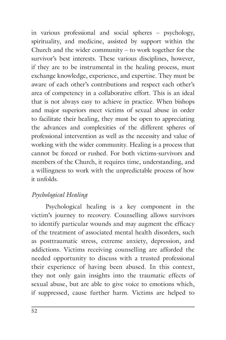in various professional and social spheres – psychology, spirituality, and medicine, assisted by support within the Church and the wider community – to work together for the survivor's best interests. These various disciplines, however, if they are to be instrumental in the healing process, must exchange knowledge, experience, and expertise. They must be aware of each other's contributions and respect each other's area of competency in a collaborative effort. This is an ideal that is not always easy to achieve in practice. When bishops and major superiors meet victims of sexual abuse in order to facilitate their healing, they must be open to appreciating the advances and complexities of the different spheres of professional intervention as well as the necessity and value of working with the wider community. Healing is a process that cannot be forced or rushed. For both victims-survivors and members of the Church, it requires time, understanding, and a willingness to work with the unpredictable process of how it unfolds.

## *Psychological Healing*

Psychological healing is a key component in the victim's journey to recovery. Counselling allows survivors to identify particular wounds and may augment the efficacy of the treatment of associated mental health disorders, such as posttraumatic stress, extreme anxiety, depression, and addictions. Victims receiving counselling are afforded the needed opportunity to discuss with a trusted professional their experience of having been abused. In this context, they not only gain insights into the traumatic effects of sexual abuse, but are able to give voice to emotions which, if suppressed, cause further harm. Victims are helped to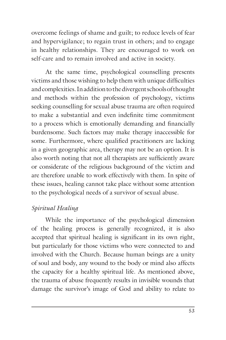overcome feelings of shame and guilt; to reduce levels of fear and hypervigilance; to regain trust in others; and to engage in healthy relationships. They are encouraged to work on self-care and to remain involved and active in society.

At the same time, psychological counselling presents victims and those wishing to help them with unique difficulties and complexities. In addition to the divergent schools of thought and methods within the profession of psychology, victims seeking counselling for sexual abuse trauma are often required to make a substantial and even indefinite time commitment to a process which is emotionally demanding and financially burdensome. Such factors may make therapy inaccessible for some. Furthermore, where qualified practitioners are lacking in a given geographic area, therapy may not be an option. It is also worth noting that not all therapists are sufficiently aware or considerate of the religious background of the victim and are therefore unable to work effectively with them. In spite of these issues, healing cannot take place without some attention to the psychological needs of a survivor of sexual abuse.

## *Spiritual Healing*

While the importance of the psychological dimension of the healing process is generally recognized, it is also accepted that spiritual healing is significant in its own right, but particularly for those victims who were connected to and involved with the Church. Because human beings are a unity of soul and body, any wound to the body or mind also affects the capacity for a healthy spiritual life. As mentioned above, the trauma of abuse frequently results in invisible wounds that damage the survivor's image of God and ability to relate to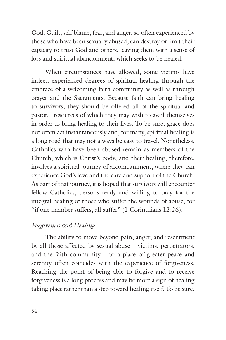God. Guilt, self-blame, fear, and anger, so often experienced by those who have been sexually abused, can destroy or limit their capacity to trust God and others, leaving them with a sense of loss and spiritual abandonment, which seeks to be healed.

When circumstances have allowed, some victims have indeed experienced degrees of spiritual healing through the embrace of a welcoming faith community as well as through prayer and the Sacraments. Because faith can bring healing to survivors, they should be offered all of the spiritual and pastoral resources of which they may wish to avail themselves in order to bring healing to their lives. To be sure, grace does not often act instantaneously and, for many, spiritual healing is a long road that may not always be easy to travel. Nonetheless, Catholics who have been abused remain as members of the Church, which is Christ's body, and their healing, therefore, involves a spiritual journey of accompaniment, where they can experience God's love and the care and support of the Church. As part of that journey, it is hoped that survivors will encounter fellow Catholics, persons ready and willing to pray for the integral healing of those who suffer the wounds of abuse, for "if one member suffers, all suffer" (1 Corinthians 12:26).

## *Forgiveness and Healing*

The ability to move beyond pain, anger, and resentment by all those affected by sexual abuse – victims, perpetrators, and the faith community – to a place of greater peace and serenity often coincides with the experience of forgiveness. Reaching the point of being able to forgive and to receive forgiveness is a long process and may be more a sign of healing taking place rather than a step toward healing itself. To be sure,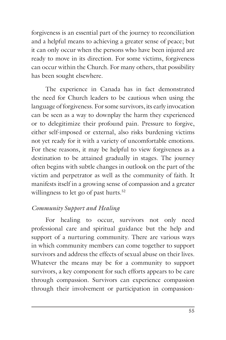forgiveness is an essential part of the journey to reconciliation and a helpful means to achieving a greater sense of peace; but it can only occur when the persons who have been injured are ready to move in its direction. For some victims, forgiveness can occur within the Church. For many others, that possibility has been sought elsewhere.

The experience in Canada has in fact demonstrated the need for Church leaders to be cautious when using the language of forgiveness. For some survivors, its early invocation can be seen as a way to downplay the harm they experienced or to delegitimize their profound pain. Pressure to forgive, either self-imposed or external, also risks burdening victims not yet ready for it with a variety of uncomfortable emotions. For these reasons, it may be helpful to view forgiveness as a destination to be attained gradually in stages. The journey often begins with subtle changes in outlook on the part of the victim and perpetrator as well as the community of faith. It manifests itself in a growing sense of compassion and a greater willingness to let go of past hurts.<sup>52</sup>

## *Community Support and Healing*

For healing to occur, survivors not only need professional care and spiritual guidance but the help and support of a nurturing community. There are various ways in which community members can come together to support survivors and address the effects of sexual abuse on their lives. Whatever the means may be for a community to support survivors, a key component for such efforts appears to be care through compassion. Survivors can experience compassion through their involvement or participation in compassion-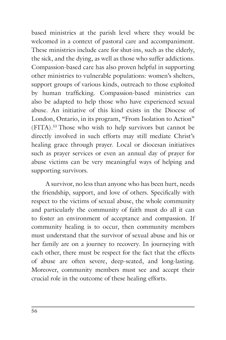based ministries at the parish level where they would be welcomed in a context of pastoral care and accompaniment. These ministries include care for shut-ins, such as the elderly, the sick, and the dying, as well as those who suffer addictions. Compassion-based care has also proven helpful in supporting other ministries to vulnerable populations: women's shelters, support groups of various kinds, outreach to those exploited by human trafficking. Compassion-based ministries can also be adapted to help those who have experienced sexual abuse. An initiative of this kind exists in the Diocese of London, Ontario, in its program, "From Isolation to Action" (FITA).53 Those who wish to help survivors but cannot be directly involved in such efforts may still mediate Christ's healing grace through prayer. Local or diocesan initiatives such as prayer services or even an annual day of prayer for abuse victims can be very meaningful ways of helping and supporting survivors.

A survivor, no less than anyone who has been hurt, needs the friendship, support, and love of others. Specifically with respect to the victims of sexual abuse, the whole community and particularly the community of faith must do all it can to foster an environment of acceptance and compassion. If community healing is to occur, then community members must understand that the survivor of sexual abuse and his or her family are on a journey to recovery. In journeying with each other, there must be respect for the fact that the effects of abuse are often severe, deep-seated, and long-lasting. Moreover, community members must see and accept their crucial role in the outcome of these healing efforts.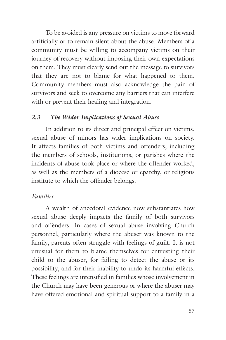To be avoided is any pressure on victims to move forward artificially or to remain silent about the abuse. Members of a community must be willing to accompany victims on their journey of recovery without imposing their own expectations on them. They must clearly send out the message to survivors that they are not to blame for what happened to them. Community members must also acknowledge the pain of survivors and seek to overcome any barriers that can interfere with or prevent their healing and integration.

## *2.3 The Wider Implications of Sexual Abuse*

In addition to its direct and principal effect on victims, sexual abuse of minors has wider implications on society. It affects families of both victims and offenders, including the members of schools, institutions, or parishes where the incidents of abuse took place or where the offender worked, as well as the members of a diocese or eparchy, or religious institute to which the offender belongs.

# *Families*

A wealth of anecdotal evidence now substantiates how sexual abuse deeply impacts the family of both survivors and offenders. In cases of sexual abuse involving Church personnel, particularly where the abuser was known to the family, parents often struggle with feelings of guilt. It is not unusual for them to blame themselves for entrusting their child to the abuser, for failing to detect the abuse or its possibility, and for their inability to undo its harmful effects. These feelings are intensified in families whose involvement in the Church may have been generous or where the abuser may have offered emotional and spiritual support to a family in a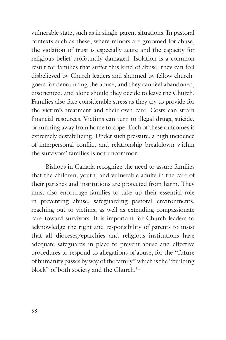vulnerable state, such as in single-parent situations. In pastoral contexts such as these, where minors are groomed for abuse, the violation of trust is especially acute and the capacity for religious belief profoundly damaged. Isolation is a common result for families that suffer this kind of abuse: they can feel disbelieved by Church leaders and shunned by fellow churchgoers for denouncing the abuse, and they can feel abandoned, disoriented, and alone should they decide to leave the Church. Families also face considerable stress as they try to provide for the victim's treatment and their own care. Costs can strain financial resources. Victims can turn to illegal drugs, suicide, or running away from home to cope. Each of these outcomes is extremely destabilizing. Under such pressure, a high incidence of interpersonal conflict and relationship breakdown within the survivors' families is not uncommon.

Bishops in Canada recognize the need to assure families that the children, youth, and vulnerable adults in the care of their parishes and institutions are protected from harm. They must also encourage families to take up their essential role in preventing abuse, safeguarding pastoral environments, reaching out to victims, as well as extending compassionate care toward survivors. It is important for Church leaders to acknowledge the right and responsibility of parents to insist that all dioceses/eparchies and religious institutions have adequate safeguards in place to prevent abuse and effective procedures to respond to allegations of abuse, for the "future of humanity passes by way of the family" which is the "building block" of both society and the Church.<sup>54</sup>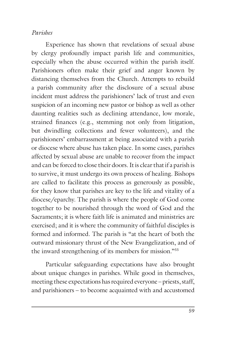#### *Parishes*

Experience has shown that revelations of sexual abuse by clergy profoundly impact parish life and communities, especially when the abuse occurred within the parish itself. Parishioners often make their grief and anger known by distancing themselves from the Church. Attempts to rebuild a parish community after the disclosure of a sexual abuse incident must address the parishioners' lack of trust and even suspicion of an incoming new pastor or bishop as well as other daunting realities such as declining attendance, low morale, strained finances (e.g., stemming not only from litigation, but dwindling collections and fewer volunteers), and the parishioners' embarrassment at being associated with a parish or diocese where abuse has taken place. In some cases, parishes affected by sexual abuse are unable to recover from the impact and can be forced to close their doors. It is clear that if a parish is to survive, it must undergo its own process of healing. Bishops are called to facilitate this process as generously as possible, for they know that parishes are key to the life and vitality of a diocese/eparchy. The parish is where the people of God come together to be nourished through the word of God and the Sacraments; it is where faith life is animated and ministries are exercised; and it is where the community of faithful disciples is formed and informed. The parish is "at the heart of both the outward missionary thrust of the New Evangelization, and of the inward strengthening of its members for mission."55

Particular safeguarding expectations have also brought about unique changes in parishes. While good in themselves, meeting these expectations has required everyone – priests, staff, and parishioners – to become acquainted with and accustomed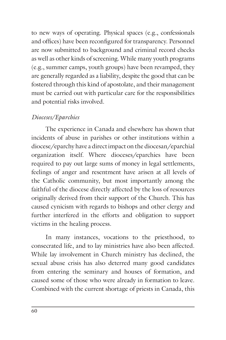to new ways of operating. Physical spaces (e.g., confessionals and offices) have been reconfigured for transparency. Personnel are now submitted to background and criminal record checks as well as other kinds of screening. While many youth programs (e.g., summer camps, youth groups) have been revamped, they are generally regarded as a liability, despite the good that can be fostered through this kind of apostolate, and their management must be carried out with particular care for the responsibilities and potential risks involved.

## *Dioceses/Eparchies*

The experience in Canada and elsewhere has shown that incidents of abuse in parishes or other institutions within a diocese/eparchy have a direct impact on the diocesan/eparchial organization itself. Where dioceses/eparchies have been required to pay out large sums of money in legal settlements, feelings of anger and resentment have arisen at all levels of the Catholic community, but most importantly among the faithful of the diocese directly affected by the loss of resources originally derived from their support of the Church. This has caused cynicism with regards to bishops and other clergy and further interfered in the efforts and obligation to support victims in the healing process.

In many instances, vocations to the priesthood, to consecrated life, and to lay ministries have also been affected. While lay involvement in Church ministry has declined, the sexual abuse crisis has also deterred many good candidates from entering the seminary and houses of formation, and caused some of those who were already in formation to leave. Combined with the current shortage of priests in Canada, this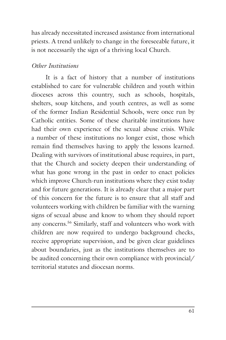has already necessitated increased assistance from international priests. A trend unlikely to change in the foreseeable future, it is not necessarily the sign of a thriving local Church.

### *Other Institutions*

It is a fact of history that a number of institutions established to care for vulnerable children and youth within dioceses across this country, such as schools, hospitals, shelters, soup kitchens, and youth centres, as well as some of the former Indian Residential Schools, were once run by Catholic entities. Some of these charitable institutions have had their own experience of the sexual abuse crisis. While a number of these institutions no longer exist, those which remain find themselves having to apply the lessons learned. Dealing with survivors of institutional abuse requires, in part, that the Church and society deepen their understanding of what has gone wrong in the past in order to enact policies which improve Church-run institutions where they exist today and for future generations. It is already clear that a major part of this concern for the future is to ensure that all staff and volunteers working with children be familiar with the warning signs of sexual abuse and know to whom they should report any concerns.56 Similarly, staff and volunteers who work with children are now required to undergo background checks, receive appropriate supervision, and be given clear guidelines about boundaries, just as the institutions themselves are to be audited concerning their own compliance with provincial/ territorial statutes and diocesan norms.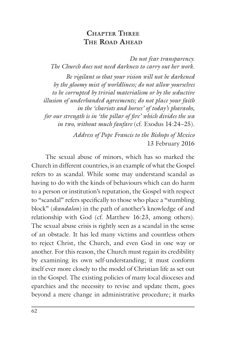## **CHAPTER THREE THE ROAD AHEAD**

*Do not fear transparency. The Church does not need darkness to carry out her work.*

*Be vigilant so that your vision will not be darkened by the gloomy mist of worldliness; do not allow yourselves to be corrupted by trivial materialism or by the seductive illusion of underhanded agreements; do not place your faith in the 'chariots and horses' of today's pharaohs, for our strength is in 'the pillar of fire' which divides the sea in two, without much fanfare* (cf. Exodus 14:24–25)*.*

> *Address of Pope Francis to the Bishops of Mexico* 13 February 2016

The sexual abuse of minors, which has so marked the Church in different countries, is an example of what the Gospel refers to as scandal. While some may understand scandal as having to do with the kinds of behaviours which can do harm to a person or institution's reputation, the Gospel with respect to "scandal" refers specifically to those who place a "stumbling block" (*skandalon*) in the path of another's knowledge of and relationship with God (cf. Matthew 16:23, among others). The sexual abuse crisis is rightly seen as a scandal in the sense of an obstacle. It has led many victims and countless others to reject Christ, the Church, and even God in one way or another. For this reason, the Church must regain its credibility by examining its own self-understanding; it must conform itself ever more closely to the model of Christian life as set out in the Gospel. The existing policies of many local dioceses and eparchies and the necessity to revise and update them, goes beyond a mere change in administrative procedure; it marks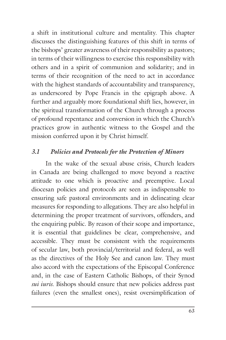a shift in institutional culture and mentality. This chapter discusses the distinguishing features of this shift in terms of the bishops' greater awareness of their responsibility as pastors; in terms of their willingness to exercise this responsibility with others and in a spirit of communion and solidarity; and in terms of their recognition of the need to act in accordance with the highest standards of accountability and transparency, as underscored by Pope Francis in the epigraph above. A further and arguably more foundational shift lies, however, in the spiritual transformation of the Church through a process of profound repentance and conversion in which the Church's practices grow in authentic witness to the Gospel and the mission conferred upon it by Christ himself.

## *3.1 Policies and Protocols for the Protection of Minors*

In the wake of the sexual abuse crisis, Church leaders in Canada are being challenged to move beyond a reactive attitude to one which is proactive and preemptive. Local diocesan policies and protocols are seen as indispensable to ensuring safe pastoral environments and in delineating clear measures for responding to allegations. They are also helpful in determining the proper treatment of survivors, offenders, and the enquiring public. By reason of their scope and importance, it is essential that guidelines be clear, comprehensive, and accessible. They must be consistent with the requirements of secular law, both provincial/territorial and federal, as well as the directives of the Holy See and canon law. They must also accord with the expectations of the Episcopal Conference and, in the case of Eastern Catholic Bishops, of their Synod *sui iuris*. Bishops should ensure that new policies address past failures (even the smallest ones), resist oversimplification of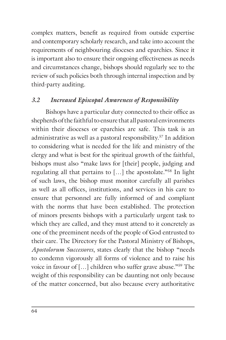complex matters, benefit as required from outside expertise and contemporary scholarly research, and take into account the requirements of neighbouring dioceses and eparchies. Since it is important also to ensure their ongoing effectiveness as needs and circumstances change, bishops should regularly see to the review of such policies both through internal inspection and by third-party auditing.

## *3.2 Increased Episcopal Awareness of Responsibility*

Bishops have a particular duty connected to their office as shepherds of the faithful to ensure that all pastoral environments within their dioceses or eparchies are safe. This task is an administrative as well as a pastoral responsibility.57 In addition to considering what is needed for the life and ministry of the clergy and what is best for the spiritual growth of the faithful, bishops must also "make laws for [their] people, judging and regulating all that pertains to […] the apostolate."58 In light of such laws, the bishop must monitor carefully all parishes as well as all offices, institutions, and services in his care to ensure that personnel are fully informed of and compliant with the norms that have been established. The protection of minors presents bishops with a particularly urgent task to which they are called, and they must attend to it concretely as one of the preeminent needs of the people of God entrusted to their care. The Directory for the Pastoral Ministry of Bishops, *Apostolorum Successores*, states clearly that the bishop "needs to condemn vigorously all forms of violence and to raise his voice in favour of […] children who suffer grave abuse."59 The weight of this responsibility can be daunting not only because of the matter concerned, but also because every authoritative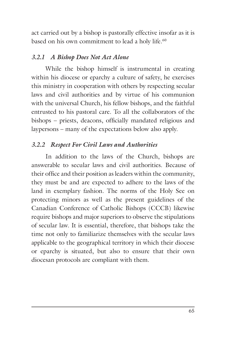act carried out by a bishop is pastorally effective insofar as it is based on his own commitment to lead a holy life.<sup>60</sup>

## *3.2.1 A Bishop Does Not Act Alone*

While the bishop himself is instrumental in creating within his diocese or eparchy a culture of safety, he exercises this ministry in cooperation with others by respecting secular laws and civil authorities and by virtue of his communion with the universal Church, his fellow bishops, and the faithful entrusted to his pastoral care. To all the collaborators of the bishops – priests, deacons, officially mandated religious and laypersons – many of the expectations below also apply.

### *3.2.2 Respect For Civil Laws and Authorities*

In addition to the laws of the Church, bishops are answerable to secular laws and civil authorities. Because of their office and their position as leaders within the community, they must be and are expected to adhere to the laws of the land in exemplary fashion. The norms of the Holy See on protecting minors as well as the present guidelines of the Canadian Conference of Catholic Bishops (CCCB) likewise require bishops and major superiors to observe the stipulations of secular law. It is essential, therefore, that bishops take the time not only to familiarize themselves with the secular laws applicable to the geographical territory in which their diocese or eparchy is situated, but also to ensure that their own diocesan protocols are compliant with them.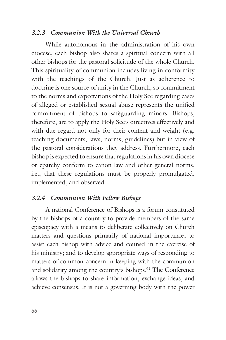#### *3.2.3 Communion With the Universal Church*

While autonomous in the administration of his own diocese, each bishop also shares a spiritual concern with all other bishops for the pastoral solicitude of the whole Church. This spirituality of communion includes living in conformity with the teachings of the Church. Just as adherence to doctrine is one source of unity in the Church, so commitment to the norms and expectations of the Holy See regarding cases of alleged or established sexual abuse represents the unified commitment of bishops to safeguarding minors. Bishops, therefore, are to apply the Holy See's directives effectively and with due regard not only for their content and weight (e.g. teaching documents, laws, norms, guidelines) but in view of the pastoral considerations they address. Furthermore, each bishop is expected to ensure that regulations in his own diocese or eparchy conform to canon law and other general norms, i.e., that these regulations must be properly promulgated, implemented, and observed.

## *3.2.4 Communion With Fellow Bishops*

A national Conference of Bishops is a forum constituted by the bishops of a country to provide members of the same episcopacy with a means to deliberate collectively on Church matters and questions primarily of national importance; to assist each bishop with advice and counsel in the exercise of his ministry; and to develop appropriate ways of responding to matters of common concern in keeping with the communion and solidarity among the country's bishops.61 The Conference allows the bishops to share information, exchange ideas, and achieve consensus. It is not a governing body with the power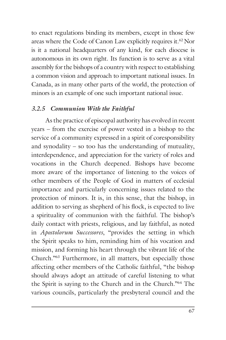to enact regulations binding its members, except in those few areas where the Code of Canon Law explicitly requires it.62 Nor is it a national headquarters of any kind, for each diocese is autonomous in its own right. Its function is to serve as a vital assembly for the bishops of a country with respect to establishing a common vision and approach to important national issues. In Canada, as in many other parts of the world, the protection of minors is an example of one such important national issue.

### *3.2.5 Communion With the Faithful*

As the practice of episcopal authority has evolved in recent years – from the exercise of power vested in a bishop to the service of a community expressed in a spirit of coresponsibility and synodality – so too has the understanding of mutuality, interdependence, and appreciation for the variety of roles and vocations in the Church deepened. Bishops have become more aware of the importance of listening to the voices of other members of the People of God in matters of ecclesial importance and particularly concerning issues related to the protection of minors. It is, in this sense, that the bishop, in addition to serving as shepherd of his flock, is expected to live a spirituality of communion with the faithful. The bishop's daily contact with priests, religious, and lay faithful, as noted in *Apostolorum Successores*, "provides the setting in which the Spirit speaks to him, reminding him of his vocation and mission, and forming his heart through the vibrant life of the Church."63 Furthermore, in all matters, but especially those affecting other members of the Catholic faithful, "the bishop should always adopt an attitude of careful listening to what the Spirit is saying to the Church and in the Church."64 The various councils, particularly the presbyteral council and the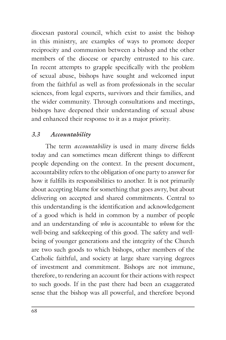diocesan pastoral council, which exist to assist the bishop in this ministry, are examples of ways to promote deeper reciprocity and communion between a bishop and the other members of the diocese or eparchy entrusted to his care. In recent attempts to grapple specifically with the problem of sexual abuse, bishops have sought and welcomed input from the faithful as well as from professionals in the secular sciences, from legal experts, survivors and their families, and the wider community. Through consultations and meetings, bishops have deepened their understanding of sexual abuse and enhanced their response to it as a major priority.

## *3.3 Accountability*

The term *accountability* is used in many diverse fields today and can sometimes mean different things to different people depending on the context. In the present document, accountability refers to the obligation of one party to answer for how it fulfills its responsibilities to another. It is not primarily about accepting blame for something that goes awry, but about delivering on accepted and shared commitments. Central to this understanding is the identification and acknowledgement of a good which is held in common by a number of people and an understanding of *who* is accountable to *whom* for the well-being and safekeeping of this good. The safety and wellbeing of younger generations and the integrity of the Church are two such goods to which bishops, other members of the Catholic faithful, and society at large share varying degrees of investment and commitment. Bishops are not immune, therefore, to rendering an account for their actions with respect to such goods. If in the past there had been an exaggerated sense that the bishop was all powerful, and therefore beyond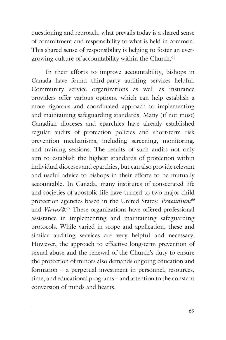questioning and reproach, what prevails today is a shared sense of commitment and responsibility to what is held in common. This shared sense of responsibility is helping to foster an evergrowing culture of accountability within the Church.65

In their efforts to improve accountability, bishops in Canada have found third-party auditing services helpful. Community service organizations as well as insurance providers offer various options, which can help establish a more rigorous and coordinated approach to implementing and maintaining safeguarding standards. Many (if not most) Canadian dioceses and eparchies have already established regular audits of protection policies and short-term risk prevention mechanisms, including screening, monitoring, and training sessions. The results of such audits not only aim to establish the highest standards of protection within individual dioceses and eparchies, but can also provide relevant and useful advice to bishops in their efforts to be mutually accountable. In Canada, many institutes of consecrated life and societies of apostolic life have turned to two major child protection agencies based in the United States: *Praesidium66* and *Virtus*®.67 These organizations have offered professional assistance in implementing and maintaining safeguarding protocols. While varied in scope and application, these and similar auditing services are very helpful and necessary. However, the approach to effective long-term prevention of sexual abuse and the renewal of the Church's duty to ensure the protection of minors also demands ongoing education and formation – a perpetual investment in personnel, resources, time, and educational programs – and attention to the constant conversion of minds and hearts.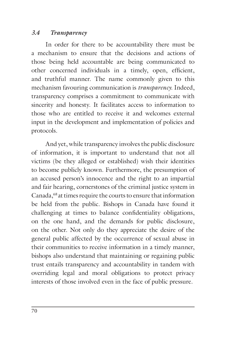#### *3.4 Transparency*

In order for there to be accountability there must be a mechanism to ensure that the decisions and actions of those being held accountable are being communicated to other concerned individuals in a timely, open, efficient, and truthful manner. The name commonly given to this mechanism favouring communication is *transparency*. Indeed, transparency comprises a commitment to communicate with sincerity and honesty. It facilitates access to information to those who are entitled to receive it and welcomes external input in the development and implementation of policies and protocols.

And yet, while transparency involves the public disclosure of information, it is important to understand that not all victims (be they alleged or established) wish their identities to become publicly known. Furthermore, the presumption of an accused person's innocence and the right to an impartial and fair hearing, cornerstones of the criminal justice system in Canada,<sup>68</sup> at times require the courts to ensure that information be held from the public. Bishops in Canada have found it challenging at times to balance confidentiality obligations, on the one hand, and the demands for public disclosure, on the other. Not only do they appreciate the desire of the general public affected by the occurrence of sexual abuse in their communities to receive information in a timely manner, bishops also understand that maintaining or regaining public trust entails transparency and accountability in tandem with overriding legal and moral obligations to protect privacy interests of those involved even in the face of public pressure.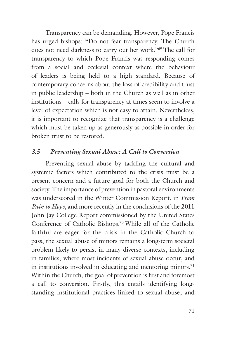Transparency can be demanding. However, Pope Francis has urged bishops: "Do not fear transparency. The Church does not need darkness to carry out her work."69 The call for transparency to which Pope Francis was responding comes from a social and ecclesial context where the behaviour of leaders is being held to a high standard. Because of contemporary concerns about the loss of credibility and trust in public leadership – both in the Church as well as in other institutions – calls for transparency at times seem to involve a level of expectation which is not easy to attain. Nevertheless, it is important to recognize that transparency is a challenge which must be taken up as generously as possible in order for broken trust to be restored.

#### *3.5 Preventing Sexual Abuse: A Call to Conversion*

Preventing sexual abuse by tackling the cultural and systemic factors which contributed to the crisis must be a present concern and a future goal for both the Church and society. The importance of prevention in pastoral environments was underscored in the Winter Commission Report, in *From Pain to Hope*, and more recently in the conclusions of the 2011 John Jay College Report commissioned by the United States Conference of Catholic Bishops.70 While all of the Catholic faithful are eager for the crisis in the Catholic Church to pass, the sexual abuse of minors remains a long-term societal problem likely to persist in many diverse contexts, including in families, where most incidents of sexual abuse occur, and in institutions involved in educating and mentoring minors.<sup>71</sup> Within the Church, the goal of prevention is first and foremost a call to conversion. Firstly, this entails identifying longstanding institutional practices linked to sexual abuse; and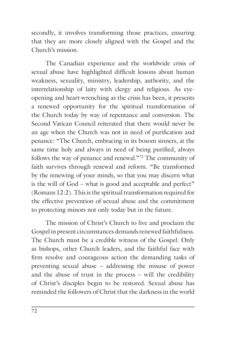secondly, it involves transforming those practices, ensuring that they are more closely aligned with the Gospel and the Church's mission.

The Canadian experience and the worldwide crisis of sexual abuse have highlighted difficult lessons about human weakness, sexuality, ministry, leadership, authority, and the interrelationship of laity with clergy and religious. As eyeopening and heart-wrenching as the crisis has been, it presents a renewed opportunity for the spiritual transformation of the Church today by way of repentance and conversion. The Second Vatican Council reiterated that there would never be an age when the Church was not in need of purification and penance: "The Church, embracing in its bosom sinners, at the same time holy and always in need of being purified, always follows the way of penance and renewal."72 The community of faith survives through renewal and reform. "Be transformed by the renewing of your minds, so that you may discern what is the will of God – what is good and acceptable and perfect" (Romans 12:2). This is the spiritual transformation required for the effective prevention of sexual abuse and the commitment to protecting minors not only today but in the future.

The mission of Christ's Church to live and proclaim the Gospel in present circumstances demands renewed faithfulness. The Church must be a credible witness of the Gospel. Only as bishops, other Church leaders, and the faithful face with firm resolve and courageous action the demanding tasks of preventing sexual abuse – addressing the misuse of power and the abuse of trust in the process – will the credibility of Christ's disciples begin to be restored. Sexual abuse has reminded the followers of Christ that the darkness in the world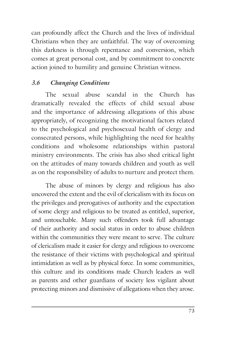can profoundly affect the Church and the lives of individual Christians when they are unfaithful. The way of overcoming this darkness is through repentance and conversion, which comes at great personal cost, and by commitment to concrete action joined to humility and genuine Christian witness.

# *3.6 Changing Conditions*

The sexual abuse scandal in the Church has dramatically revealed the effects of child sexual abuse and the importance of addressing allegations of this abuse appropriately, of recognizing the motivational factors related to the psychological and psychosexual health of clergy and consecrated persons, while highlighting the need for healthy conditions and wholesome relationships within pastoral ministry environments. The crisis has also shed critical light on the attitudes of many towards children and youth as well as on the responsibility of adults to nurture and protect them.

The abuse of minors by clergy and religious has also uncovered the extent and the evil of clericalism with its focus on the privileges and prerogatives of authority and the expectation of some clergy and religious to be treated as entitled, superior, and untouchable. Many such offenders took full advantage of their authority and social status in order to abuse children within the communities they were meant to serve. The culture of clericalism made it easier for clergy and religious to overcome the resistance of their victims with psychological and spiritual intimidation as well as by physical force. In some communities, this culture and its conditions made Church leaders as well as parents and other guardians of society less vigilant about protecting minors and dismissive of allegations when they arose.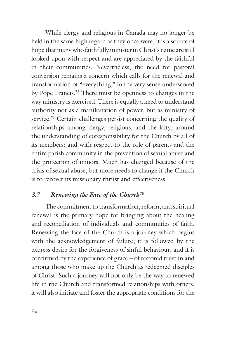While clergy and religious in Canada may no longer be held in the same high regard as they once were, it is a source of hope that many who faithfully minister in Christ's name are still looked upon with respect and are appreciated by the faithful in their communities. Nevertheless, the need for pastoral conversion remains a concern which calls for the renewal and transformation of "everything," in the very sense underscored by Pope Francis.73 There must be openness to changes in the way ministry is exercised. There is equally a need to understand authority not as a manifestation of power, but as ministry of service.<sup>74</sup> Certain challenges persist concerning the quality of relationships among clergy, religious, and the laity; around the understanding of coresponsibility for the Church by all of its members; and with respect to the role of parents and the entire parish community in the prevention of sexual abuse and the protection of minors. Much has changed because of the crisis of sexual abuse, but more needs to change if the Church is to recover its missionary thrust and effectiveness.

#### *3.7 Renewing the Face of the Church* <sup>75</sup>

The commitment to transformation, reform, and spiritual renewal is the primary hope for bringing about the healing and reconciliation of individuals and communities of faith. Renewing the face of the Church is a journey which begins with the acknowledgement of failure; it is followed by the express desire for the forgiveness of sinful behaviour; and it is confirmed by the experience of grace – of restored trust in and among those who make up the Church as redeemed disciples of Christ. Such a journey will not only be the way to renewed life in the Church and transformed relationships with others, it will also initiate and foster the appropriate conditions for the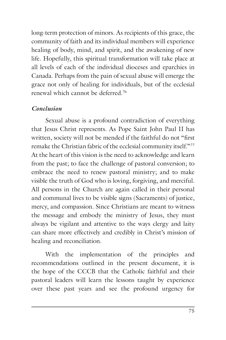long-term protection of minors. As recipients of this grace, the community of faith and its individual members will experience healing of body, mind, and spirit, and the awakening of new life. Hopefully, this spiritual transformation will take place at all levels of each of the individual dioceses and eparchies in Canada. Perhaps from the pain of sexual abuse will emerge the grace not only of healing for individuals, but of the ecclesial renewal which cannot be deferred.76

#### *Conclusion*

Sexual abuse is a profound contradiction of everything that Jesus Christ represents. As Pope Saint John Paul II has written, society will not be mended if the faithful do not "first remake the Christian fabric of the ecclesial community itself."77 At the heart of this vision is the need to acknowledge and learn from the past; to face the challenge of pastoral conversion; to embrace the need to renew pastoral ministry; and to make visible the truth of God who is loving, forgiving, and merciful. All persons in the Church are again called in their personal and communal lives to be visible signs (Sacraments) of justice, mercy, and compassion. Since Christians are meant to witness the message and embody the ministry of Jesus, they must always be vigilant and attentive to the ways clergy and laity can share more effectively and credibly in Christ's mission of healing and reconciliation.

With the implementation of the principles and recommendations outlined in the present document, it is the hope of the CCCB that the Catholic faithful and their pastoral leaders will learn the lessons taught by experience over these past years and see the profound urgency for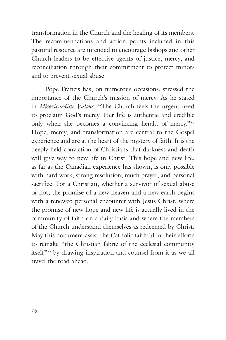transformation in the Church and the healing of its members. The recommendations and action points included in this pastoral resource are intended to encourage bishops and other Church leaders to be effective agents of justice, mercy, and reconciliation through their commitment to protect minors and to prevent sexual abuse.

Pope Francis has, on numerous occasions, stressed the importance of the Church's mission of mercy. As he stated in *Misericordiae Vultus*: "The Church feels the urgent need to proclaim God's mercy. Her life is authentic and credible only when she becomes a convincing herald of mercy."78 Hope, mercy, and transformation are central to the Gospel experience and are at the heart of the mystery of faith. It is the deeply held conviction of Christians that darkness and death will give way to new life in Christ. This hope and new life, as far as the Canadian experience has shown, is only possible with hard work, strong resolution, much prayer, and personal sacrifice. For a Christian, whether a survivor of sexual abuse or not, the promise of a new heaven and a new earth begins with a renewed personal encounter with Jesus Christ, where the promise of new hope and new life is actually lived in the community of faith on a daily basis and where the members of the Church understand themselves as redeemed by Christ. May this document assist the Catholic faithful in their efforts to remake "the Christian fabric of the ecclesial community itself"79 by drawing inspiration and counsel from it as we all travel the road ahead.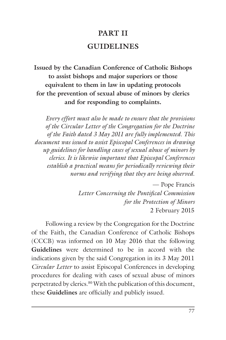# **PART II GUIDELINES**

**Issued by the Canadian Conference of Catholic Bishops to assist bishops and major superiors or those equivalent to them in law in updating protocols for the prevention of sexual abuse of minors by clerics and for responding to complaints.**

*Every effort must also be made to ensure that the provisions of the Circular Letter of the Congregation for the Doctrine of the Faith dated 3 May 2011 are fully implemented. This document was issued to assist Episcopal Conferences in drawing up guidelines for handling cases of sexual abuse of minors by clerics. It is likewise important that Episcopal Conferences establish a practical means for periodically reviewing their norms and verifying that they are being observed.*

> — Pope Francis *Letter Concerning the Pontifical Commission for the Protection of Minors* 2 February 2015

Following a review by the Congregation for the Doctrine of the Faith, the Canadian Conference of Catholic Bishops (CCCB) was informed on 10 May 2016 that the following **Guidelines** were determined to be in accord with the indications given by the said Congregation in its 3 May 2011 *Circular Letter* to assist Episcopal Conferences in developing procedures for dealing with cases of sexual abuse of minors perpetrated by clerics.<sup>80</sup> With the publication of this document, these **Guidelines** are officially and publicly issued.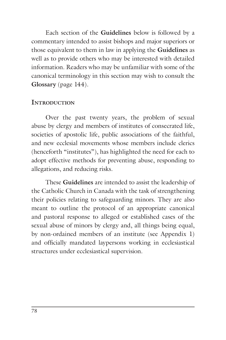Each section of the **Guidelines** below is followed by a commentary intended to assist bishops and major superiors or those equivalent to them in law in applying the **Guidelines** as well as to provide others who may be interested with detailed information. Readers who may be unfamiliar with some of the canonical terminology in this section may wish to consult the **Glossary** (page 144).

#### **INTRODUCTION**

Over the past twenty years, the problem of sexual abuse by clergy and members of institutes of consecrated life, societies of apostolic life, public associations of the faithful, and new ecclesial movements whose members include clerics (henceforth "institutes"), has highlighted the need for each to adopt effective methods for preventing abuse, responding to allegations, and reducing risks.

These **Guidelines** are intended to assist the leadership of the Catholic Church in Canada with the task of strengthening their policies relating to safeguarding minors. They are also meant to outline the protocol of an appropriate canonical and pastoral response to alleged or established cases of the sexual abuse of minors by clergy and, all things being equal, by non-ordained members of an institute (see Appendix 1) and officially mandated laypersons working in ecclesiastical structures under ecclesiastical supervision.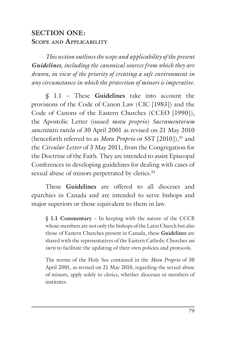# **SECTION ONE: SCOPE AND APPLICABILITY**

*This section outlines the scope and applicability of the present Guidelines, including the canonical sources from which they are drawn, in view of the priority of creating a safe environment in any circumstance in which the protection of minors is imperative.*

§ 1.1 – These **Guidelines** take into account the provisions of the Code of Canon Law (CIC [1983]) and the Code of Canons of the Eastern Churches (CCEO [1990]), the Apostolic Letter (issued *motu proprio*) *Sacramentorum sanctitatis tutela* of 30 April 2001 as revised on 21 May 2010 (henceforth referred to as *Motu Proprio* or SST [2010])*,* 81 and the *Circular Letter* of 3 May 2011, from the Congregation for the Doctrine of the Faith. They are intended to assist Episcopal Conferences in developing guidelines for dealing with cases of sexual abuse of minors perpetrated by clerics.<sup>82</sup>

These **Guidelines** are offered to all dioceses and eparchies in Canada and are intended to serve bishops and major superiors or those equivalent to them in law.

§ **1.1 Commentary** – In keeping with the nature of the CCCB whose members are not only the bishops of the Latin Church but also those of Eastern Churches present in Canada, these **Guidelines** are shared with the representatives of the Eastern Catholic Churches *sui iuris* to facilitate the updating of their own policies and protocols.

The norms of the Holy See contained in the *Motu Proprio* of 30 April 2001, as revised on 21 May 2010, regarding the sexual abuse of minors, apply solely to clerics, whether diocesan or members of institutes.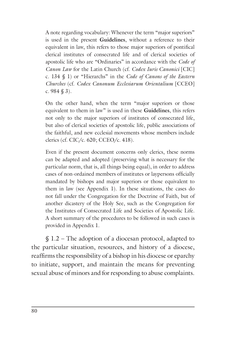A note regarding vocabulary: Whenever the term "major superiors" is used in the present **Guidelines**, without a reference to their equivalent in law, this refers to those major superiors of pontifical clerical institutes of consecrated life and of clerical societies of apostolic life who are "Ordinaries" in accordance with the *Code of Canon Law* for the Latin Church (cf. *Codex Iuris Canonici* [CIC] c. 134 § 1) or "Hierarchs" in the *Code of Canons of the Eastern Churches* (cf. *Codex Canonum Ecclesiarum Orientalium* [CCEO] c. 984 § 3).

On the other hand, when the term "major superiors or those equivalent to them in law" is used in these **Guidelines**, this refers not only to the major superiors of institutes of consecrated life, but also of clerical societies of apostolic life, public associations of the faithful, and new ecclesial movements whose members include clerics (cf. CIC/c. 620; CCEO/c. 418).

Even if the present document concerns only clerics, these norms can be adapted and adopted (preserving what is necessary for the particular norm, that is, all things being equal), in order to address cases of non-ordained members of institutes or laypersons officially mandated by bishops and major superiors or those equivalent to them in law (see Appendix 1). In these situations, the cases do not fall under the Congregation for the Doctrine of Faith, but of another dicastery of the Holy See, such as the Congregation for the Institutes of Consecrated Life and Societies of Apostolic Life. A short summary of the procedures to be followed in such cases is provided in Appendix 1.

§ 1.2 – The adoption of a diocesan protocol, adapted to the particular situation, resources, and history of a diocese, reaffirms the responsibility of a bishop in his diocese or eparchy to initiate, support, and maintain the means for preventing sexual abuse of minors and for responding to abuse complaints.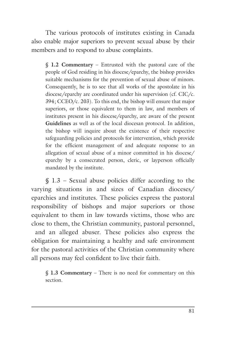The various protocols of institutes existing in Canada also enable major superiors to prevent sexual abuse by their members and to respond to abuse complaints.

§ **1.2 Commentary** – Entrusted with the pastoral care of the people of God residing in his diocese/eparchy, the bishop provides suitable mechanisms for the prevention of sexual abuse of minors. Consequently, he is to see that all works of the apostolate in his diocese/eparchy are coordinated under his supervision (cf. CIC/c. 394; CCEO/c. 203). To this end, the bishop will ensure that major superiors, or those equivalent to them in law, and members of institutes present in his diocese/eparchy, are aware of the present **Guidelines** as well as of the local diocesan protocol. In addition, the bishop will inquire about the existence of their respective safeguarding policies and protocols for intervention, which provide for the efficient management of and adequate response to an allegation of sexual abuse of a minor committed in his diocese/ eparchy by a consecrated person, cleric, or layperson officially mandated by the institute.

§ 1.3 – Sexual abuse policies differ according to the varying situations in and sizes of Canadian dioceses/ eparchies and institutes. These policies express the pastoral responsibility of bishops and major superiors or those equivalent to them in law towards victims, those who are close to them, the Christian community, pastoral personnel, and an alleged abuser. These policies also express the obligation for maintaining a healthy and safe environment for the pastoral activities of the Christian community where all persons may feel confident to live their faith.

§ **1.3 Commentary** – There is no need for commentary on this section.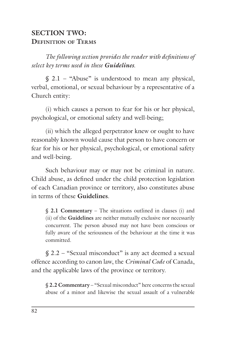#### **SECTION TWO: DEFINITION OF TERMS**

*The following section provides the reader with definitions of select key terms used in these Guidelines.*

 $$ 2.1 - "Abuse"$  is understood to mean any physical, verbal, emotional, or sexual behaviour by a representative of a Church entity:

(i) which causes a person to fear for his or her physical, psychological, or emotional safety and well-being;

(ii) which the alleged perpetrator knew or ought to have reasonably known would cause that person to have concern or fear for his or her physical, psychological, or emotional safety and well-being.

Such behaviour may or may not be criminal in nature. Child abuse, as defined under the child protection legislation of each Canadian province or territory, also constitutes abuse in terms of these **Guidelines**.

§ **2.1 Commentary** – The situations outlined in clauses (i) and (ii) of the **Guidelines** are neither mutually exclusive nor necessarily concurrent. The person abused may not have been conscious or fully aware of the seriousness of the behaviour at the time it was committed.

§ 2.2 – "Sexual misconduct" is any act deemed a sexual offence according to canon law, the *Criminal Code* of Canada, and the applicable laws of the province or territory.

§ **2.2 Commentary** – "Sexual misconduct" here concerns the sexual abuse of a minor and likewise the sexual assault of a vulnerable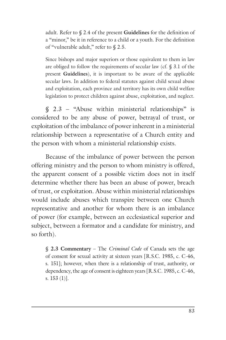adult. Refer to § 2.4 of the present **Guidelines** for the definition of a "minor," be it in reference to a child or a youth. For the definition of "vulnerable adult," refer to § 2.5.

Since bishops and major superiors or those equivalent to them in law are obliged to follow the requirements of secular law (cf. § 3.1 of the present **Guidelines**), it is important to be aware of the applicable secular laws. In addition to federal statutes against child sexual abuse and exploitation, each province and territory has its own child welfare legislation to protect children against abuse, exploitation, and neglect.

§ 2.3 – "Abuse within ministerial relationships" is considered to be any abuse of power, betrayal of trust, or exploitation of the imbalance of power inherent in a ministerial relationship between a representative of a Church entity and the person with whom a ministerial relationship exists.

Because of the imbalance of power between the person offering ministry and the person to whom ministry is offered, the apparent consent of a possible victim does not in itself determine whether there has been an abuse of power, breach of trust, or exploitation. Abuse within ministerial relationships would include abuses which transpire between one Church representative and another for whom there is an imbalance of power (for example, between an ecclesiastical superior and subject, between a formator and a candidate for ministry, and so forth).

§ **2.3 Commentary** – The *Criminal Code* of Canada sets the age of consent for sexual activity at sixteen years [R.S.C. 1985, c. C-46, s. 151]; however, when there is a relationship of trust, authority, or dependency, the age of consent is eighteen years [R.S.C. 1985, c. C-46, s. 153 (1)].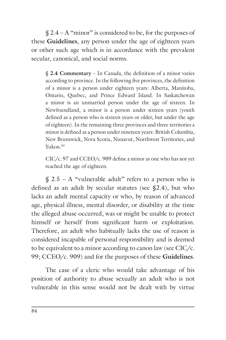$$2.4 - A$  "minor" is considered to be, for the purposes of these **Guidelines**, any person under the age of eighteen years or other such age which is in accordance with the prevalent secular, canonical, and social norms.

§ **2.4 Commentary** – In Canada, the definition of a minor varies according to province. In the following five provinces, the definition of a minor is a person under eighteen years: Alberta, Manitoba, Ontario, Quebec, and Prince Edward Island. In Saskatchewan a minor is an unmarried person under the age of sixteen. In Newfoundland, a minor is a person under sixteen years (youth defined as a person who is sixteen years or older, but under the age of eighteen). In the remaining three provinces and three territories a minor is defined as a person under nineteen years: British Columbia, New Brunswick, Nova Scotia, Nunavut, Northwest Territories, and Yukon.<sup>83</sup>

CIC/c. 97 and CCEO/c. 909 define a minor as one who has not yet reached the age of eighteen.

 $$ 2.5 - A$  "vulnerable adult" refers to a person who is defined as an adult by secular statutes (see §2.4), but who lacks an adult mental capacity or who, by reason of advanced age, physical illness, mental disorder, or disability at the time the alleged abuse occurred, was or might be unable to protect himself or herself from significant harm or exploitation. Therefore, an adult who habitually lacks the use of reason is considered incapable of personal responsibility and is deemed to be equivalent to a minor according to canon law (see  $\text{CIC}/c$ . 99; CCEO/c. 909) and for the purposes of these **Guidelines**.

The case of a cleric who would take advantage of his position of authority to abuse sexually an adult who is not vulnerable in this sense would not be dealt with by virtue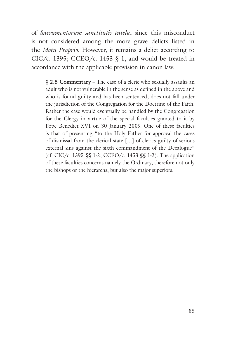of *Sacramentorum sanctitatis tutela*, since this misconduct is not considered among the more grave delicts listed in the *Motu Proprio*. However, it remains a delict according to CIC/c. 1395; CCEO/c. 1453  $\$  1, and would be treated in accordance with the applicable provision in canon law.

§ **2.5 Commentary** – The case of a cleric who sexually assaults an adult who is not vulnerable in the sense as defined in the above and who is found guilty and has been sentenced, does not fall under the jurisdiction of the Congregation for the Doctrine of the Faith. Rather the case would eventually be handled by the Congregation for the Clergy in virtue of the special faculties granted to it by Pope Benedict XVI on 30 January 2009. One of these faculties is that of presenting "to the Holy Father for approval the cases of dismissal from the clerical state […] of clerics guilty of serious external sins against the sixth commandment of the Decalogue" (cf. CIC/c. 1395 §§ 1-2; CCEO/c. 1453 §§ 1-2). The application of these faculties concerns namely the Ordinary, therefore not only the bishops or the hierarchs, but also the major superiors.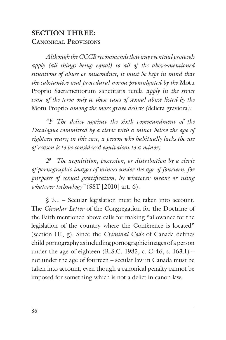#### **SECTION THREE: CANONICAL PROVISIONS**

*Although the CCCB recommends that any eventual protocols apply (all things being equal) to all of the above-mentioned situations of abuse or misconduct, it must be kept in mind that the substantive and procedural norms promulgated by the* Motu Proprio Sacramentorum sanctitatis tutela *apply in the strict sense of the term only to those cases of sexual abuse listed by the* Motu Proprio *among the more grave delicts (*delicta graviora*):*

*"10 The delict against the sixth commandment of the Decalogue committed by a cleric with a minor below the age of eighteen years; in this case, a person who habitually lacks the use of reason is to be considered equivalent to a minor;*

*20 The acquisition, possession, or distribution by a cleric of pornographic images of minors under the age of fourteen, for purposes of sexual gratification, by whatever means or using whatever technology"* (SST [2010] art. 6)*.*

§ 3.1 – Secular legislation must be taken into account. The *Circular Letter* of the Congregation for the Doctrine of the Faith mentioned above calls for making "allowance for the legislation of the country where the Conference is located" (section III, g). Since the *Criminal Code* of Canada defines child pornography as including pornographic images of a person under the age of eighteen  $(R.S.C. 1985, c. C-46, s. 163.1)$  – not under the age of fourteen – secular law in Canada must be taken into account, even though a canonical penalty cannot be imposed for something which is not a delict in canon law.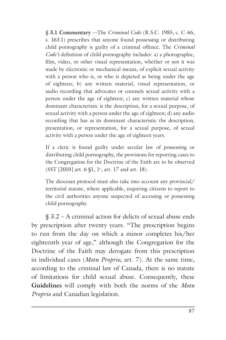§ **3.1 Commentary** —The *Criminal Code* (R.S.C. 1985, c. C-46, s. 163.1) prescribes that anyone found possessing or distributing child pornography is guilty of a criminal offence. The *Criminal Code's* definition of child pornography includes: a) a photographic, film, video, or other visual representation, whether or not it was made by electronic or mechanical means, of explicit sexual activity with a person who is, or who is depicted as being under the age of eighteen; b) any written material, visual representation, or audio recording that advocates or counsels sexual activity with a person under the age of eighteen; c) any written material whose dominant characteristic is the description, for a sexual purpose, of sexual activity with a person under the age of eighteen; d) any audio recording that has as its dominant characteristic the description, presentation, or representation, for a sexual purpose, of sexual activity with a person under the age of eighteen years.

If a cleric is found guilty under secular law of possessing or distributing child pornography, the provisions for reporting cases to the Congregation for the Doctrine of the Faith are to be observed  $(SST [2010]$  art. 6  $$1, 1^{\circ},$  art. 17 and art. 18).

The diocesan protocol must also take into account any provincial/ territorial statute, where applicable, requiring citizens to report to the civil authorities anyone suspected of accessing or possessing child pornography.

§ 3.2 – A criminal action for delicts of sexual abuse ends by prescription after twenty years. "The prescription begins to run from the day on which a minor completes his/her eighteenth year of age," although the Congregation for the Doctrine of the Faith may derogate from this prescription in individual cases (*Motu Proprio*, art. 7). At the same time, according to the criminal law of Canada, there is no statute of limitations for child sexual abuse. Consequently, these **Guidelines** will comply with both the norms of the *Motu Proprio* and Canadian legislation.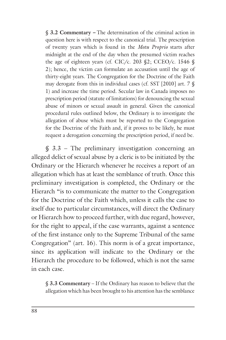§ **3.2 Commentary** *–* The determination of the criminal action in question here is with respect to the canonical trial. The prescription of twenty years which is found in the *Motu Proprio* starts after midnight at the end of the day when the presumed victim reaches the age of eighteen years (cf. CIC/c. 203 §2; CCEO/c. 1546 § 2); hence, the victim can formulate an accusation until the age of thirty-eight years. The Congregation for the Doctrine of the Faith may derogate from this in individual cases (cf. SST [2010] art. 7 § 1) and increase the time period. Secular law in Canada imposes no prescription period (statute of limitations) for denouncing the sexual abuse of minors or sexual assault in general. Given the canonical procedural rules outlined below, the Ordinary is to investigate the allegation of abuse which must be reported to the Congregation for the Doctrine of the Faith and, if it proves to be likely, he must request a derogation concerning the prescription period, if need be.

§ 3.3 – The preliminary investigation concerning an alleged delict of sexual abuse by a cleric is to be initiated by the Ordinary or the Hierarch whenever he receives a report of an allegation which has at least the semblance of truth. Once this preliminary investigation is completed, the Ordinary or the Hierarch "is to communicate the matter to the Congregation for the Doctrine of the Faith which, unless it calls the case to itself due to particular circumstances, will direct the Ordinary or Hierarch how to proceed further, with due regard, however, for the right to appeal, if the case warrants, against a sentence of the first instance only to the Supreme Tribunal of the same Congregation" (art. 16). This norm is of a great importance, since its application will indicate to the Ordinary or the Hierarch the procedure to be followed, which is not the same in each case.

§ **3.3 Commentary** – If the Ordinary has reason to believe that the allegation which has been brought to his attention has the semblance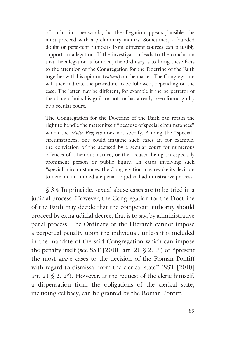of truth – in other words, that the allegation appears plausible – he must proceed with a preliminary inquiry. Sometimes, a founded doubt or persistent rumours from different sources can plausibly support an allegation. If the investigation leads to the conclusion that the allegation is founded, the Ordinary is to bring these facts to the attention of the Congregation for the Doctrine of the Faith together with his opinion (*votum*) on the matter. The Congregation will then indicate the procedure to be followed, depending on the case. The latter may be different, for example if the perpetrator of the abuse admits his guilt or not, or has already been found guilty by a secular court.

The Congregation for the Doctrine of the Faith can retain the right to handle the matter itself "because of special circumstances" which the *Motu Proprio* does not specify. Among the "special" circumstances, one could imagine such cases as, for example, the conviction of the accused by a secular court for numerous offences of a heinous nature, or the accused being an especially prominent person or public figure. In cases involving such "special" circumstances, the Congregation may revoke its decision to demand an immediate penal or judicial administrative process.

§ 3.4 In principle, sexual abuse cases are to be tried in a judicial process. However, the Congregation for the Doctrine of the Faith may decide that the competent authority should proceed by extrajudicial decree, that is to say, by administrative penal process. The Ordinary or the Hierarch cannot impose a perpetual penalty upon the individual, unless it is included in the mandate of the said Congregation which can impose the penalty itself (see SST [2010] art. 21  $\S$  2, 1<sup>o</sup>) or "present" the most grave cases to the decision of the Roman Pontiff with regard to dismissal from the clerical state" (SST [2010] art. 21  $\binom{2}{3}$ , 2°). However, at the request of the cleric himself, a dispensation from the obligations of the clerical state, including celibacy, can be granted by the Roman Pontiff.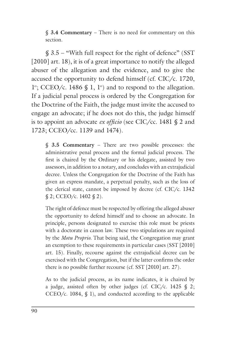§ **3.4 Commentary** – There is no need for commentary on this section.

§ 3.5 – "With full respect for the right of defence" (SST [2010] art. 18), it is of a great importance to notify the alleged abuser of the allegation and the evidence, and to give the accused the opportunity to defend himself (cf. CIC/c. 1720,  $1^\circ$ ; CCEO/c. 1486 § 1,  $1^\circ$ ) and to respond to the allegation. If a judicial penal process is ordered by the Congregation for the Doctrine of the Faith, the judge must invite the accused to engage an advocate; if he does not do this, the judge himself is to appoint an advocate *ex officio* (see CIC/cc. 1481 § 2 and 1723; CCEO/cc. 1139 and 1474).

§ **3.5 Commentary** – There are two possible processes: the administrative penal process and the formal judicial process. The first is chaired by the Ordinary or his delegate, assisted by two assessors, in addition to a notary, and concludes with an extrajudicial decree. Unless the Congregation for the Doctrine of the Faith has given an express mandate, a perpetual penalty, such as the loss of the clerical state, cannot be imposed by decree (cf.  $\text{CIC/c}.$  1342  $\S 2$ ; CCEO/c. 1402  $\S 2$ ).

The right of defence must be respected by offering the alleged abuser the opportunity to defend himself and to choose an advocate. In principle, persons designated to exercise this role must be priests with a doctorate in canon law. These two stipulations are required by the *Motu Proprio*. That being said, the Congregation may grant an exemption to these requirements in particular cases (SST [2010] art. 15). Finally, recourse against the extrajudicial decree can be exercised with the Congregation, but if the latter confirms the order there is no possible further recourse (cf. SST [2010] art. 27).

As to the judicial process, as its name indicates, it is chaired by a judge, assisted often by other judges (cf. CIC/c. 1425  $\S$  2; CCEO/c. 1084,  $$$  1), and conducted according to the applicable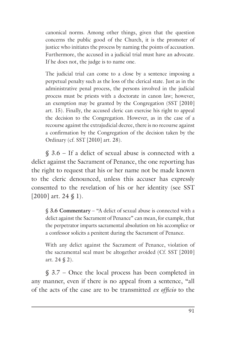canonical norms. Among other things, given that the question concerns the public good of the Church, it is the promoter of justice who initiates the process by naming the points of accusation. Furthermore, the accused in a judicial trial must have an advocate. If he does not, the judge is to name one.

The judicial trial can come to a close by a sentence imposing a perpetual penalty such as the loss of the clerical state. Just as in the administrative penal process, the persons involved in the judicial process must be priests with a doctorate in canon law; however, an exemption may be granted by the Congregation (SST [2010] art. 15). Finally, the accused cleric can exercise his right to appeal the decision to the Congregation. However, as in the case of a recourse against the extrajudicial decree, there is no recourse against a confirmation by the Congregation of the decision taken by the Ordinary (cf. SST [2010] art. 28).

§ 3.6 – If a delict of sexual abuse is connected with a delict against the Sacrament of Penance, the one reporting has the right to request that his or her name not be made known to the cleric denounced, unless this accuser has expressly consented to the revelation of his or her identity (see SST [2010] art. 24  $\S$  1).

§ **3.6 Commentary** – "A delict of sexual abuse is connected with a delict against the Sacrament of Penance" can mean, for example, that the perpetrator imparts sacramental absolution on his accomplice or a confessor solicits a penitent during the Sacrament of Penance.

With any delict against the Sacrament of Penance, violation of the sacramental seal must be altogether avoided (Cf. SST [2010] art. 24 § 2).

§ 3.7 – Once the local process has been completed in any manner, even if there is no appeal from a sentence, "all of the acts of the case are to be transmitted *ex officio* to the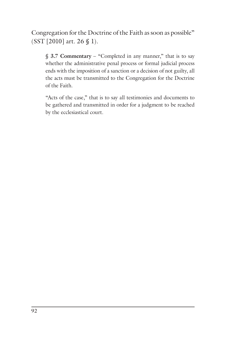Congregation for the Doctrine of the Faith as soon as possible" (SST [2010] art. 26 § 1).

§ **3.7 Commentary** – "Completed in any manner," that is to say whether the administrative penal process or formal judicial process ends with the imposition of a sanction or a decision of not guilty, all the acts must be transmitted to the Congregation for the Doctrine of the Faith.

"Acts of the case," that is to say all testimonies and documents to be gathered and transmitted in order for a judgment to be reached by the ecclesiastical court.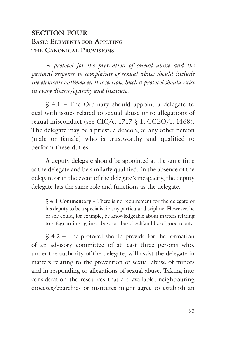# **SECTION FOUR BASIC ELEMENTS FOR APPLYING THE CANONICAL PROVISIONS**

*A protocol for the prevention of sexual abuse and the pastoral response to complaints of sexual abuse should include the elements outlined in this section. Such a protocol should exist in every diocese/eparchy and institute.*

§ 4.1 – The Ordinary should appoint a delegate to deal with issues related to sexual abuse or to allegations of sexual misconduct (see CIC/c. 1717 § 1; CCEO/c. 1468). The delegate may be a priest, a deacon, or any other person (male or female) who is trustworthy and qualified to perform these duties.

A deputy delegate should be appointed at the same time as the delegate and be similarly qualified. In the absence of the delegate or in the event of the delegate's incapacity, the deputy delegate has the same role and functions as the delegate.

§ **4.1 Commentary** – There is no requirement for the delegate or his deputy to be a specialist in any particular discipline. However, he or she could, for example, be knowledgeable about matters relating to safeguarding against abuse or abuse itself and be of good repute.

§ 4.2 – The protocol should provide for the formation of an advisory committee of at least three persons who, under the authority of the delegate, will assist the delegate in matters relating to the prevention of sexual abuse of minors and in responding to allegations of sexual abuse. Taking into consideration the resources that are available, neighbouring dioceses/eparchies or institutes might agree to establish an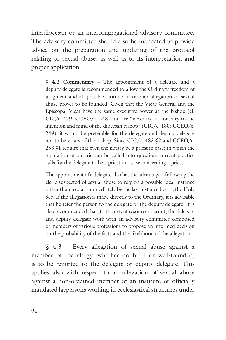interdiocesan or an intercongregational advisory committee. The advisory committee should also be mandated to provide advice on the preparation and updating of the protocol relating to sexual abuse, as well as to its interpretation and proper application.

§ **4.2 Commentary** – The appointment of a delegate and a deputy delegate is recommended to allow the Ordinary freedom of judgment and all possible latitude in case an allegation of sexual abuse proves to be founded. Given that the Vicar General and the Episcopal Vicar have the same executive power as the bishop (cf. CIC/c. 479; CCEO/c. 248) and are "never to act contrary to the intention and mind of the diocesan bishop" (CIC/c. 480; CCEO/c. 249), it would be preferable for the delegate and deputy delegate not to be vicars of the bishop. Since CIC/c. 483 §2 and CCEO/c. 253 §1 require that even the notary be a priest in cases in which the reputation of a cleric can be called into question, current practice calls for the delegate to be a priest in a case concerning a priest.

The appointment of a delegate also has the advantage of allowing the cleric suspected of sexual abuse to rely on a possible local instance rather than to start immediately by the last instance before the Holy See. If the allegation is made directly to the Ordinary, it is advisable that he refer the person to the delegate or the deputy delegate. It is also recommended that, to the extent resources permit, the delegate and deputy delegate work with an advisory committee composed of members of various professions to propose an informed decision on the probability of the facts and the likelihood of the allegation.

§ 4.3 – Every allegation of sexual abuse against a member of the clergy, whether doubtful or well-founded, is to be reported to the delegate or deputy delegate. This applies also with respect to an allegation of sexual abuse against a non-ordained member of an institute or officially mandated laypersons working in ecclesiastical structures under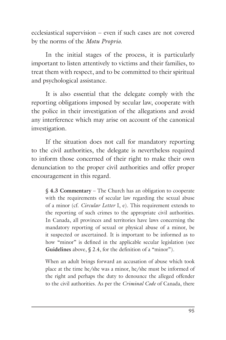ecclesiastical supervision – even if such cases are not covered by the norms of the *Motu Proprio*.

In the initial stages of the process, it is particularly important to listen attentively to victims and their families, to treat them with respect, and to be committed to their spiritual and psychological assistance.

It is also essential that the delegate comply with the reporting obligations imposed by secular law, cooperate with the police in their investigation of the allegations and avoid any interference which may arise on account of the canonical investigation.

If the situation does not call for mandatory reporting to the civil authorities, the delegate is nevertheless required to inform those concerned of their right to make their own denunciation to the proper civil authorities and offer proper encouragement in this regard.

§ **4.3 Commentary** – The Church has an obligation to cooperate with the requirements of secular law regarding the sexual abuse of a minor (cf. *Circular Letter* I, e). This requirement extends to the reporting of such crimes to the appropriate civil authorities. In Canada, all provinces and territories have laws concerning the mandatory reporting of sexual or physical abuse of a minor, be it suspected or ascertained. It is important to be informed as to how "minor" is defined in the applicable secular legislation (see **Guidelines** above, § 2.4, for the definition of a "minor").

When an adult brings forward an accusation of abuse which took place at the time he/she was a minor, he/she must be informed of the right and perhaps the duty to denounce the alleged offender to the civil authorities. As per the *Criminal Code* of Canada, there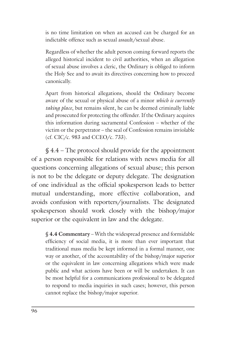is no time limitation on when an accused can be charged for an indictable offence such as sexual assault/sexual abuse.

Regardless of whether the adult person coming forward reports the alleged historical incident to civil authorities, when an allegation of sexual abuse involves a cleric, the Ordinary is obliged to inform the Holy See and to await its directives concerning how to proceed canonically.

Apart from historical allegations, should the Ordinary become aware of the sexual or physical abuse of a minor *which is currently taking place*, but remains silent, he can be deemed criminally liable and prosecuted for protecting the offender. If the Ordinary acquires this information during sacramental Confession – whether of the victim or the perpetrator – the seal of Confession remains inviolable (cf. CIC/c. 983 and CCEO/c. 733).

§ 4.4 – The protocol should provide for the appointment of a person responsible for relations with news media for all questions concerning allegations of sexual abuse; this person is not to be the delegate or deputy delegate. The designation of one individual as the official spokesperson leads to better mutual understanding, more effective collaboration, and avoids confusion with reporters/journalists. The designated spokesperson should work closely with the bishop/major superior or the equivalent in law and the delegate.

§ **4.4 Commentary** – With the widespread presence and formidable efficiency of social media, it is more than ever important that traditional mass media be kept informed in a formal manner, one way or another, of the accountability of the bishop/major superior or the equivalent in law concerning allegations which were made public and what actions have been or will be undertaken. It can be most helpful for a communications professional to be delegated to respond to media inquiries in such cases; however, this person cannot replace the bishop/major superior.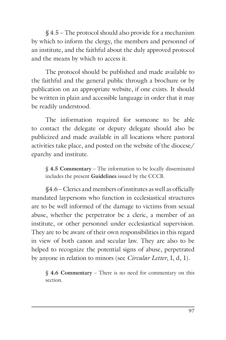§ 4.5 – The protocol should also provide for a mechanism by which to inform the clergy, the members and personnel of an institute, and the faithful about the duly approved protocol and the means by which to access it.

The protocol should be published and made available to the faithful and the general public through a brochure or by publication on an appropriate website, if one exists. It should be written in plain and accessible language in order that it may be readily understood.

The information required for someone to be able to contact the delegate or deputy delegate should also be publicized and made available in all locations where pastoral activities take place, and posted on the website of the diocese/ eparchy and institute.

§ **4.5 Commentary** – The information to be locally disseminated includes the present **Guidelines** issued by the CCCB.

§4.6 – Clerics and members of institutes as well as officially mandated laypersons who function in ecclesiastical structures are to be well informed of the damage to victims from sexual abuse, whether the perpetrator be a cleric, a member of an institute, or other personnel under ecclesiastical supervision. They are to be aware of their own responsibilities in this regard in view of both canon and secular law. They are also to be helped to recognize the potential signs of abuse, perpetrated by anyone in relation to minors (see *Circular Letter*, I, d, 1).

§ **4.6 Commentary** – There is no need for commentary on this section.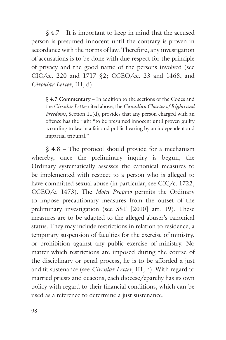$$4.7 - It is important to keep in mind that the accused$ person is presumed innocent until the contrary is proven in accordance with the norms of law. Therefore, any investigation of accusations is to be done with due respect for the principle of privacy and the good name of the persons involved (see CIC/cc. 220 and 1717 §2; CCEO/cc. 23 and 1468, and *Circular Letter*, III, d).

§ **4.7 Commentary** – In addition to the sections of the Codes and the *Circular Letter* cited above, the *Canadian Charter of Rights and Freedoms*, Section 11(d), provides that any person charged with an offence has the right "to be presumed innocent until proven guilty according to law in a fair and public hearing by an independent and impartial tribunal."

§ 4.8 – The protocol should provide for a mechanism whereby, once the preliminary inquiry is begun, the Ordinary systematically assesses the canonical measures to be implemented with respect to a person who is alleged to have committed sexual abuse (in particular, see CIC/c. 1722; CCEO/c. 1473). The *Motu Proprio* permits the Ordinary to impose precautionary measures from the outset of the preliminary investigation (see SST [2010] art. 19). These measures are to be adapted to the alleged abuser's canonical status. They may include restrictions in relation to residence, a temporary suspension of faculties for the exercise of ministry, or prohibition against any public exercise of ministry. No matter which restrictions are imposed during the course of the disciplinary or penal process, he is to be afforded a just and fit sustenance (see *Circular Letter*, III, h). With regard to married priests and deacons, each diocese/eparchy has its own policy with regard to their financial conditions, which can be used as a reference to determine a just sustenance.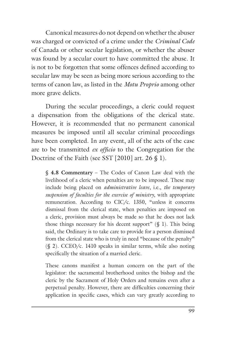Canonical measures do not depend on whether the abuser was charged or convicted of a crime under the *Criminal Code* of Canada or other secular legislation, or whether the abuser was found by a secular court to have committed the abuse. It is not to be forgotten that some offences defined according to secular law may be seen as being more serious according to the terms of canon law, as listed in the *Motu Proprio* among other more grave delicts.

During the secular proceedings, a cleric could request a dispensation from the obligations of the clerical state. However, it is recommended that no permanent canonical measures be imposed until all secular criminal proceedings have been completed. In any event, all of the acts of the case are to be transmitted *ex officio* to the Congregation for the Doctrine of the Faith (see SST [2010] art. 26 § 1).

§ **4.8 Commentary** – The Codes of Canon Law deal with the livelihood of a cleric when penalties are to be imposed. These may include being placed on *administrative leave*, i.e., *the temporary suspension of faculties for the exercise of ministry*, with appropriate remuneration. According to CIC/c. 1350, "unless it concerns dismissal from the clerical state, when penalties are imposed on a cleric, provision must always be made so that he does not lack those things necessary for his decent support"  $(\S 1)$ . This being said, the Ordinary is to take care to provide for a person dismissed from the clerical state who is truly in need "because of the penalty" (§ 2). CCEO/c. 1410 speaks in similar terms, while also noting specifically the situation of a married cleric.

These canons manifest a human concern on the part of the legislator: the sacramental brotherhood unites the bishop and the cleric by the Sacrament of Holy Orders and remains even after a perpetual penalty. However, there are difficulties concerning their application in specific cases, which can vary greatly according to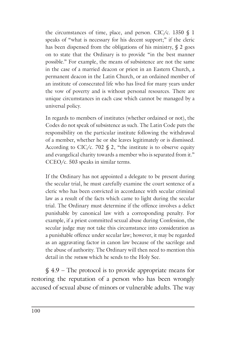the circumstances of time, place, and person. CIC/c. 1350  $\S$  1 speaks of "what is necessary for his decent support;" if the cleric has been dispensed from the obligations of his ministry, § 2 goes on to state that the Ordinary is to provide "in the best manner possible." For example, the means of subsistence are not the same in the case of a married deacon or priest in an Eastern Church, a permanent deacon in the Latin Church, or an ordained member of an institute of consecrated life who has lived for many years under the vow of poverty and is without personal resources. There are unique circumstances in each case which cannot be managed by a universal policy.

In regards to members of institutes (whether ordained or not), the Codes do not speak of subsistence as such. The Latin Code puts the responsibility on the particular institute following the withdrawal of a member, whether he or she leaves legitimately or is dismissed. According to CIC/c. 702  $\S$  2, "the institute is to observe equity and evangelical charity towards a member who is separated from it." CCEO/c. 503 speaks in similar terms.

If the Ordinary has not appointed a delegate to be present during the secular trial, he must carefully examine the court sentence of a cleric who has been convicted in accordance with secular criminal law as a result of the facts which came to light during the secular trial. The Ordinary must determine if the offence involves a delict punishable by canonical law with a corresponding penalty. For example, if a priest committed sexual abuse during Confession, the secular judge may not take this circumstance into consideration as a punishable offence under secular law; however, it may be regarded as an aggravating factor in canon law because of the sacrilege and the abuse of authority. The Ordinary will then need to mention this detail in the *votum* which he sends to the Holy See.

§ 4.9 – The protocol is to provide appropriate means for restoring the reputation of a person who has been wrongly accused of sexual abuse of minors or vulnerable adults. The way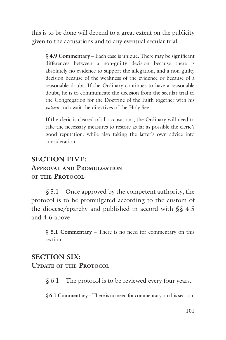this is to be done will depend to a great extent on the publicity given to the accusations and to any eventual secular trial.

§ **4.9 Commentary** – Each case is unique. There may be significant differences between a non-guilty decision because there is absolutely no evidence to support the allegation, and a non-guilty decision because of the weakness of the evidence or because of a reasonable doubt. If the Ordinary continues to have a reasonable doubt, he is to communicate the decision from the secular trial to the Congregation for the Doctrine of the Faith together with his *votum* and await the directives of the Holy See.

If the cleric is cleared of all accusations, the Ordinary will need to take the necessary measures to restore as far as possible the cleric's good reputation, while also taking the latter's own advice into consideration.

#### **SECTION FIVE:**

#### **APPROVAL AND PROMULGATION OF THE PROTOCOL**

 $$5.1 - Once approved by the competent authority, the$ protocol is to be promulgated according to the custom of the diocese/eparchy and published in accord with §§ 4.5 and 4.6 above.

§ **5.1 Commentary** – There is no need for commentary on this section.

#### **SECTION SIX:**

**UPDATE OF THE PROTOCOL**

 $§ 6.1$  – The protocol is to be reviewed every four years.

§ **6.1 Commentary** – There is no need for commentary on this section.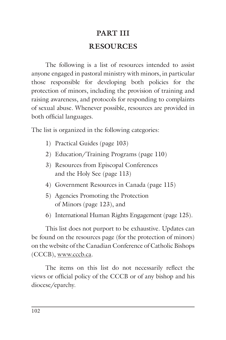# **PART III RESOURCES**

The following is a list of resources intended to assist anyone engaged in pastoral ministry with minors, in particular those responsible for developing both policies for the protection of minors, including the provision of training and raising awareness, and protocols for responding to complaints of sexual abuse. Whenever possible, resources are provided in both official languages.

The list is organized in the following categories:

- 1) Practical Guides (page 103)
- 2) Education/Training Programs (page 110)
- 3) Resources from Episcopal Conferences and the Holy See (page 113)
- 4) Government Resources in Canada (page 115)
- 5) Agencies Promoting the Protection of Minors (page 123), and
- 6) International Human Rights Engagement (page 125).

This list does not purport to be exhaustive. Updates can be found on the resources page (for the protection of minors) on the website of the Canadian Conference of Catholic Bishops (CCCB), www.cccb.ca.

The items on this list do not necessarily reflect the views or official policy of the CCCB or of any bishop and his diocese/eparchy.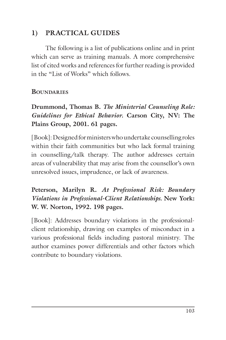# **1) PRACTICAL GUIDES**

The following is a list of publications online and in print which can serve as training manuals. A more comprehensive list of cited works and references for further reading is provided in the "List of Works" which follows.

#### **BOUNDARIES**

**Drummond, Thomas B.** *The Ministerial Counseling Role: Guidelines for Ethical Behavior.* **Carson City, NV: The Plains Group, 2001. 61 pages.**

[Book]: Designed for ministers who undertake counselling roles within their faith communities but who lack formal training in counselling/talk therapy. The author addresses certain areas of vulnerability that may arise from the counsellor's own unresolved issues, imprudence, or lack of awareness.

#### **Peterson, Marilyn R.** *At Professional Risk: Boundary Violations in Professional-Client Relationships.* **New York: W. W. Norton, 1992. 198 pages.**

[Book]: Addresses boundary violations in the professionalclient relationship, drawing on examples of misconduct in a various professional fields including pastoral ministry. The author examines power differentials and other factors which contribute to boundary violations.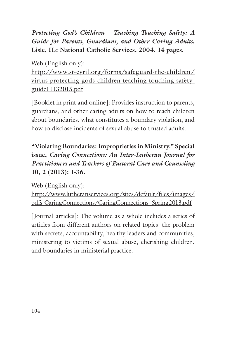*Protecting God's Children – Teaching Touching Safety: A Guide for Parents, Guardians, and Other Caring Adults***. Lisle, IL: National Catholic Services, 2004. 14 pages.**

Web (English only): http://www.st-cyril.org/forms/safeguard-the-children/ virtus-protecting-gods-children-teaching-touching-safetyguide11132015.pdf

[Booklet in print and online]: Provides instruction to parents, guardians, and other caring adults on how to teach children about boundaries, what constitutes a boundary violation, and how to disclose incidents of sexual abuse to trusted adults.

**"Violating Boundaries: Improprieties in Ministry." Special issue,** *Caring Connections: An Inter-Lutheran Journal for Practitioners and Teachers of Pastoral Care and Counseling* **10, 2 (2013): 1-36.**

Web (English only): http://www.lutheranservices.org/sites/default/files/images/ pdfs-CaringConnections/CaringConnections\_Spring2013.pdf

[Journal articles]: The volume as a whole includes a series of articles from different authors on related topics: the problem with secrets, accountability, healthy leaders and communities, ministering to victims of sexual abuse, cherishing children, and boundaries in ministerial practice.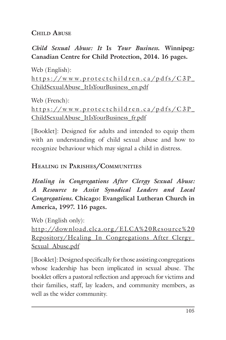#### **CHILD ABUSE**

*Child Sexual Abuse: It* **Is** *Your Business***. Winnipeg: Canadian Centre for Child Protection, 2014. 16 pages.**

Web (English):  $https://www.protectchildren.ca/pdfs/C3P$ ChildSexualAbuse\_ItIsYourBusiness\_en.pdf

Web (French):  $https://www.protectchildren.ca/pdfs/C3P$ ChildSexualAbuse\_ItIsYourBusiness\_fr.pdf

[Booklet]: Designed for adults and intended to equip them with an understanding of child sexual abuse and how to recognize behaviour which may signal a child in distress.

#### **HEALING IN PARISHES/COMMUNITIES**

*Healing in Congregations After Clergy Sexual Abuse: A Resource to Assist Synodical Leaders and Local Congregations***. Chicago: Evangelical Lutheran Church in America, 1997. 116 pages.**

Web (English only):

http://download.elca.org/ELCA%20Resource%20 Repository/Healing In Congregations After Clergy Sexual\_Abuse.pdf

[Booklet]: Designed specifically for those assisting congregations whose leadership has been implicated in sexual abuse. The booklet offers a pastoral reflection and approach for victims and their families, staff, lay leaders, and community members, as well as the wider community.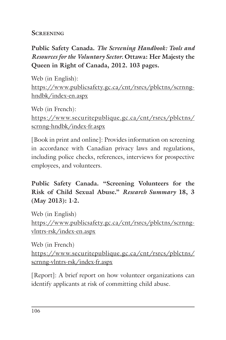#### **SCREENING**

# **Public Safety Canada.** *The Screening Handbook: Tools and Resources for the Voluntary Sector.* **Ottawa: Her Majesty the Queen in Right of Canada, 2012. 103 pages.**

Web (in English): https://www.publicsafety.gc.ca/cnt/rsrcs/pblctns/scrnnghndbk/index-en.aspx

Web (in French): https://www.securitepublique.gc.ca/cnt/rsrcs/pblctns/ scrnng-hndbk/index-fr.aspx

[Book in print and online]: Provides information on screening in accordance with Canadian privacy laws and regulations, including police checks, references, interviews for prospective employees, and volunteers.

**Public Safety Canada. "Screening Volunteers for the Risk of Child Sexual Abuse."** *Research Summary* **18, 3 (May 2013): 1-2.**

Web (in English) https://www.publicsafety.gc.ca/cnt/rsrcs/pblctns/scrnngvlntrs-rsk/index-en.aspx

Web (in French) https://www.securitepublique.gc.ca/cnt/rsrcs/pblctns/ scrnng-vlntrs-rsk/index-fr.aspx

[Report]: A brief report on how volunteer organizations can identify applicants at risk of committing child abuse.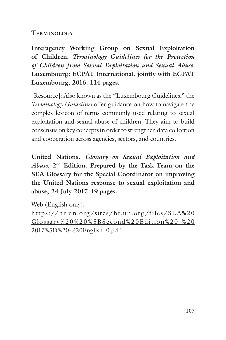#### **TERMINOLOGY**

**Interagency Working Group on Sexual Exploitation of Children.** *Terminology Guidelines for the Protection of Children from Sexual Exploitation and Sexual Abuse.*  **Luxembourg: ECPAT International, jointly with ECPAT Luxembourg, 2016. 114 pages.**

[Resource]: Also known as the "Luxembourg Guidelines," the *Terminology Guidelines* offer guidance on how to navigate the complex lexicon of terms commonly used relating to sexual exploitation and sexual abuse of children. They aim to build consensus on key concepts in order to strengthen data collection and cooperation across agencies, sectors, and countries.

**United Nations.** *Glossary on Sexual Exploitation and Abuse***. 2nd Edition. Prepared by the Task Team on the SEA Glossary for the Special Coordinator on improving the United Nations response to sexual exploitation and abuse, 24 July 2017. 19 pages.**

Web (English only):

https://hr.un.org/sites/hr.un.org/files/SEA%20 Glossary%20%20%5BSecond%20Edition%20-%20 2017%5D%20-%20English\_0.pdf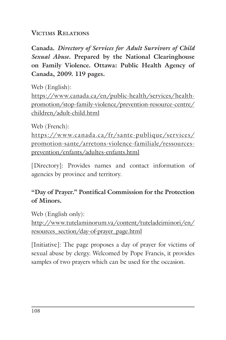#### **VICTIMS RELATIONS**

**Canada.** *Directory of Services for Adult Survivors of Child Sexual Abuse***. Prepared by the National Clearinghouse on Family Violence. Ottawa: Public Health Agency of Canada, 2009. 119 pages.**

Web (English):

https://www.canada.ca/en/public-health/services/healthpromotion/stop-family-violence/prevention-resource-centre/ children/adult-child.html

Web (French):

https://www.canada.ca/fr/sante-publique/services/ promotion-sante/arretons-violence-familiale/ressourcesprevention/enfants/adultes-enfants.html

[Directory]: Provides names and contact information of agencies by province and territory.

# **"Day of Prayer." Pontifical Commission for the Protection of Minors.**

Web (English only):

http://www.tutelaminorum.va/content/tuteladeiminori/en/ resources\_section/day-of-prayer\_page.html

[Initiative]: The page proposes a day of prayer for victims of sexual abuse by clergy. Welcomed by Pope Francis, it provides samples of two prayers which can be used for the occasion.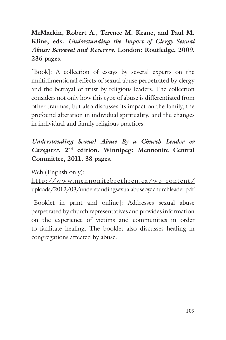**McMackin, Robert A., Terence M. Keane, and Paul M. Kline, eds.** *Understanding the Impact of Clergy Sexual Abuse: Betrayal and Recovery***. London: Routledge, 2009. 236 pages.**

[Book]: A collection of essays by several experts on the multidimensional effects of sexual abuse perpetrated by clergy and the betrayal of trust by religious leaders. The collection considers not only how this type of abuse is differentiated from other traumas, but also discusses its impact on the family, the profound alteration in individual spirituality, and the changes in individual and family religious practices.

# *Understanding Sexual Abuse By a Church Leader or Caregiver***. 2nd edition. Winnipeg: Mennonite Central Committee, 2011. 38 pages.**

Web (English only):

http://www.mennonitebrethren.ca/wp-content/ uploads/2012/03/understandingsexualabusebyachurchleader.pdf

[Booklet in print and online]: Addresses sexual abuse perpetrated by church representatives and provides information on the experience of victims and communities in order to facilitate healing. The booklet also discusses healing in congregations affected by abuse.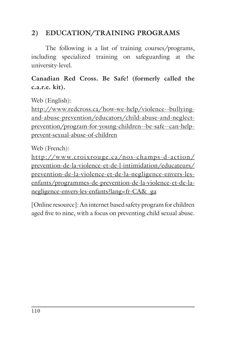## **2) EDUCATION/TRAINING PROGRAMS**

The following is a list of training courses/programs, including specialized training on safeguarding at the university-level.

**Canadian Red Cross. Be Safe! (formerly called the c.a.r.e. kit).**

Web (English):

http://www.redcross.ca/how-we-help/violence--bullyingand-abuse-prevention/educators/child-abuse-and-neglectprevention/program-for-young-children--be-safe--can-helpprevent-sexual-abuse-of-children

Web (French):

http://w w w.croixrouge.ca/nos-champs-d-action/ prevention-de-la-violence-et-de-l-intimidation/educateurs/ prevention-de-la-violence-et-de-la-negligence-envers-lesenfants/programmes-de-prevention-de-la-violence-et-de-lanegligence-envers-les-enfants?lang=fr-CA&\_ga

[Online resource]: An internet based safety program for children aged five to nine, with a focus on preventing child sexual abuse.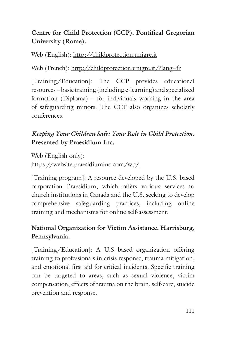# **Centre for Child Protection (CCP). Pontifical Gregorian University (Rome).**

Web (English): http://childprotection.unigre.it

Web (French): http://childprotection.unigre.it/?lang=fr

[Training/Education]: The CCP provides educational resources – basic training (including e-learning) and specialized formation (Diploma) – for individuals working in the area of safeguarding minors. The CCP also organizes scholarly conferences.

## *Keeping Your Children Safe: Your Role in Child Protection***. Presented by Praesidium Inc.**

Web (English only): https://website.praesidiuminc.com/wp/

[Training program]: A resource developed by the U.S.-based corporation Praesidium, which offers various services to church institutions in Canada and the U.S. seeking to develop comprehensive safeguarding practices, including online training and mechanisms for online self-assessment.

# **National Organization for Victim Assistance. Harrisburg, Pennsylvania.**

[Training/Education]: A U.S.-based organization offering training to professionals in crisis response, trauma mitigation, and emotional first aid for critical incidents. Specific training can be targeted to areas, such as sexual violence, victim compensation, effects of trauma on the brain, self-care, suicide prevention and response.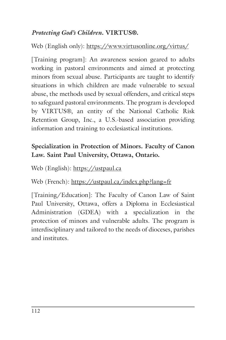#### *Protecting God's Children***. VIRTUS®.**

Web (English only): https://www.virtusonline.org/virtus/

[Training program]: An awareness session geared to adults working in pastoral environments and aimed at protecting minors from sexual abuse. Participants are taught to identify situations in which children are made vulnerable to sexual abuse, the methods used by sexual offenders, and critical steps to safeguard pastoral environments. The program is developed by VIRTUS®, an entity of the National Catholic Risk Retention Group, Inc., a U.S.-based association providing information and training to ecclesiastical institutions.

## **Specialization in Protection of Minors. Faculty of Canon Law. Saint Paul University, Ottawa, Ontario.**

Web (English): https://ustpaul.ca

Web (French): https://ustpaul.ca/index.php?lang=fr

[Training/Education]: The Faculty of Canon Law of Saint Paul University, Ottawa, offers a Diploma in Ecclesiastical Administration (GDEA) with a specialization in the protection of minors and vulnerable adults. The program is interdisciplinary and tailored to the needs of dioceses, parishes and institutes.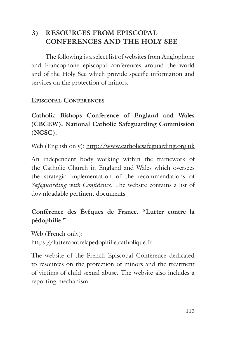# **3) RESOURCES FROM EPISCOPAL CONFERENCES AND THE HOLY SEE**

The following is a select list of websites from Anglophone and Francophone episcopal conferences around the world and of the Holy See which provide specific information and services on the protection of minors.

#### **EPISCOPAL CONFERENCES**

**Catholic Bishops Conference of England and Wales (CBCEW). National Catholic Safeguarding Commission (NCSC).**

Web (English only): http://www.catholicsafeguarding.org.uk

An independent body working within the framework of the Catholic Church in England and Wales which oversees the strategic implementation of the recommendations of *Safeguarding with Confidence*. The website contains a list of downloadable pertinent documents.

# **Conférence des Évêques de France. "Lutter contre la pédophilie."**

Web (French only): https://luttercontrelapedophilie.catholique.fr

The website of the French Episcopal Conference dedicated to resources on the protection of minors and the treatment of victims of child sexual abuse. The website also includes a reporting mechanism.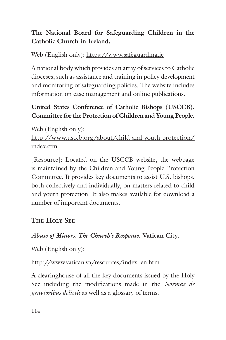# **The National Board for Safeguarding Children in the Catholic Church in Ireland.**

Web (English only): https://www.safeguarding.ie

A national body which provides an array of services to Catholic dioceses, such as assistance and training in policy development and monitoring of safeguarding policies. The website includes information on case management and online publications.

## **United States Conference of Catholic Bishops (USCCB). Committee for the Protection of Children and Young People.**

Web (English only): http://www.usccb.org/about/child-and-youth-protection/ index.cfm

[Resource]: Located on the USCCB website, the webpage is maintained by the Children and Young People Protection Committee. It provides key documents to assist U.S. bishops, both collectively and individually, on matters related to child and youth protection. It also makes available for download a number of important documents.

# **THE HOLY SEE**

# *Abuse of Minors. The Church's Response***. Vatican City.**

Web (English only):

http://www.vatican.va/resources/index\_en.htm

A clearinghouse of all the key documents issued by the Holy See including the modifications made in the *Normae de gravioribus delictis* as well as a glossary of terms.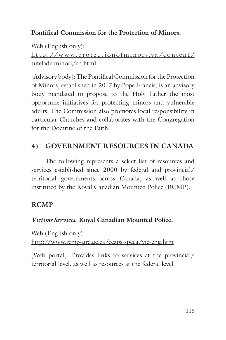## **Pontifical Commission for the Protection of Minors.**

Web (English only): http://www.protectionofminors.va/content/ tuteladeiminori/en.html

[Advisory body]: The Pontifical Commission for the Protection of Minors, established in 2017 by Pope Francis, is an advisory body mandated to propose to the Holy Father the most opportune initiatives for protecting minors and vulnerable adults. The Commission also promotes local responsibility in particular Churches and collaborates with the Congregation for the Doctrine of the Faith.

# **4) GOVERNMENT RESOURCES IN CANADA**

The following represents a select list of resources and services established since 2000 by federal and provincial/ territorial governments across Canada, as well as those instituted by the Royal Canadian Mounted Police (RCMP).

## **RCMP**

## *Victims Services***. Royal Canadian Mounted Police.**

Web (English only): http://www.rcmp-grc.gc.ca/ccaps-spcca/vic-eng.htm

[Web portal]: Provides links to services at the provincial/ territorial level, as well as resources at the federal level.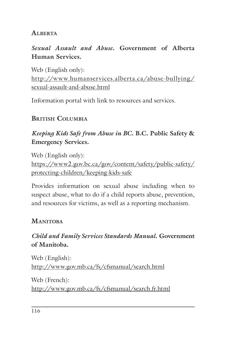#### **ALBERTA**

## *Sexual Assault and Abuse***. Government of Alberta Human Services.**

Web (English only): http://www.humanservices.alberta.ca/abuse-bullying/ sexual-assault-and-abuse.html

Information portal with link to resources and services.

## **BRITISH COLUMBIA**

## *Keeping Kids Safe from Abuse in BC***. B.C. Public Safety & Emergency Services.**

Web (English only): https://www2.gov.bc.ca/gov/content/safety/public-safety/ protecting-children/keeping-kids-safe

Provides information on sexual abuse including when to suspect abuse, what to do if a child reports abuse, prevention, and resources for victims, as well as a reporting mechanism.

#### **MANITOBA**

## *Child and Family Services Standards Manual***. Government of Manitoba.**

Web (English): http://www.gov.mb.ca/fs/cfsmanual/search.html

Web (French): http://www.gov.mb.ca/fs/cfsmanual/search.fr.html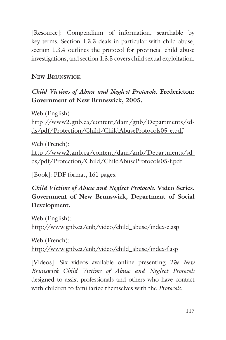[Resource]: Compendium of information, searchable by key terms. Section 1.3.3 deals in particular with child abuse, section 1.3.4 outlines the protocol for provincial child abuse investigations, and section 1.3.5 covers child sexual exploitation.

# **NEW BRUNSWICK**

#### *Child Victims of Abuse and Neglect Protocols***. Fredericton: Government of New Brunswick, 2005.**

Web (English) http://www2.gnb.ca/content/dam/gnb/Departments/sdds/pdf/Protection/Child/ChildAbuseProtocols05-e.pdf

Web (French): http://www2.gnb.ca/content/dam/gnb/Departments/sdds/pdf/Protection/Child/ChildAbuseProtocols05-f.pdf

[Book]: PDF format, 161 pages.

*Child Victims of Abuse and Neglect Protocols.* **Video Series. Government of New Brunswick, Department of Social Development.**

Web (English): http://www.gnb.ca/cnb/video/child\_abuse/index-e.asp

Web (French): http://www.gnb.ca/cnb/video/child\_abuse/index-f.asp

[Videos]: Six videos available online presenting *The New Brunswick Child Victims of Abuse and Neglect Protocols*  designed to assist professionals and others who have contact with children to familiarize themselves with the *Protocols*.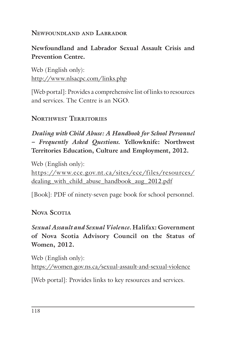#### **NEWFOUNDLAND AND LABRADOR**

# **Newfoundland and Labrador Sexual Assault Crisis and Prevention Centre.**

Web (English only): http://www.nlsacpc.com/links.php

[Web portal]: Provides a comprehensive list of links to resources and services. The Centre is an NGO.

# **NORTHWEST TERRITORIES**

*Dealing with Child Abuse: A Handbook for School Personnel – Frequently Asked Questions.* **Yellowknife: Northwest Territories Education, Culture and Employment, 2012.**

Web (English only): https://www.ece.gov.nt.ca/sites/ece/files/resources/ dealing with child abuse handbook aug 2012.pdf

[Book]: PDF of ninety-seven page book for school personnel.

**NOVA SCOTIA**

# *Sexual Assault and Sexual Violence.* **Halifax: Government of Nova Scotia Advisory Council on the Status of Women, 2012.**

Web (English only): https://women.gov.ns.ca/sexual-assault-and-sexual-violence

[Web portal]: Provides links to key resources and services.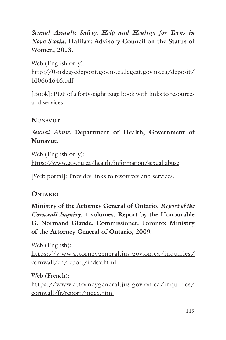*Sexual Assault: Safety, Help and Healing for Teens in Nova Scotia.* **Halifax: Advisory Council on the Status of Women, 2013.**

Web (English only): http://0-nsleg-edeposit.gov.ns.ca.legcat.gov.ns.ca/deposit/ b10664646.pdf

[Book]: PDF of a forty-eight page book with links to resources and services.

#### **NUNAVUT**

*Sexual Abuse.* **Department of Health, Government of Nunavut.**

Web (English only): https://www.gov.nu.ca/health/information/sexual-abuse

[Web portal]: Provides links to resources and services.

#### **ONTARIO**

**Ministry of the Attorney General of Ontario.** *Report of the Cornwall Inquiry***. 4 volumes. Report by the Honourable G. Normand Glaude, Commissioner. Toronto: Ministry of the Attorney General of Ontario, 2009.**

Web (English): https://www.attorneygeneral.jus.gov.on.ca/inquiries/ cornwall/en/report/index.html

Web (French): https://www.attorneygeneral.jus.gov.on.ca/inquiries/ cornwall/fr/report/index.html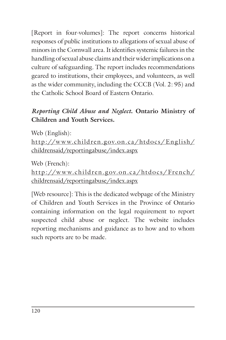[Report in four-volumes]: The report concerns historical responses of public institutions to allegations of sexual abuse of minors in the Cornwall area. It identifies systemic failures in the handling of sexual abuse claims and their wider implications on a culture of safeguarding. The report includes recommendations geared to institutions, their employees, and volunteers, as well as the wider community, including the CCCB (Vol. 2: 95) and the Catholic School Board of Eastern Ontario.

## *Reporting Child Abuse and Neglect***. Ontario Ministry of Children and Youth Services.**

Web (English):

http://w w w.children.gov.on.ca/htdocs/ English/ childrensaid/reportingabuse/index.aspx

Web (French):

http://www.children.gov.on.ca/htdocs/French/ childrensaid/reportingabuse/index.aspx

[Web resource]: This is the dedicated webpage of the Ministry of Children and Youth Services in the Province of Ontario containing information on the legal requirement to report suspected child abuse or neglect. The website includes reporting mechanisms and guidance as to how and to whom such reports are to be made.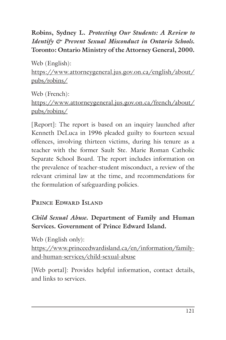## **Robins, Sydney L.** *Protecting Our Students: A Review to Identify & Prevent Sexual Misconduct in Ontario Schools***. Toronto: Ontario Ministry of the Attorney General, 2000.**

Web (English): https://www.attorneygeneral.jus.gov.on.ca/english/about/ pubs/robins/

Web (French): https://www.attorneygeneral.jus.gov.on.ca/french/about/ pubs/robins/

[Report]: The report is based on an inquiry launched after Kenneth DeLuca in 1996 pleaded guilty to fourteen sexual offences, involving thirteen victims, during his tenure as a teacher with the former Sault Ste. Marie Roman Catholic Separate School Board. The report includes information on the prevalence of teacher-student misconduct, a review of the relevant criminal law at the time, and recommendations for the formulation of safeguarding policies.

## **PRINCE EDWARD ISLAND**

# *Child Sexual Abuse***. Department of Family and Human Services. Government of Prince Edward Island.**

Web (English only):

https://www.princeedwardisland.ca/en/information/familyand-human-services/child-sexual-abuse

[Web portal]: Provides helpful information, contact details, and links to services.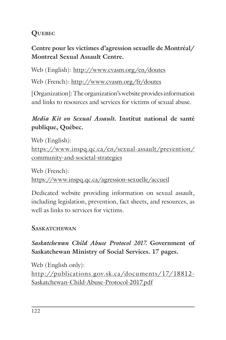# **QUEBEC**

# **Centre pour les victimes d'agression sexuelle de Montréal/ Montreal Sexual Assault Centre.**

Web (English): http://www.cvasm.org/en/doutes

Web (French): http://www.cvasm.org/fr/doutes

[Organization]: The organization's website provides information and links to resources and services for victims of sexual abuse.

# *Media Kit on Sexual Assault***. Institut national de santé publique, Québec.**

Web (English): https://www.inspq.qc.ca/en/sexual-assault/prevention/ community-and-societal-strategies

Web (French): https://www.inspq.qc.ca/agression-sexuelle/accueil

Dedicated website providing information on sexual assault, including legislation, prevention, fact sheets, and resources, as well as links to services for victims.

# **SASKATCHEWAN**

*Saskatchewan Child Abuse Protocol 2017.* **Government of Saskatchewan Ministry of Social Services. 17 pages.**

Web (English only): http://publications.gov.sk.ca/documents/17/18812- Saskatchewan-Child-Abuse-Protocol-2017.pdf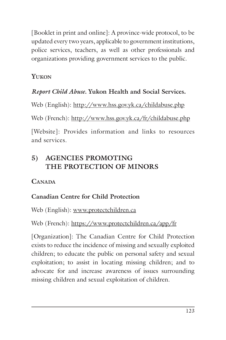[Booklet in print and online]: A province-wide protocol, to be updated every two years, applicable to government institutions, police services, teachers, as well as other professionals and organizations providing government services to the public.

# **YUKON**

# *Report Child Abuse.* **Yukon Health and Social Services.**

Web (English): http://www.hss.gov.yk.ca/childabuse.php

Web (French): http://www.hss.gov.yk.ca/fr/childabuse.php

[Website]: Provides information and links to resources and services.

# **5) AGENCIES PROMOTING THE PROTECTION OF MINORS**

## **CANADA**

# **Canadian Centre for Child Protection**

Web (English): www.protectchildren.ca

# Web (French): https://www.protectchildren.ca/app/fr

[Organization]: The Canadian Centre for Child Protection exists to reduce the incidence of missing and sexually exploited children; to educate the public on personal safety and sexual exploitation; to assist in locating missing children; and to advocate for and increase awareness of issues surrounding missing children and sexual exploitation of children.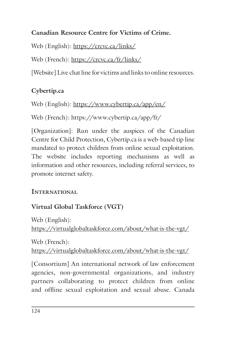## **Canadian Resource Centre for Victims of Crime.**

Web (English): https://crcvc.ca/links/

Web (French): https://crcvc.ca/fr/links/

[Website] Live chat line for victims and links to online resources.

# **Cybertip.ca**

Web (English): https://www.cybertip.ca/app/en/

Web (French): https://www.cybertip.ca/app/fr/

[Organization]: Run under the auspices of the Canadian Centre for Child Protection, Cybertip.ca is a web-based tip line mandated to protect children from online sexual exploitation. The website includes reporting mechanisms as well as information and other resources, including referral services, to promote internet safety.

## **INTERNATIONAL**

# **Virtual Global Taskforce (VGT)**

Web (English): https://virtualglobaltaskforce.com/about/what-is-the-vgt/

Web (French): https://virtualglobaltaskforce.com/about/what-is-the-vgt/

[Consortium] An international network of law enforcement agencies, non-governmental organizations, and industry partners collaborating to protect children from online and offline sexual exploitation and sexual abuse. Canada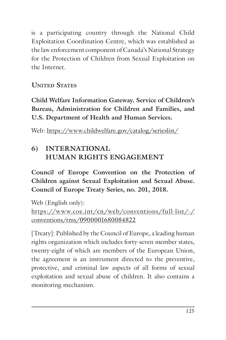is a participating country through the National Child Exploitation Coordination Centre, which was established as the law enforcement component of Canada's National Strategy for the Protection of Children from Sexual Exploitation on the Internet.

**UNITED STATES**

**Child Welfare Information Gateway. Service of Children's Bureau, Administration for Children and Families, and U.S. Department of Health and Human Services.**

Web: https://www.childwelfare.gov/catalog/serieslist/

# **6) INTERNATIONAL HUMAN RIGHTS ENGAGEMENT**

**Council of Europe Convention on the Protection of Children against Sexual Exploitation and Sexual Abuse. Council of Europe Treaty Series, no. 201, 2018.**

Web (English only): https://www.coe.int/en/web/conventions/full-list/-/ conventions/rms/0900001680084822

[Treaty]: Published by the Council of Europe, a leading human rights organization which includes forty-seven member states, twenty-eight of which are members of the European Union, the agreement is an instrument directed to the preventive, protective, and criminal law aspects of all forms of sexual exploitation and sexual abuse of children. It also contains a monitoring mechanism.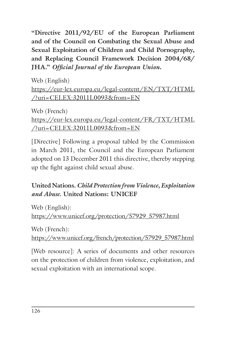**"Directive 2011/92/EU of the European Parliament and of the Council on Combating the Sexual Abuse and Sexual Exploitation of Children and Child Pornography, and Replacing Council Framework Decision 2004/68/ JHA."** *Official Journal of the European Union***.**

Web (English) https://eur-lex.europa.eu/legal-content/EN/TXT/HTML /?uri=CELEX:32011L0093&from=EN

Web (French) https://eur-lex.europa.eu/legal-content/FR/TXT/HTML /?uri=CELEX:32011L0093&from=EN

[Directive] Following a proposal tabled by the Commission in March 2011, the Council and the European Parliament adopted on 13 December 2011 this directive, thereby stepping up the fight against child sexual abuse.

# **United Nations.** *Child Protection from Violence, Exploitation and Abuse.* **United Nations: UNICEF**

Web (English): https://www.unicef.org/protection/57929\_57987.html

Web (French):

https://www.unicef.org/french/protection/57929\_57987.html

[Web resource]: A series of documents and other resources on the protection of children from violence, exploitation, and sexual exploitation with an international scope.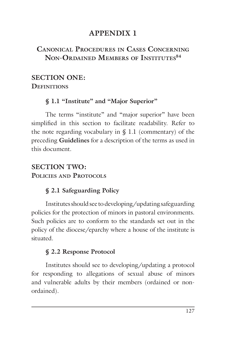# **APPENDIX 1**

# **CANONICAL PROCEDURES IN CASES CONCERNING NON-ORDAINED MEMBERS OF INSTITUTES84**

#### **SECTION ONE: DEFINITIONS**

#### **§ 1.1 "Institute" and "Major Superior"**

The terms "institute" and "major superior" have been simplified in this section to facilitate readability. Refer to the note regarding vocabulary in  $\S$  1.1 (commentary) of the preceding **Guidelines** for a description of the terms as used in this document.

# **SECTION TWO: POLICIES AND PROTOCOLS**

## **§ 2.1 Safeguarding Policy**

Institutes should see to developing/updating safeguarding policies for the protection of minors in pastoral environments. Such policies are to conform to the standards set out in the policy of the diocese/eparchy where a house of the institute is situated.

## **§ 2.2 Response Protocol**

Institutes should see to developing/updating a protocol for responding to allegations of sexual abuse of minors and vulnerable adults by their members (ordained or nonordained).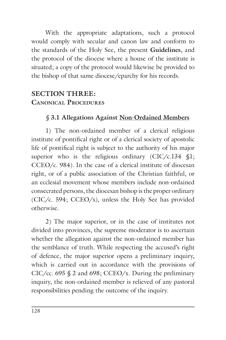With the appropriate adaptations, such a protocol would comply with secular and canon law and conform to the standards of the Holy See, the present **Guidelines**, and the protocol of the diocese where a house of the institute is situated; a copy of the protocol would likewise be provided to the bishop of that same diocese/eparchy for his records.

# **SECTION THREE: CANONICAL PROCEDURES**

#### *§* **3.1 Allegations Against Non-Ordained Members**

1) The non-ordained member of a clerical religious institute of pontifical right or of a clerical society of apostolic life of pontifical right is subject to the authority of his major superior who is the religious ordinary (CIC/c.134 §1; CCEO/c. 984)*.* In the case of a clerical institute of diocesan right, or of a public association of the Christian faithful, or an ecclesial movement whose members include non-ordained consecrated persons, the diocesan bishop is the proper ordinary (CIC/c. 594; CCEO/x), unless the Holy See has provided otherwise.

2) The major superior, or in the case of institutes not divided into provinces, the supreme moderator is to ascertain whether the allegation against the non-ordained member has the semblance of truth. While respecting the accused's right of defence, the major superior opens a preliminary inquiry, which is carried out in accordance with the provisions of CIC/cc. 695  $\frac{6}{9}$  2 and 698; CCEO/x. During the preliminary inquiry, the non-ordained member is relieved of any pastoral responsibilities pending the outcome of the inquiry.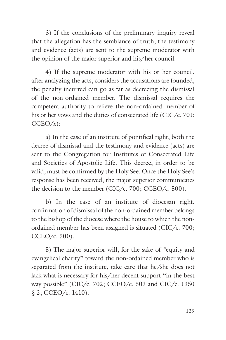3) If the conclusions of the preliminary inquiry reveal that the allegation has the semblance of truth, the testimony and evidence (acts) are sent to the supreme moderator with the opinion of the major superior and his/her council.

4) If the supreme moderator with his or her council, after analyzing the acts, considers the accusations are founded, the penalty incurred can go as far as decreeing the dismissal of the non-ordained member. The dismissal requires the competent authority to relieve the non-ordained member of his or her vows and the duties of consecrated life (CIC/c. 701;  $CCEO/x$ :

a) In the case of an institute of pontifical right, both the decree of dismissal and the testimony and evidence (acts) are sent to the Congregation for Institutes of Consecrated Life and Societies of Apostolic Life. This decree, in order to be valid, must be confirmed by the Holy See. Once the Holy See's response has been received, the major superior communicates the decision to the member (CIC/c. 700; CCEO/c. 500).

b) In the case of an institute of diocesan right, confirmation of dismissal of the non-ordained member belongs to the bishop of the diocese where the house to which the nonordained member has been assigned is situated (CIC/c. 700; CCEO/c. 500).

5) The major superior will, for the sake of *"*equity and evangelical charity" toward the non-ordained member who is separated from the institute, take care that he/she does not lack what is necessary for his/her decent support "in the best way possible" (CIC/c. 702; CCEO/c. 503 and CIC/c. 1350 § 2; CCEO/c. 1410).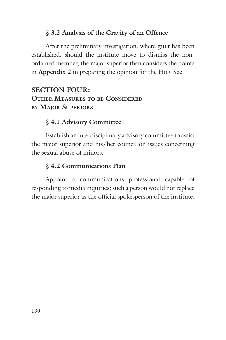#### § **3.2 Analysis of the Gravity of an Offence**

After the preliminary investigation, where guilt has been established, should the institute move to dismiss the nonordained member, the major superior then considers the points in **Appendix 2** in preparing the opinion for the Holy See.

## **SECTION FOUR: OTHER MEASURES TO BE CONSIDERED BY MAJOR SUPERIORS**

#### § **4.1 Advisory Committee**

Establish an interdisciplinary advisory committee to assist the major superior and his/her council on issues concerning the sexual abuse of minors.

#### § **4.2 Communications Plan**

Appoint a communications professional capable of responding to media inquiries; such a person would not replace the major superior as the official spokesperson of the institute.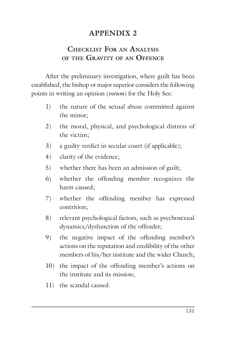# **APPENDIX 2**

## **CHECKLIST FOR AN ANALYSIS OF THE GRAVITY OF AN OFFENCE**

After the preliminary investigation, where guilt has been established, the bishop or major superior considers the following points in writing an opinion (*votum*) for the Holy See:

- 1) the nature of the sexual abuse committed against the minor;
- 2) the moral, physical, and psychological distress of the victim;
- 3) a guilty verdict in secular court (if applicable);
- 4) clarity of the evidence;
- 5) whether there has been an admission of guilt;
- 6) whether the offending member recognizes the harm caused;
- 7) whether the offending member has expressed contrition;
- 8) relevant psychological factors, such as psychosexual dynamics/dysfunction of the offender;
- 9) the negative impact of the offending member's actions on the reputation and credibility of the other members of his/her institute and the wider Church;
- 10) the impact of the offending member's actions on the institute and its mission;
- 11) the scandal caused.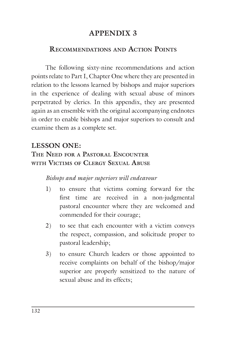# **APPENDIX 3**

#### **RECOMMENDATIONS AND ACTION POINTS**

The following sixty-nine recommendations and action points relate to Part I, Chapter One where they are presented in relation to the lessons learned by bishops and major superiors in the experience of dealing with sexual abuse of minors perpetrated by clerics. In this appendix, they are presented again as an ensemble with the original accompanying endnotes in order to enable bishops and major superiors to consult and examine them as a complete set.

## **LESSON ONE:**

#### **THE NEED FOR A PASTORAL ENCOUNTER WITH VICTIMS OF CLERGY SEXUAL ABUSE**

- 1) to ensure that victims coming forward for the first time are received in a non-judgmental pastoral encounter where they are welcomed and commended for their courage;
- 2) to see that each encounter with a victim conveys the respect, compassion, and solicitude proper to pastoral leadership;
- 3) to ensure Church leaders or those appointed to receive complaints on behalf of the bishop/major superior are properly sensitized to the nature of sexual abuse and its effects;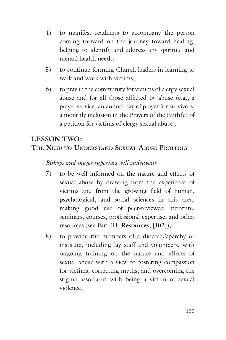- 4) to manifest readiness to accompany the person coming forward on the journey toward healing, helping to identify and address any spiritual and mental health needs;
- 5) to continue forming Church leaders in learning to walk and work with victims;
- 6) to pray in the community for victims of clergy sexual abuse and for all those affected by abuse (e.g., a prayer service, an annual day of prayer for survivors, a monthly inclusion in the Prayers of the Faithful of a petition for victims of clergy sexual abuse).

# **LESSON TWO: THE NEED TO UNDERSTAND SEXUAL ABUSE PROPERLY**

- 7) to be well informed on the nature and effects of sexual abuse by drawing from the experience of victims and from the growing field of human, psychological, and social sciences in this area, making good use of peer-reviewed literature, seminars, courses, professional expertise, and other resources (see Part III, **Resources**, [102]);
- 8) to provide the members of a diocese/eparchy or institute, including lay staff and volunteers, with ongoing training on the nature and effects of sexual abuse with a view to fostering compassion for victims, correcting myths, and overcoming the stigma associated with being a victim of sexual violence;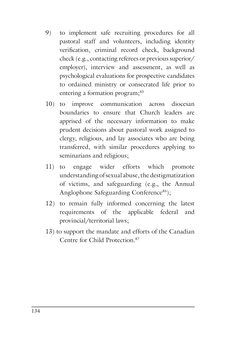- 9) to implement safe recruiting procedures for all pastoral staff and volunteers, including identity verification, criminal record check, background check (e.g., contacting referees or previous superior/ employer), interview and assessment, as well as psychological evaluations for prospective candidates to ordained ministry or consecrated life prior to entering a formation program;<sup>85</sup>
- 10) to improve communication across diocesan boundaries to ensure that Church leaders are apprised of the necessary information to make prudent decisions about pastoral work assigned to clergy, religious, and lay associates who are being transferred, with similar procedures applying to seminarians and religious;
- 11) to engage wider efforts which promote understanding of sexual abuse, the destigmatization of victims, and safeguarding (e.g., the Annual Anglophone Safeguarding Conference<sup>86</sup>);
- 12) to remain fully informed concerning the latest requirements of the applicable federal and provincial/territorial laws;
- 13) to support the mandate and efforts of the Canadian Centre for Child Protection.87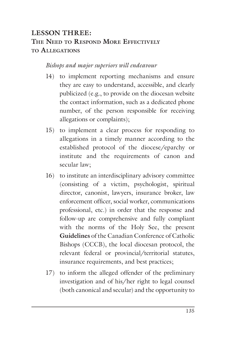# **LESSON THREE: THE NEED TO RESPOND MORE EFFECTIVELY TO ALLEGATIONS**

- 14) to implement reporting mechanisms and ensure they are easy to understand, accessible, and clearly publicized (e.g., to provide on the diocesan website the contact information, such as a dedicated phone number, of the person responsible for receiving allegations or complaints);
- 15) to implement a clear process for responding to allegations in a timely manner according to the established protocol of the diocese/eparchy or institute and the requirements of canon and secular law;
- 16) to institute an interdisciplinary advisory committee (consisting of a victim, psychologist, spiritual director, canonist, lawyers, insurance broker, law enforcement officer, social worker, communications professional, etc.) in order that the response and follow-up are comprehensive and fully compliant with the norms of the Holy See, the present **Guidelines** of the Canadian Conference of Catholic Bishops (CCCB), the local diocesan protocol, the relevant federal or provincial/territorial statutes, insurance requirements, and best practices;
- 17) to inform the alleged offender of the preliminary investigation and of his/her right to legal counsel (both canonical and secular) and the opportunity to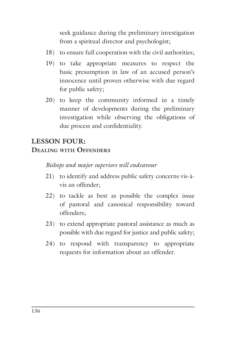seek guidance during the preliminary investigation from a spiritual director and psychologist;

- 18) to ensure full cooperation with the civil authorities;
- 19) to take appropriate measures to respect the basic presumption in law of an accused person's innocence until proven otherwise with due regard for public safety;
- 20) to keep the community informed in a timely manner of developments during the preliminary investigation while observing the obligations of due process and confidentiality.

# **LESSON FOUR:**

#### **DEALING WITH OFFENDERS**

- 21) to identify and address public safety concerns vis-àvis an offender;
- 22) to tackle as best as possible the complex issue of pastoral and canonical responsibility toward offenders;
- 23) to extend appropriate pastoral assistance as much as possible with due regard for justice and public safety;
- 24) to respond with transparency to appropriate requests for information about an offender.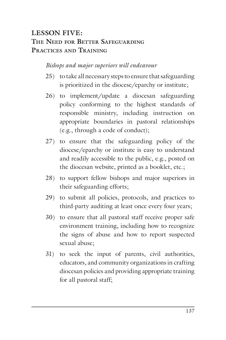# **LESSON FIVE: THE NEED FOR BETTER SAFEGUARDING PRACTICES AND TRAINING**

- 25) to take all necessary steps to ensure that safeguarding is prioritized in the diocese/eparchy or institute;
- 26) to implement/update a diocesan safeguarding policy conforming to the highest standards of responsible ministry, including instruction on appropriate boundaries in pastoral relationships (e.g., through a code of conduct);
- 27) to ensure that the safeguarding policy of the diocese/eparchy or institute is easy to understand and readily accessible to the public, e.g., posted on the diocesan website, printed as a booklet, etc.;
- 28) to support fellow bishops and major superiors in their safeguarding efforts;
- 29) to submit all policies, protocols, and practices to third-party auditing at least once every four years;
- 30) to ensure that all pastoral staff receive proper safe environment training, including how to recognize the signs of abuse and how to report suspected sexual abuse;
- 31) to seek the input of parents, civil authorities, educators, and community organizations in crafting diocesan policies and providing appropriate training for all pastoral staff;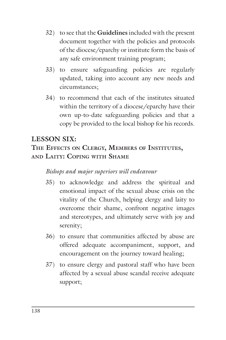- 32) to see that the **Guidelines** included with the present document together with the policies and protocols of the diocese/eparchy or institute form the basis of any safe environment training program;
- 33) to ensure safeguarding policies are regularly updated, taking into account any new needs and circumstances;
- 34) to recommend that each of the institutes situated within the territory of a diocese/eparchy have their own up-to-date safeguarding policies and that a copy be provided to the local bishop for his records.

## **LESSON SIX:**

#### **THE EFFECTS ON CLERGY, MEMBERS OF INSTITUTES, AND LAITY: COPING WITH SHAME**

- 35) to acknowledge and address the spiritual and emotional impact of the sexual abuse crisis on the vitality of the Church, helping clergy and laity to overcome their shame, confront negative images and stereotypes, and ultimately serve with joy and serenity;
- 36) to ensure that communities affected by abuse are offered adequate accompaniment, support, and encouragement on the journey toward healing;
- 37) to ensure clergy and pastoral staff who have been affected by a sexual abuse scandal receive adequate support;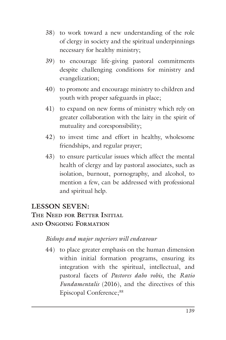- 38) to work toward a new understanding of the role of clergy in society and the spiritual underpinnings necessary for healthy ministry;
- 39) to encourage life-giving pastoral commitments despite challenging conditions for ministry and evangelization;
- 40) to promote and encourage ministry to children and youth with proper safeguards in place;
- 41) to expand on new forms of ministry which rely on greater collaboration with the laity in the spirit of mutuality and coresponsibility;
- 42) to invest time and effort in healthy, wholesome friendships, and regular prayer;
- 43) to ensure particular issues which affect the mental health of clergy and lay pastoral associates, such as isolation, burnout, pornography, and alcohol, to mention a few, can be addressed with professional and spiritual help.

## **LESSON SEVEN:**

#### **THE NEED FOR BETTER INITIAL AND ONGOING FORMATION**

#### *Bishops and major superiors will endeavour*

44) to place greater emphasis on the human dimension within initial formation programs, ensuring its integration with the spiritual, intellectual, and pastoral facets of *Pastores dabo vobis*, the *Ratio Fundamentalis* (2016), and the directives of this Episcopal Conference;<sup>88</sup>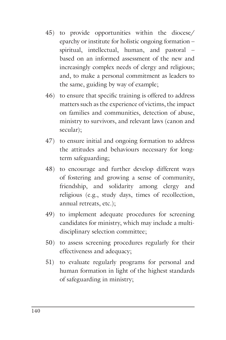- 45) to provide opportunities within the diocese/ eparchy or institute for holistic ongoing formation – spiritual, intellectual, human, and pastoral – based on an informed assessment of the new and increasingly complex needs of clergy and religious; and, to make a personal commitment as leaders to the same, guiding by way of example;
- 46) to ensure that specific training is offered to address matters such as the experience of victims, the impact on families and communities, detection of abuse, ministry to survivors, and relevant laws (canon and secular);
- 47) to ensure initial and ongoing formation to address the attitudes and behaviours necessary for longterm safeguarding;
- 48) to encourage and further develop different ways of fostering and growing a sense of community, friendship, and solidarity among clergy and religious (e.g., study days, times of recollection, annual retreats, etc.);
- 49) to implement adequate procedures for screening candidates for ministry, which may include a multidisciplinary selection committee;
- 50) to assess screening procedures regularly for their effectiveness and adequacy;
- 51) to evaluate regularly programs for personal and human formation in light of the highest standards of safeguarding in ministry;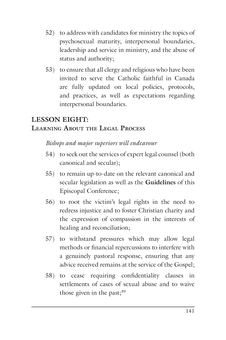- 52) to address with candidates for ministry the topics of psychosexual maturity, interpersonal boundaries, leadership and service in ministry, and the abuse of status and authority;
- 53) to ensure that all clergy and religious who have been invited to serve the Catholic faithful in Canada are fully updated on local policies, protocols, and practices, as well as expectations regarding interpersonal boundaries.

## **LESSON EIGHT: LEARNING ABOUT THE LEGAL PROCESS**

- 54) to seek out the services of expert legal counsel (both canonical and secular);
- 55) to remain up-to-date on the relevant canonical and secular legislation as well as the **Guidelines** of this Episcopal Conference;
- 56) to root the victim's legal rights in the need to redress injustice and to foster Christian charity and the expression of compassion in the interests of healing and reconciliation;
- 57) to withstand pressures which may allow legal methods or financial repercussions to interfere with a genuinely pastoral response, ensuring that any advice received remains at the service of the Gospel;
- 58) to cease requiring confidentiality clauses in settlements of cases of sexual abuse and to waive those given in the past; $89$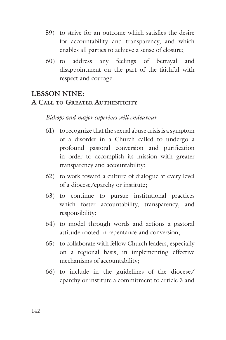- 59) to strive for an outcome which satisfies the desire for accountability and transparency, and which enables all parties to achieve a sense of closure;
- 60) to address any feelings of betrayal and disappointment on the part of the faithful with respect and courage.

## **LESSON NINE:**

#### **A CALL TO GREATER AUTHENTICITY**

- 61) to recognize that the sexual abuse crisis is a symptom of a disorder in a Church called to undergo a profound pastoral conversion and purification in order to accomplish its mission with greater transparency and accountability;
- 62) to work toward a culture of dialogue at every level of a diocese/eparchy or institute;
- 63) to continue to pursue institutional practices which foster accountability, transparency, and responsibility;
- 64) to model through words and actions a pastoral attitude rooted in repentance and conversion;
- 65) to collaborate with fellow Church leaders, especially on a regional basis, in implementing effective mechanisms of accountability;
- 66) to include in the guidelines of the diocese/ eparchy or institute a commitment to article 3 and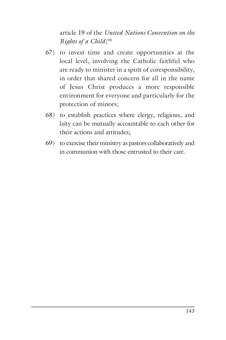article 19 of the *United Nations Convention on the Rights of a Child*; 90

- 67) to invest time and create opportunities at the local level, involving the Catholic faithful who are ready to minister in a spirit of coresponsibility, in order that shared concern for all in the name of Jesus Christ produces a more responsible environment for everyone and particularly for the protection of minors;
- 68) to establish practices where clergy, religious, and laity can be mutually accountable to each other for their actions and attitudes;
- 69) to exercise their ministry as pastors collaboratively and in communion with those entrusted to their care.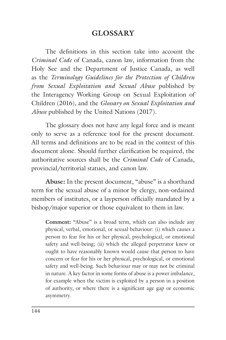## **GLOSSARY**

The definitions in this section take into account the *Criminal Code* of Canada, canon law, information from the Holy See and the Department of Justice Canada, as well as the *Terminology Guidelines for the Protection of Children from Sexual Exploitation and Sexual Abuse* published by the Interagency Working Group on Sexual Exploitation of Children (2016)*,* and the *Glossary on Sexual Exploitation and Abuse* published by the United Nations (2017).

The glossary does not have any legal force and is meant only to serve as a reference tool for the present document. All terms and definitions are to be read in the context of this document alone. Should further clarification be required, the authoritative sources shall be the *Criminal Code* of Canada, provincial/territorial statues, and canon law.

**Abuse:** In the present document, "abuse" is a shorthand term for the sexual abuse of a minor by clergy, non-ordained members of institutes, or a layperson officially mandated by a bishop/major superior or those equivalent to them in law.

**Comment:** "Abuse" is a broad term, which can also include any physical, verbal, emotional, or sexual behaviour: (i) which causes a person to fear for his or her physical, psychological, or emotional safety and well-being; (ii) which the alleged perpetrator knew or ought to have reasonably known would cause that person to have concern or fear for his or her physical, psychological, or emotional safety and well-being. Such behaviour may or may not be criminal in nature. A key factor in some forms of abuse is a power imbalance, for example when the victim is exploited by a person in a position of authority, or where there is a significant age gap or economic asymmetry.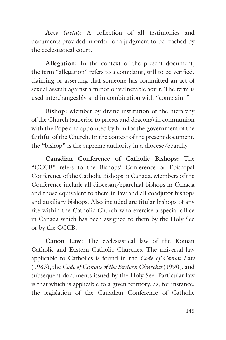**Acts (***acta***)**: A collection of all testimonies and documents provided in order for a judgment to be reached by the ecclesiastical court.

**Allegation:** In the context of the present document, the term "allegation" refers to a complaint, still to be verified, claiming or asserting that someone has committed an act of sexual assault against a minor or vulnerable adult. The term is used interchangeably and in combination with "complaint."

**Bishop:** Member by divine institution of the hierarchy of the Church (superior to priests and deacons) in communion with the Pope and appointed by him for the government of the faithful of the Church. In the context of the present document, the "bishop" is the supreme authority in a diocese/eparchy.

**Canadian Conference of Catholic Bishops:** The "CCCB" refers to the Bishops' Conference or Episcopal Conference of the Catholic Bishops in Canada. Members of the Conference include all diocesan/eparchial bishops in Canada and those equivalent to them in law and all coadjutor bishops and auxiliary bishops. Also included are titular bishops of any rite within the Catholic Church who exercise a special office in Canada which has been assigned to them by the Holy See or by the CCCB.

**Canon Law:** The ecclesiastical law of the Roman Catholic and Eastern Catholic Churches. The universal law applicable to Catholics is found in the *Code of Canon Law* (1983), the *Code of Canons of the Eastern Churches* (1990), and subsequent documents issued by the Holy See. Particular law is that which is applicable to a given territory, as, for instance, the legislation of the Canadian Conference of Catholic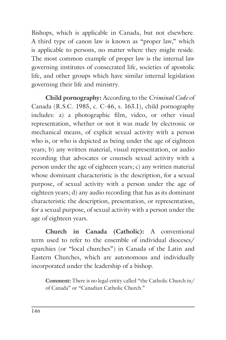Bishops, which is applicable in Canada, but not elsewhere. A third type of canon law is known as "proper law," which is applicable to persons, no matter where they might reside. The most common example of proper law is the internal law governing institutes of consecrated life, societies of apostolic life, and other groups which have similar internal legislation governing their life and ministry.

**Child pornography:** According to the *Criminal Code* of Canada (R.S.C. 1985, c. C-46, s. 163.1), child pornography includes: a) a photographic film, video, or other visual representation, whether or not it was made by electronic or mechanical means, of explicit sexual activity with a person who is, or who is depicted as being under the age of eighteen years; b) any written material, visual representation, or audio recording that advocates or counsels sexual activity with a person under the age of eighteen years; c) any written material whose dominant characteristic is the description, for a sexual purpose, of sexual activity with a person under the age of eighteen years; d) any audio recording that has as its dominant characteristic the description, presentation, or representation, for a sexual purpose, of sexual activity with a person under the age of eighteen years.

**Church in Canada (Catholic):** A conventional term used to refer to the ensemble of individual dioceses/ eparchies (or "local churches") in Canada of the Latin and Eastern Churches, which are autonomous and individually incorporated under the leadership of a bishop.

**Comment:** There is no legal entity called "the Catholic Church in/ of Canada" or "Canadian Catholic Church."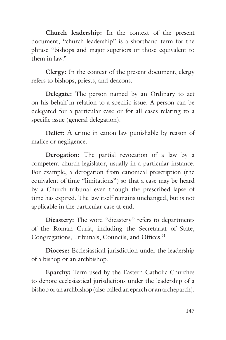**Church leadership:** In the context of the present document, "church leadership" is a shorthand term for the phrase "bishops and major superiors or those equivalent to them in law."

**Clergy:** In the context of the present document, clergy refers to bishops, priests, and deacons.

**Delegate:** The person named by an Ordinary to act on his behalf in relation to a specific issue. A person can be delegated for a particular case or for all cases relating to a specific issue (general delegation).

**Delict:** A crime in canon law punishable by reason of malice or negligence.

**Derogation:** The partial revocation of a law by a competent church legislator, usually in a particular instance. For example, a derogation from canonical prescription (the equivalent of time "limitations") so that a case may be heard by a Church tribunal even though the prescribed lapse of time has expired. The law itself remains unchanged, but is not applicable in the particular case at end.

**Dicastery:** The word "dicastery" refers to departments of the Roman Curia, including the Secretariat of State, Congregations, Tribunals, Councils, and Offices.<sup>91</sup>

**Diocese:** Ecclesiastical jurisdiction under the leadership of a bishop or an archbishop.

**Eparchy:** Term used by the Eastern Catholic Churches to denote ecclesiastical jurisdictions under the leadership of a bishop or an archbishop (also called an eparch or an archeparch).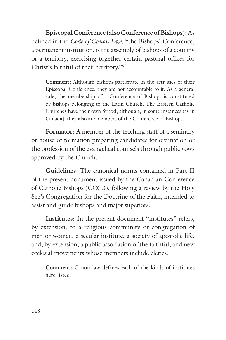**Episcopal Conference (also Conference of Bishops):** As defined in the *Code of Canon Law*, "the Bishops' Conference, a permanent institution, is the assembly of bishops of a country or a territory, exercising together certain pastoral offices for Christ's faithful of their territory."92

**Comment:** Although bishops participate in the activities of their Episcopal Conference, they are not accountable to it. As a general rule, the membership of a Conference of Bishops is constituted by bishops belonging to the Latin Church. The Eastern Catholic Churches have their own Synod, although, in some instances (as in Canada), they also are members of the Conference of Bishops.

**Formator:** A member of the teaching staff of a seminary or house of formation preparing candidates for ordination or the profession of the evangelical counsels through public vows approved by the Church.

**Guidelines**: The canonical norms contained in Part II of the present document issued by the Canadian Conference of Catholic Bishops (CCCB), following a review by the Holy See's Congregation for the Doctrine of the Faith, intended to assist and guide bishops and major superiors.

**Institutes:** In the present document "institutes" refers, by extension, to a religious community or congregation of men or women, a secular institute, a society of apostolic life, and, by extension, a public association of the faithful, and new ecclesial movements whose members include clerics.

**Comment:** Canon law defines each of the kinds of institutes here listed.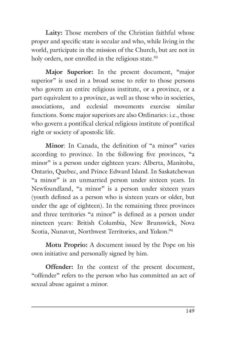Laity: Those members of the Christian faithful whose proper and specific state is secular and who, while living in the world, participate in the mission of the Church, but are not in holy orders, nor enrolled in the religious state.<sup>93</sup>

**Major Superior:** In the present document, "major superior" is used in a broad sense to refer to those persons who govern an entire religious institute, or a province, or a part equivalent to a province, as well as those who in societies, associations, and ecclesial movements exercise similar functions. Some major superiors are also Ordinaries: i.e., those who govern a pontifical clerical religious institute of pontifical right or society of apostolic life.

**Minor**: In Canada, the definition of "a minor" varies according to province. In the following five provinces, "a minor" is a person under eighteen years: Alberta, Manitoba, Ontario, Quebec, and Prince Edward Island. In Saskatchewan "a minor" is an unmarried person under sixteen years. In Newfoundland, "a minor" is a person under sixteen years (youth defined as a person who is sixteen years or older, but under the age of eighteen). In the remaining three provinces and three territories "a minor" is defined as a person under nineteen years: British Columbia, New Brunswick, Nova Scotia, Nunavut, Northwest Territories, and Yukon.<sup>94</sup>

**Motu Proprio:** A document issued by the Pope on his own initiative and personally signed by him.

**Offender:** In the context of the present document, "offender" refers to the person who has committed an act of sexual abuse against a minor.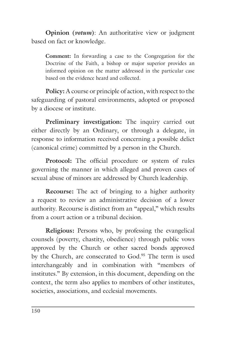**Opinion (***votum***)**: An authoritative view or judgment based on fact or knowledge.

**Comment:** In forwarding a case to the Congregation for the Doctrine of the Faith, a bishop or major superior provides an informed opinion on the matter addressed in the particular case based on the evidence heard and collected.

**Policy:** A course or principle of action, with respect to the safeguarding of pastoral environments, adopted or proposed by a diocese or institute.

**Preliminary investigation:** The inquiry carried out either directly by an Ordinary, or through a delegate, in response to information received concerning a possible delict (canonical crime) committed by a person in the Church.

**Protocol:** The official procedure or system of rules governing the manner in which alleged and proven cases of sexual abuse of minors are addressed by Church leadership.

**Recourse:** The act of bringing to a higher authority a request to review an administrative decision of a lower authority. Recourse is distinct from an "appeal," which results from a court action or a tribunal decision.

**Religious:** Persons who, by professing the evangelical counsels (poverty, chastity, obedience) through public vows approved by the Church or other sacred bonds approved by the Church, are consecrated to God.<sup>95</sup> The term is used interchangeably and in combination with "members of institutes." By extension, in this document, depending on the context, the term also applies to members of other institutes, societies, associations, and ecclesial movements.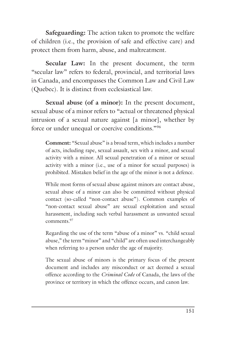**Safeguarding:** The action taken to promote the welfare of children (i.e., the provision of safe and effective care) and protect them from harm, abuse, and maltreatment.

**Secular Law:** In the present document, the term "secular law" refers to federal, provincial, and territorial laws in Canada, and encompasses the Common Law and Civil Law (Quebec). It is distinct from ecclesiastical law.

**Sexual abuse (of a minor):** In the present document, sexual abuse of a minor refers to "actual or threatened physical intrusion of a sexual nature against [a minor], whether by force or under unequal or coercive conditions."96

**Comment:** "Sexual abuse" is a broad term, which includes a number of acts, including rape, sexual assault, sex with a minor, and sexual activity with a minor. All sexual penetration of a minor or sexual activity with a minor (i.e., use of a minor for sexual purposes) is prohibited. Mistaken belief in the age of the minor is not a defence.

While most forms of sexual abuse against minors are contact abuse, sexual abuse of a minor can also be committed without physical contact (so-called "non-contact abuse"). Common examples of "non-contact sexual abuse" are sexual exploitation and sexual harassment, including such verbal harassment as unwanted sexual comments<sup>97</sup>

Regarding the use of the term "abuse of a minor" vs. "child sexual abuse," the term "minor" and "child" are often used interchangeably when referring to a person under the age of majority.

The sexual abuse of minors is the primary focus of the present document and includes any misconduct or act deemed a sexual offence according to the *Criminal Code* of Canada, the laws of the province or territory in which the offence occurs, and canon law.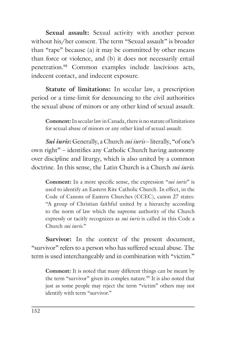**Sexual assault:** Sexual activity with another person without his/her consent. The term "Sexual assault" is broader than "rape" because (a) it may be committed by other means than force or violence, and (b) it does not necessarily entail penetration.98 Common examples include lascivious acts, indecent contact, and indecent exposure.

**Statute of limitations:** In secular law, a prescription period or a time-limit for denouncing to the civil authorities the sexual abuse of minors or any other kind of sexual assault.

**Comment:** In secular law in Canada, there is no statute of limitations for sexual abuse of minors or any other kind of sexual assault.

*Sui iuris***:** Generally, a Church *sui iuris* – literally, "of one's own right" – identifies any Catholic Church having autonomy over discipline and liturgy, which is also united by a common doctrine. In this sense, the Latin Church is a Church *sui iuris*.

**Comment:** In a more specific sense, the expression "*sui iuris*" is used to identify an Eastern Rite Catholic Church. In effect, in the Code of Canons of Eastern Churches (CCEC), canon 27 states: "A group of Christian faithful united by a hierarchy according to the norm of law which the supreme authority of the Church expressly or tacitly recognizes as *sui iuris* is called in this Code a Church *sui iuris*."

Survivor: In the context of the present document, "survivor" refers to a person who has suffered sexual abuse. The term is used interchangeably and in combination with "victim."

**Comment:** It is noted that many different things can be meant by the term "survivor" given its complex nature.<sup>99</sup> It is also noted that just as some people may reject the term "victim" others may not identify with term "survivor."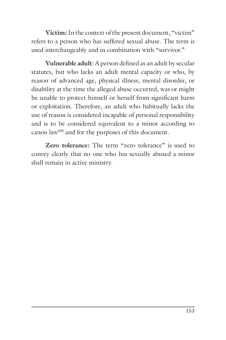**Victim:** In the context of the present document, "victim" refers to a person who has suffered sexual abuse. The term is used interchangeably and in combination with "survivor."

**Vulnerable adult**: A person defined as an adult by secular statutes, but who lacks an adult mental capacity or who, by reason of advanced age, physical illness, mental disorder, or disability at the time the alleged abuse occurred, was or might be unable to protect himself or herself from significant harm or exploitation. Therefore, an adult who habitually lacks the use of reason is considered incapable of personal responsibility and is to be considered equivalent to a minor according to canon law100 and for the purposes of this document.

**Zero tolerance:** The term "zero tolerance" is used to convey clearly that no one who has sexually abused a minor shall remain in active ministry.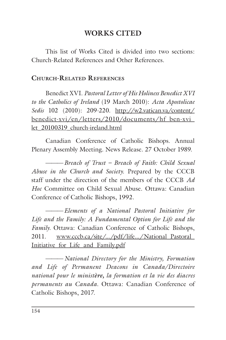## **WORKS CITED**

This list of Works Cited is divided into two sections: Church-Related References and Other References.

#### **CHURCH-RELATED REFERENCES**

Benedict XVI. *Pastoral Letter of His Holiness Benedict XVI to the Catholics of Ireland* (19 March 2010): *Acta Apostolicae Sedis* 102 (2010): 209-220. http://w2.vatican.va/content/ benedict-xvi/en/letters/2010/documents/hf\_ben-xvi\_ let\_20100319\_church-ireland.html

Canadian Conference of Catholic Bishops. Annual Plenary Assembly Meeting. News Release. 27 October 1989.

———*Breach of Trust – Breach of Faith: Child Sexual Abuse in the Church and Society.* Prepared by the CCCB staff under the direction of the members of the CCCB *Ad Hoc* Committee on Child Sexual Abuse. Ottawa: Canadian Conference of Catholic Bishops, 1992.

———*Elements of a National Pastoral Initiative for Life and the Family: A Fundamental Option for Life and the Family.* Ottawa: Canadian Conference of Catholic Bishops, 2011. www.cccb.ca/site/.../pdf/life.../National\_Pastoral\_ Initiative\_for\_Life\_and\_Family.pdf

———*National Directory for the Ministry, Formation and Life of Permanent Deacons in Canada/Directoire national pour le ministère, la formation et la vie des diacres permanents au Canada.* Ottawa: Canadian Conference of Catholic Bishops, 2017.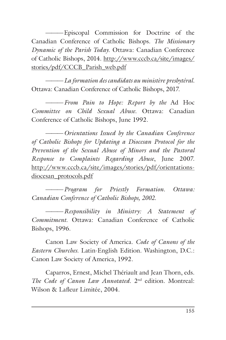———Episcopal Commission for Doctrine of the Canadian Conference of Catholic Bishops. *The Missionary Dynamic of the Parish Today*. Ottawa: Canadian Conference of Catholic Bishops, 2014. http://www.cccb.ca/site/images/ stories/pdf/CCCB\_Parish\_web.pdf

———*La formation des candidats au ministère presbytéral.*  Ottawa: Canadian Conference of Catholic Bishops, 2017.

———*From Pain to Hope: Report by the* Ad Hoc *Committee on Child Sexual Abuse.* Ottawa: Canadian Conference of Catholic Bishops, June 1992.

———*Orientations Issued by the Canadian Conference of Catholic Bishops for Updating a Diocesan Protocol for the Prevention of the Sexual Abuse of Minors and the Pastoral Response to Complaints Regarding Abuse*, June 2007. http://www.cccb.ca/site/images/stories/pdf/orientationsdiocesan\_protocols.pdf

———*Program for Priestly Formation. Ottawa: Canadian Conference of Catholic Bishops, 2002.*

———*Responsibility in Ministry: A Statement of Commitment.* Ottawa: Canadian Conference of Catholic Bishops, 1996.

Canon Law Society of America. *Code of Canons of the Eastern Churches*. Latin-English Edition. Washington, D.C.: Canon Law Society of America, 1992.

Caparros, Ernest, Michel Thériault and Jean Thorn, eds. *The Code of Canon Law Annotated*. 2nd edition. Montreal: Wilson & Lafleur Limitée, 2004.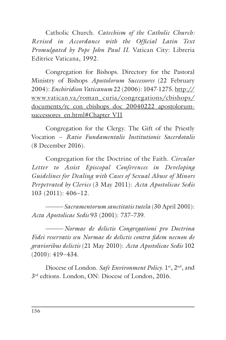Catholic Church. *Catechism of the Catholic Church: Revised in Accordance with the Official Latin Text Promulgated by Pope John Paul II*. Vatican City: Libreria Editrice Vaticana, 1992.

Congregation for Bishops. Directory for the Pastoral Ministry of Bishops *Apostolorum Successores* (22 February 2004): *Enchiridion Vaticanum* 22 (2006): 1047-1275. http:// www.vatican.va/roman\_curia/congregations/cbishops/ documents/rc\_con\_cbishops\_doc\_20040222\_apostolorumsuccessores\_en.html#Chapter\_VII

Congregation for the Clergy. The Gift of the Priestly Vocation – *Ratio Fundamentalis Institutionis Sacerdotalis*  (8 December 2016).

Congregation for the Doctrine of the Faith. *Circular Letter to Assist Episcopal Conferences in Developing Guidelines for Dealing with Cases of Sexual Abuse of Minors Perpetrated by Clerics* (3 May 2011): *Acta Apostolicae Sedis*  103 (2011): 406–12.

———*Sacramentorum sanctitatis tutela* (30 April 2001): *Acta Apostolicae Sedis* 93 (2001): 737–739.

———*Normae de delictis Congregationi pro Doctrina Fidei reservatis seu Normae de delictis contra fidem necnon de gravioribus delictis* (21 May 2010): *Acta Apostolicae Sedis* 102 (2010): 419–434.

Diocese of London. *Safe Environment Policy*. 1<sup>st</sup>, 2<sup>nd</sup>, and 3rd edtions. London, ON: Diocese of London, 2016.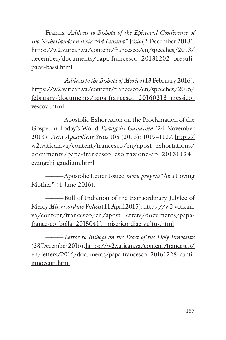Francis. *Address to Bishops of the Episcopal Conference of the Netherlands on their "Ad Limina" Visit* (2 December 2013). https://w2.vatican.va/content/francesco/en/speeches/2013/ december/documents/papa-francesco\_20131202\_presulipaesi-bassi.html

———*Address to the Bishops of Mexico* (13 February 2016). https://w2.vatican.va/content/francesco/en/speeches/2016/ february/documents/papa-francesco\_20160213\_messicovescovi.html

———Apostolic Exhortation on the Proclamation of the Gospel in Today's World *Evangelii Gaudium* (24 November 2013): *Acta Apostolicae Sedis* 105 (2013): 1019–1137. http:// w2.vatican.va/content/francesco/en/apost\_exhortations/ documents/papa-francesco\_esortazione-ap\_20131124\_ evangelii-gaudium.html

———Apostolic Letter Issued *motu proprio* "As a Loving Mother" (4 June 2016).

———Bull of Indiction of the Extraordinary Jubilee of Mercy *Misericordiae Vultus*(11 April 2015). https://w2.vatican. va/content/francesco/en/apost\_letters/documents/papafrancesco\_bolla\_20150411\_misericordiae-vultus.html

———*Letter to Bishops on the Feast of the Holy Innocents* (28December 2016). https://w2.vatican.va/content/francesco/ en/letters/2016/documents/papa-francesco\_20161228\_santiinnocenti.html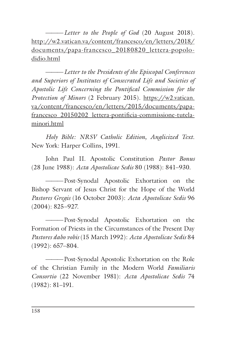-*Letter to the People of God* (20 August 2018). http://w2.vatican.va/content/francesco/en/letters/2018/ documents/papa-francesco\_20180820\_lettera-popolodidio.html

———*Letter to the Presidents of the Episcopal Conferences and Superiors of Institutes of Consecrated Life and Societies of Apostolic Life Concerning the Pontifical Commission for the Protection of Minors* (2 February 2015). https://w2.vatican. va/content/francesco/en/letters/2015/documents/papafrancesco 20150202 lettera-pontificia-commissione-tutelaminori.html

*Holy Bible: NRSV Catholic Edition, Anglicized Text*. New York: Harper Collins, 1991.

John Paul II. Apostolic Constitution *Pastor Bonus* (28 June 1988): *Acta Apostolicae Sedis* 80 (1988): 841–930.

———Post-Synodal Apostolic Exhortation on the Bishop Servant of Jesus Christ for the Hope of the World *Pastores Gregis* (16 October 2003): *Acta Apostolicae Sedis* 96 (2004): 825–927.

———Post-Synodal Apostolic Exhortation on the Formation of Priests in the Circumstances of the Present Day *Pastores dabo vobis* (15 March 1992): *Acta Apostolicae Sedis* 84 (1992): 657–804.

———Post-Synodal Apostolic Exhortation on the Role of the Christian Family in the Modern World *Familiaris Consortio* (22 November 1981): *Acta Apostolicae Sedis* 74 (1982): 81–191.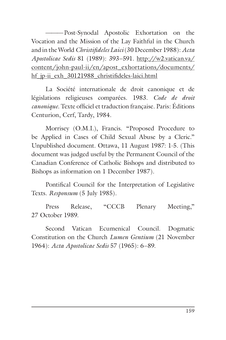-Post-Synodal Apostolic Exhortation on the Vocation and the Mission of the Lay Faithful in the Church and in the World *Christifideles Laici*(30 December 1988): *Acta Apostolicae Sedis* 81 (1989): 393–591. http://w2.vatican.va/ content/john-paul-ii/en/apost\_exhortations/documents/ hf jp-ii exh 30121988 christifideles-laici.html

La Société internationale de droit canonique et de législations religieuses comparées. 1983. *Code de droit canonique*. Texte officiel et traduction française. Paris: Éditions Centurion, Cerf, Tardy, 1984.

Morrisey (O.M.I.), Francis. "Proposed Procedure to be Applied in Cases of Child Sexual Abuse by a Cleric." Unpublished document. Ottawa, 11 August 1987: 1-5. (This document was judged useful by the Permanent Council of the Canadian Conference of Catholic Bishops and distributed to Bishops as information on 1 December 1987).

Pontifical Council for the Interpretation of Legislative Texts. *Responsum* (5 July 1985).

Press Release, "CCCB Plenary Meeting," 27 October 1989.

Second Vatican Ecumenical Council. Dogmatic Constitution on the Church *Lumen Gentium* (21 November 1964): *Acta Apostolicae Sedis* 57 (1965): 6–89.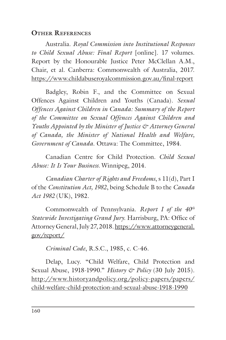### **OTHER REFERENCES**

Australia. *Royal Commission into Institutional Responses to Child Sexual Abuse: Final Report* [online]. 17 volumes. Report by the Honourable Justice Peter McClellan A.M., Chair, et al. Canberra: Commonwealth of Australia, 2017. https://www.childabuseroyalcommission.gov.au/final-report

Badgley, Robin F., and the Committee on Sexual Offences Against Children and Youths (Canada). *Sexual Offences Against Children in Canada: Summary of the Report of the Committee on Sexual Offences Against Children and Youths Appointed by the Minister of Justice & Attorney General of Canada, the Minister of National Health and Welfare, Government of Canada*. Ottawa: The Committee, 1984.

Canadian Centre for Child Protection. *Child Sexual Abuse: It Is Your Business.* Winnipeg, 2014.

*Canadian Charter of Rights and Freedoms*, s 11(d), Part I of the *Constitution Act, 1982*, being Schedule B to the *Canada Act 1982* (UK), 1982.

Commonwealth of Pennsylvania. *Report I of the 40th Statewide Investigating Grand Jury*. Harrisburg, PA: Office of Attorney General, July 27, 2018. https://www.attorneygeneral. gov/report/

*Criminal Code*, R.S.C., 1985, c. C-46.

Delap, Lucy. "Child Welfare, Child Protection and Sexual Abuse, 1918-1990." *History & Policy* (30 July 2015). http://www.historyandpolicy.org/policy-papers/papers/ child-welfare-child-protection-and-sexual-abuse-1918-1990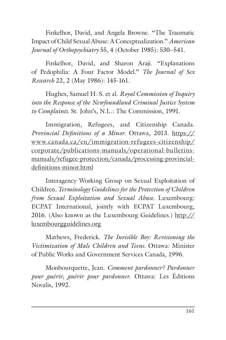Finkelhor, David, and Angela Browne. "The Traumatic Impact of Child Sexual Abuse: A Conceptualization." *American Journal of Orthopsychiatry* 55, 4 (October 1985): 530–541.

Finkelhor, David, and Sharon Araji. "Explanations of Pedophilia: A Four Factor Model." *The Journal of Sex Research* 22, 2 (May 1986): 145-161.

Hughes, Samuel H. S. et al. *Royal Commission of Inquiry into the Response of the Newfoundland Criminal Justice System to Complaints.* St. John's, N.L.: The Commission, 1991.

Immigration, Refugees, and Citizenship Canada. *Provincial Definitions of a Minor.* Ottawa, 2013. https:// www.canada.ca/en/immigration-refugees-citizenship/ corporate/publications-manuals/operational-bulletinsmanuals/refugee-protection/canada/processing-provincialdefinitions-minor.html

Interagency Working Group on Sexual Exploitation of Children. *Terminology Guidelines for the Protection of Children from Sexual Exploitation and Sexual Abuse.* Luxembourg: ECPAT International, jointly with ECPAT Luxembourg, 2016. (Also known as the Luxembourg Guidelines.) http:// luxembourgguidelines.org

Mathews, Frederick. *The Invisible Boy: Revisioning the Victimization of Male Children and Teens*. Ottawa: Minister of Public Works and Government Services Canada, 1996.

Monbourquette, Jean. *Comment pardonner? Pardonner pour guérir, guérir pour pardonner*. Ottawa: Les Éditions Novalis, 1992.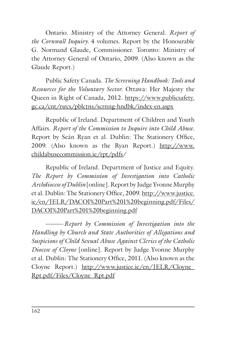Ontario. Ministry of the Attorney General. *Report of the Cornwall Inquiry.* 4 volumes. Report by the Honourable G. Normand Glaude, Commissioner. Toronto: Ministry of the Attorney General of Ontario, 2009. (Also known as the Glaude Report.)

Public Safety Canada. *The Screening Handbook: Tools and Resources for the Voluntary Sector.* Ottawa: Her Majesty the Queen in Right of Canada, 2012. https://www.publicsafety. gc.ca/cnt/rsrcs/pblctns/scrnng-hndbk/index-en.aspx

Republic of Ireland. Department of Children and Youth Affairs. *Report of the Commission to Inquire into Child Abuse*. Report by Seán Ryan et al. Dublin: The Stationery Office, 2009. (Also known as the Ryan Report.) http://www. childabusecommission.ie/rpt/pdfs/

Republic of Ireland. Department of Justice and Equity. *The Report by Commission of Investigation into Catholic Archdiocese of Dublin* [online]. Report by Judge Yvonne Murphy et al. Dublin: The Stationery Office, 2009. http://www.justice. ie/en/JELR/DACOI%20Part%201%20beginning.pdf/Files/ DACOI%20Part%201%20beginning.pdf

———*Report by Commission of Investigation into the Handling by Church and State Authorities of Allegations and Suspicions of Child Sexual Abuse Against Clerics of the Catholic Diocese of Cloyne* [online]. Report by Judge Yvonne Murphy et al. Dublin: The Stationery Office, 2011. (Also known as the Cloyne Report.) http://www.justice.ie/en/JELR/Cloyne\_ Rpt.pdf/Files/Cloyne\_Rpt.pdf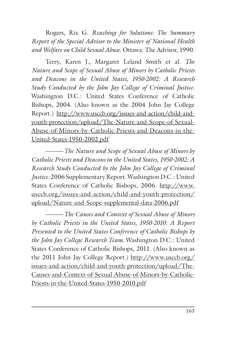Rogers, Rix G. *Reaching for Solutions: The Summary Report of the Special Advisor to the Minister of National Health and Welfare on Child Sexual Abuse.* Ottawa: The Advisor, 1990.

Terry, Karen J., Margaret Leland Smith et al. *The Nature and Scope of Sexual Abuse of Minors by Catholic Priests and Deacons in the United States, 1950-2002: A Research Study Conducted by the John Jay College of Criminal Justice.* Washington D.C.: United States Conference of Catholic Bishops, 2004. (Also known as the 2004 John Jay College Report.) http://www.usccb.org/issues-and-action/child-andyouth-protection/upload/The-Nature-and-Scope-of-Sexual-Abuse-of-Minors-by-Catholic-Priests-and-Deacons-in-the-United-States-1950-2002.pdf

———*The Nature and Scope of Sexual Abuse of Minors by Catholic Priests and Deacons in the United States, 1950-2002: A Research Study Conducted by the John Jay College of Criminal Justice.* 2006 Supplementary Report. Washington D.C.: United States Conference of Catholic Bishops, 2006. http://www. usccb.org/issues-and-action/child-and-youth-protection/ upload/Nature-and-Scope-supplemental-data-2006.pdf

———*The Causes and Context of Sexual Abuse of Minors by Catholic Priests in the United States, 1950-2010: A Report Presented to the United States Conference of Catholic Bishops by the John Jay College Research Team.* Washington D.C.: United States Conference of Catholic Bishops, 2011. (Also known as the 2011 John Jay College Report.) http://www.usccb.org/ issues-and-action/child-and-youth-protection/upload/The-Causes-and-Context-of-Sexual-Abuse-of-Minors-by-Catholic-Priests-in-the-United-States-1950-2010.pdf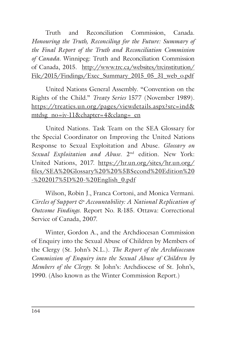Truth and Reconciliation Commission, Canada. *Honouring the Truth, Reconciling for the Future: Summary of the Final Report of the Truth and Reconciliation Commission of Canada*. Winnipeg: Truth and Reconciliation Commission of Canada, 2015. http://www.trc.ca/websites/trcinstitution/ File/2015/Findings/Exec\_Summary\_2015\_05\_31\_web\_o.pdf

United Nations General Assembly. "Convention on the Rights of the Child." *Treaty Series* 1577 (November 1989). https://treaties.un.org/pages/viewdetails.aspx?src=ind& mtdsg\_no=iv-11&chapter=4&clang=\_en

United Nations. Task Team on the SEA Glossary for the Special Coordinator on Improving the United Nations Response to Sexual Exploitation and Abuse. *Glossary on Sexual Exploitation and Abuse*. 2nd edition. New York: United Nations, 2017. https://hr.un.org/sites/hr.un.org/ files/SEA%20Glossary%20%20%5BSecond%20Edition%20 -%202017%5D%20-%20English\_0.pdf

Wilson, Robin J., Franca Cortoni, and Monica Vermani. *Circles of Support & Accountability: A National Replication of Outcome Findings*. Report No. R-185. Ottawa: Correctional Service of Canada, 2007.

Winter, Gordon A., and the Archdiocesan Commission of Enquiry into the Sexual Abuse of Children by Members of the Clergy (St. John's N.L.). *The Report of the Archdiocesan Commission of Enquiry into the Sexual Abuse of Children by Members of the Clergy.* St John's: Archdiocese of St. John's, 1990. (Also known as the Winter Commission Report.)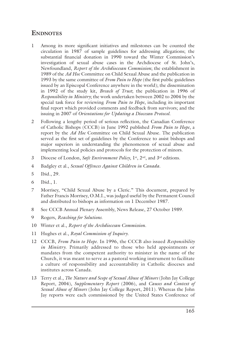### **ENDNOTES**

- 1 Among its more significant initiatives and milestones can be counted the circulation in 1987 of sample guidelines for addressing allegations; the substantial financial donation in 1990 toward the Winter Commission's investigation of sexual abuse cases in the Archdiocese of St. John's, Newfoundland, *Report of the Archdiocesan Commission*; the establishment in 1989 of the *Ad Hoc* Committee on Child Sexual Abuse and the publication in 1993 by the same committee of *From Pain to Hope* (the first public guidelines issued by an Episcopal Conference anywhere in the world); the dissemination in 1992 of the study kit, *Breach of Trust*; the publication in 1996 of *Responsibility in Ministry*; the work undertaken between 2002 to 2004 by the special task force for reviewing *From Pain to Hope*, including its important final report which provided comments and feedback from survivors; and the issuing in 2007 of *Orientations for Updating a Diocesan Protocol*.
- 2 Following a lengthy period of serious reflection, the Canadian Conference of Catholic Bishops (CCCB) in June 1992 published *From Pain to Hope*, a report by the *Ad Hoc* Committee on Child Sexual Abuse. The publication served as the first set of guidelines by the Conference to assist bishops and major superiors in understanding the phenomenon of sexual abuse and implementing local policies and protocols for the protection of minors.
- 3 Diocese of London, *Safe Environment Policy*, 1<sup>st</sup>, 2<sup>nd</sup>, and 3<sup>rd</sup> editions.
- 4 Badgley et al., *Sexual Offences Against Children in Canada*.
- 5 Ibid., 29.
- 6 Ibid., 1.
- 7 Morrisey, "Child Sexual Abuse by a Cleric." This document, prepared by Father Francis Morrisey, O.M.I., was judged useful by the Permanent Council and distributed to bishops as information on 1 December 1987.
- 8 See CCCB Annual Plenary Assembly, News Release, 27 October 1989.
- 9 Rogers, *Reaching for Solutions*.
- 10 Winter et al., *Report of the Archdiocesan Commission*.
- 11 Hughes et al., *Royal Commission of Inquiry*.
- 12 CCCB, *From Pain to Hope*. In 1996, the CCCB also issued *Responsibility in Ministry.* Primarily addressed to those who held appointments or mandates from the competent authority to minister in the name of the Church, it was meant to serve as a pastoral working instrument to facilitate a culture of responsibility and accountability in Catholic dioceses and institutes across Canada.
- 13 Terry et al., *The Nature and Scope of Sexual Abuse of Minors* (John Jay College Report, 2004), *Supplementary Report* (2006), and *Causes and Context of Sexual Abuse of Minors* (John Jay College Report, 2011). Whereas the John Jay reports were each commissioned by the United States Conference of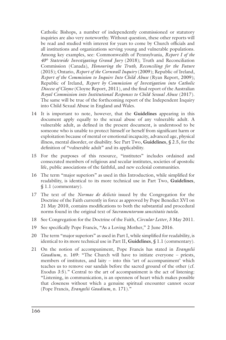Catholic Bishops, a number of independently commissioned or statutory inquiries are also very noteworthy. Without question, these other reports will be read and studied with interest for years to come by Church officials and all institutions and organizations serving young and vulnerable populations. Among key examples, see: Commonwealth of Pennsylvania, *Report I of the 40th Statewide Investigating Grand Jury* (2018); Truth and Reconciliation Commission (Canada), *Honouring the Truth, Reconciling for the Future* (2015); Ontario, *Report of the Cornwall Inquiry* (2009); Republic of Ireland, *Report of the Commission to Inquire Into Child Abuse* (Ryan Report, 2009); Republic of Ireland, *Report by Commission of Investigation into Catholic Diocese of Cloyne* (Cloyne Report, 2011), and the final report of the Australian *Royal Commission into Institutional Responses to Child Sexual Abuse* (2017). The same will be true of the forthcoming report of the Independent Inquiry into Child Sexual Abuse in England and Wales.

- 14 It is important to note, however, that the **Guidelines** appearing in this document apply equally to the sexual abuse of any vulnerable adult. A vulnerable adult, as defined in the present document, is understood to be someone who is unable to protect himself or herself from significant harm or exploitation because of mental or emotional incapacity, advanced age, physical illness, mental disorder, or disability. See Part Two, **Guidelines**, § 2.5, for the definition of "vulnerable adult" and its applicability.
- 15 For the purposes of this resource, "institutes" includes ordained and consecrated members of religious and secular institutes, societies of apostolic life, public associations of the faithful, and new ecclesial communities.
- 16 The term "major superiors" as used in this Introduction, while simplified for readability, is identical to its more technical use in Part Two, **Guidelines**, § 1.1 (commentary).
- 17 The text of the *Normae de delictis* issued by the Congregation for the Doctrine of the Faith currently in force as approved by Pope Benedict XVI on 21 May 2010, contains modifications to both the substantial and procedural norms found in the original text of *Sacramentorum sanctitatis tutela*.
- 18 See Congregation for the Doctrine of the Faith, *Circular Letter*, 3 May 2011.
- 19 See specifically Pope Francis, "As a Loving Mother," 2 June 2016.
- 20 The term "major superiors" as used in Part I, while simplified for readability, is identical to its more technical use in Part II, **Guidelines**, § 1.1 (commentary).
- 21 On the notion of accompaniment, Pope Francis has stated in *Evangelii Gaudium*, n. 169: "The Church will have to initiate everyone – priests, members of institutes, and laity – into this 'art of accompaniment' which teaches us to remove our sandals before the sacred ground of the other (cf. Exodus 3:5)." Central to the art of accompaniment is the act of listening: "Listening, in communication, is an openness of heart which makes possible that closeness without which a genuine spiritual encounter cannot occur (Pope Francis, *Evangelii Gaudium*, n. 171)."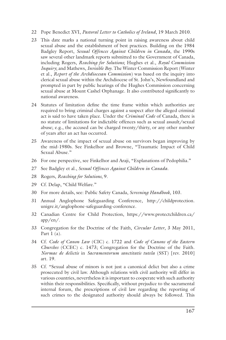- 22 Pope Benedict XVI, *Pastoral Letter to Catholics of Ireland*, 19 March 2010.
- 23 This date marks a national turning point in raising awareness about child sexual abuse and the establishment of best practices. Building on the 1984 Badgley Report, *Sexual Offences Against Children in Canada*, the 1990s saw several other landmark reports submitted to the Government of Canada, including Rogers, *Reaching for Solutions*; Hughes et al., *Royal Commission Inquiry*; and Mathews, *Invisible Boy*. The Winter Commission Report (Winter et al., *Report of the Archdiocesan Commission*) was based on the inquiry into clerical sexual abuse within the Archdiocese of St. John's, Newfoundland and prompted in part by public hearings of the Hughes Commission concerning sexual abuse at Mount Cashel Orphanage. It also contributed significantly to national awareness.
- 24 Statutes of limitation define the time frame within which authorities are required to bring criminal charges against a suspect after the alleged criminal act is said to have taken place. Under the *Criminal Code* of Canada, there is no statute of limitations for indictable offences such as sexual assault/sexual abuse; e.g., the accused can be charged twenty/thirty, or any other number of years after an act has occurred.
- 25 Awareness of the impact of sexual abuse on survivors began improving by the mid-1980s. See Finkelhor and Browne, "Traumatic Impact of Child Sexual Abuse."
- 26 For one perspective, see Finkelhor and Araji, "Explanations of Pedophilia."
- 27 See Badgley et al., *Sexual Offences Against Children in Canada*.
- 28 Rogers, *Reaching for Solutions*, 9.
- 29 Cf. Delap, "Child Welfare."
- 30 For more details, see: Public Safety Canada, *Screening Handbook*, 103.
- 31 Annual Anglophone Safeguarding Conference, http://childprotection. unigre.it/anglophone-safeguarding-conference.
- 32 Canadian Centre for Child Protection, https://www.protectchildren.ca/ app/en/.
- 33 Congregation for the Doctrine of the Faith, *Circular Letter*, 3 May 2011, Part  $1$  (a).
- 34 Cf. *Code of Canon Law* (CIC) c. 1722 and *Code of Canons of the Eastern Churches* (CCEC) c. 1473; Congregation for the Doctrine of the Faith. *Normae de delictis* in *Sacramentorum sanctitatis tutela* (SST) [rev. 2010] art. 19.
- 35 Cf. "Sexual abuse of minors is not just a canonical delict but also a crime prosecuted by civil law. Although relations with civil authority will differ in various countries, nevertheless it is important to cooperate with such authority within their responsibilities. Specifically, without prejudice to the sacramental internal forum, the prescriptions of civil law regarding the reporting of such crimes to the designated authority should always be followed. This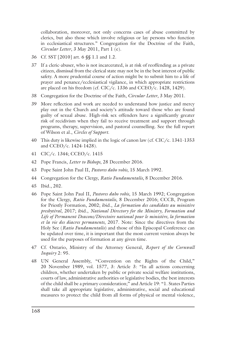collaboration, moreover, not only concerns cases of abuse committed by clerics, but also those which involve religious or lay persons who function in ecclesiastical structures." Congregation for the Doctrine of the Faith, *Circular Letter*, 3 May 2011, Part 1 (e).

- 36 Cf. SST [2010] art. 6 §§ 1.1 and 1.2.
- 37 If a cleric-abuser, who is not incarcerated, is at risk of reoffending as a private citizen, dismissal from the clerical state may not be in the best interest of public safety. A more prudential course of action might be to submit him to a life of prayer and penance/ecclesiastical vigilance, in which appropriate restrictions are placed on his freedom (cf. CIC/c. 1336 and CCEO/c. 1428, 1429).
- 38 Congregation for the Doctrine of the Faith, *Circular Letter*, 3 May 2011.
- 39 More reflection and work are needed to understand how justice and mercy play out in the Church and society's attitude toward those who are found guilty of sexual abuse. High-risk sex offenders have a significantly greater risk of recidivism when they fail to receive treatment and support through programs, therapy, supervision, and pastoral counselling. See the full report of Wilson et al., *Circles of Support*.
- 40 This duty is likewise implied in the logic of canon law (cf. CIC/c. 1341-1353 and CCEO/c. 1424-1428).
- 41 CIC/c. 1344; CCEO/c. 1415
- 42 Pope Francis, *Letter to Bishops*, 28 December 2016.
- 43 Pope Saint John Paul II, *Pastores dabo vobis*, 15 March 1992.
- 44 Congregation for the Clergy, *Ratio Fundamentalis*, 8 December 2016.
- 45 Ibid., 202.
- 46 Pope Saint John Paul II, *Pastores dabo vobis*, 15 March 1992; Congregation for the Clergy, *Ratio Fundamentalis*, 8 December 2016; CCCB, Program for Priestly Formation, 2002; ibid., *La formation des candidats au ministère presbytéral*, 2017; ibid., *National Directory for the Ministry, Formation and Life of Permanent Deacons/Directoire national pour le ministère, la formation et la vie des diacres permanents*, 2017. Note: Since the directives from the Holy See (*Ratio Fundamentalis*) and those of this Episcopal Conference can be updated over time, it is important that the most current version always be used for the purposes of formation at any given time.
- 47 Cf. Ontario, Ministry of the Attorney General, *Report of the Cornwall Inquiry* 2: 95.
- 48 UN General Assembly, "Convention on the Rights of the Child," 20 November 1989, vol. 1577, 3: Article 3: "In all actions concerning children, whether undertaken by public or private social welfare institutions, courts of law, administrative authorities or legislative bodies, the best interests of the child shall be a primary consideration;" and Article 19: "1. States Parties shall take all appropriate legislative, administrative, social and educational measures to protect the child from all forms of physical or mental violence,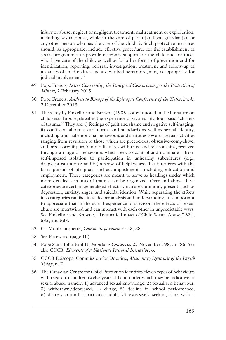injury or abuse, neglect or negligent treatment, maltreatment or exploitation, including sexual abuse, while in the care of parent(s), legal guardian(s), or any other person who has the care of the child. 2. Such protective measures should, as appropriate, include effective procedures for the establishment of social programmes to provide necessary support for the child and for those who have care of the child, as well as for other forms of prevention and for identification, reporting, referral, investigation, treatment and follow-up of instances of child maltreatment described heretofore, and, as appropriate for judicial involvement."

- 49 Pope Francis, *Letter Concerning the Pontifical Commission for the Protection of Minors*, 2 February 2015.
- 50 Pope Francis, *Address to Bishops of the Episcopal Conference of the Netherlands*, 2 December 2013.
- 51 The study by Finkelhor and Browne (1985), often quoted in the literature on child sexual abuse, classifies the experience of victims into four basic "clusters of trauma." They are: i) feelings of guilt and shame and negative self-imaging; ii) confusion about sexual norms and standards as well as sexual identity, including unusual emotional behaviours and attitudes towards sexual activities ranging from revulsion to those which are precocious, obsessive-compulsive, and predatory; iii) profound difficulties with trust and relationships, resolved through a range of behaviours which seek to control and dominate – from self-imposed isolation to participation in unhealthy subcultures (e.g., drugs, prostitution); and iv) a sense of helplessness that interferes with the basic pursuit of life goals and accomplishments, including education and employment. These categories are meant to serve as headings under which more detailed accounts of trauma can be organized. Over and above these categories are certain generalized effects which are commonly present, such as depression, anxiety, anger, and suicidal ideation. While separating the effects into categories can facilitate deeper analysis and understanding, it is important to appreciate that in the actual experience of survivors the effects of sexual abuse are intertwined and can interact with each other in unpredictable ways. See Finkelhor and Browne, "Traumatic Impact of Child Sexual Abuse," 531, 532, and 533.
- 52 Cf. Monbourquette, *Comment pardonner?* 53, 88.
- 53 See Foreword (page 10).
- 54 Pope Saint John Paul II, *Familaris Consortio*, 22 November 1981, n. 86. See also CCCB, *Elements of a National Pastoral Initiative*, 6.
- 55 CCCB Episcopal Commission for Doctrine, *Missionary Dynamic of the Parish Today*, n. 7.
- 56 The Canadian Centre for Child Protection identifies eleven types of behaviours with regard to children twelve years old and under which may be indicative of sexual abuse, namely: 1) advanced sexual knowledge, 2) sexualized behaviour, 3) withdrawn/depressed, 4) clingy, 5) decline in school performance,
	- 6) distress around a particular adult, 7) excessively seeking time with a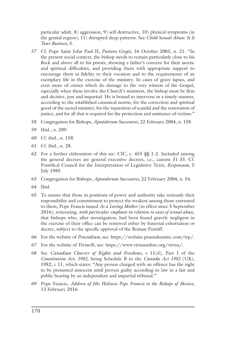particular adult, 8) aggression, 9) self-destructive, 10) physical symptoms (in the genital region), 11) disrupted sleep patterns. See *Child Sexual Abuse: It Is Your Business*, 5.

- 57 Cf. Pope Saint John Paul II, *Pastores Gregis*, 16 October 2003, n. 21: "In the present social context, the bishop needs to remain particularly close to his flock and above all to his priests, showing a father's concern for their ascetic and spiritual difficulties, and providing them with appropriate support to encourage them in fidelity to their vocation and to the requirements of an exemplary life in the exercise of the ministry. In cases of grave lapses, and even more of crimes which do damage to the very witness of the Gospel, especially when these involve the Church's ministers, the bishop must be firm and decisive, just and impartial. He is bound to intervene in a timely manner, according to the established canonical norms, for the correction and spiritual good of the sacred minister, for the reparation of scandal and the restoration of justice, and for all that is required for the protection and assistance of victims."
- 58 Congregation for Bishops, *Apostolorum Successores*, 22 February 2004, n. 158.
- 59 Ibid., n. 209.
- 60 Cf. ibid., n. 158.
- 61 Cf. ibid., n. 28.
- 62 For a further elaboration of this see: CIC, c. 455 §§ 1-2. Included among the general decrees are general executive decrees, i.e., canons 31-33. Cf. Pontifical Council for the Interpretation of Legislative Texts, *Responsum*, 5 July 1985.
- 63 Congregation for Bishops, *Apostolorum Successores*, 22 February 2004, n. 54.
- 64 Ibid.
- 65 To ensure that those in positions of power and authority take seriously their responsibility and commitment to protect the weakest among those entrusted to them, Pope Francis issued *As a Loving Mother* (in effect since 5 September 2016), reiterating, *with particular emphasis in relation to cases of sexual abuse*, that bishops who, after investigation, had been found gravely negligent in the exercise of their office can be removed either by fraternal exhortation or decree, subject to the specific approval of the Roman Pontiff.
- 66 For the website of *Praesidium*, see: https://website.praesidiuminc.com/wp/.
- 67 For the website of *Virtus*®, see: https://www.virtusonline.org/virtus/.
- 68 See *Canadian Charter of Rights and Freedoms*, s 11(d), Part I of the *Constitution Act, 1982*, being Schedule B to the *Canada Act 1982* (UK), 1982, c 11, which states: "Any person charged with an offence has the right to be presumed innocent until proven guilty according to law in a fair and public hearing by an independent and impartial tribunal."
- 69 Pope Francis, *Address of His Holiness Pope Francis to the Bishops of Mexico*, 13 February 2016.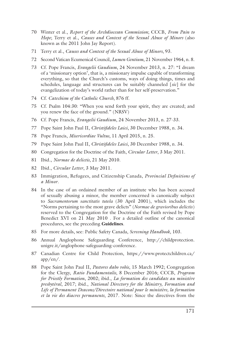- 70 Winter et al., *Report of the Archdiocesan Commission*; CCCB, *From Pain to Hope*; Terry et al., *Causes and Context of the Sexual Abuse of Minors* (also known as the 2011 John Jay Report).
- 71 Terry et al., *Causes and Context of the Sexual Abuse of Minors*, 93.
- 72 Second Vatican Ecumenical Council, *Lumen Gentium*, 21 November 1964, n. 8.
- 73 Cf. Pope Francis, *Evangelii Gaudium*, 24 November 2013, n. 27: "I dream of a 'missionary option', that is, a missionary impulse capable of transforming everything, so that the Church's customs, ways of doing things, times and schedules, language and structures can be suitably channeled [*sic*] for the evangelization of today's world rather than for her self-preservation."
- 74 Cf. *Catechism of the Catholic Church*, 876 ff.
- 75 Cf. Psalm 104:30: "When you send forth your spirit, they are created; and you renew the face of the ground." (NRSV)
- 76 Cf. Pope Francis, *Evangelii Gaudium*, 24 November 2013, n. 27-33.
- 77 Pope Saint John Paul II, *Christifideles Laici*, 30 December 1988, n. 34.
- 78 Pope Francis, *Misericordiae Vultus*, 11 April 2015, n. 25.
- 79 Pope Saint John Paul II, *Christifideles Laici*, 30 December 1988, n. 34.
- 80 Congregation for the Doctrine of the Faith, *Circular Letter*, 3 May 2011.
- 81 Ibid., *Normae de delictis*, 21 May 2010.
- 82 Ibid., *Circular Letter*, 3 May 2011.
- 83 Immigration, Refugees, and Citizenship Canada, *Provincial Definitions of a Minor*.
- 84 In the case of an ordained member of an institute who has been accused of sexually abusing a minor, the member concerned is canonically subject to *Sacramentorum sanctitatis tutela* (30 April 2001), which includes the "Norms pertaining to the most grave delicts" (*Normae de gravioribus delictis*) reserved to the Congregation for the Doctrine of the Faith revised by Pope Benedict XVI on 21 May 2010 . For a detailed outline of the canonical procedures, see the preceding **Guidelines**.
- 85 For more details, see: Public Safety Canada, *Screening Handbook*, 103.
- 86 Annual Anglophone Safeguarding Conference, http://childprotection. unigre.it/anglophone-safeguarding-conference.
- 87 Canadian Centre for Child Protection, https://www.protectchildren.ca/ app/en/.
- 88 Pope Saint John Paul II, *Pastores dabo vobis*, 15 March 1992; Congregation for the Clergy, *Ratio Fundamentalis*, 8 December 2016; CCCB, *Program for Priestly Formation*, 2002; ibid., *La formation des candidats au ministère presbytéral*, 2017; ibid., *National Directory for the Ministry, Formation and Life of Permanent Deacons/Directoire national pour le ministère, la formation et la vie des diacres permanents*, 2017. Note: Since the directives from the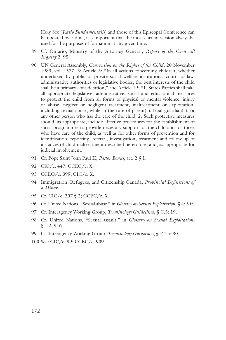Holy See (*Ratio Fundamentalis*) and those of this Episcopal Conference can be updated over time, it is important that the most current version always be used for the purposes of formation at any given time.

- 89 Cf. Ontario, Ministry of the Attorney General, *Report of the Cornwall Inquiry* 2: 95.
- 90 UN General Assembly, *Convention on the Rights of the Child*, 20 November 1989, vol. 1577, 3: Article 3: "In all actions concerning children, whether undertaken by public or private social welfare institutions, courts of law, administrative authorities or legislative bodies, the best interests of the child shall be a primary consideration;" and Article 19: "1. States Parties shall take all appropriate legislative, administrative, social and educational measures to protect the child from all forms of physical or mental violence, injury or abuse, neglect or negligent treatment, maltreatment or exploitation, including sexual abuse, while in the care of parent(s), legal guardian(s), or any other person who has the care of the child. 2. Such protective measures should, as appropriate, include effective procedures for the establishment of social programmes to provide necessary support for the child and for those who have care of the child, as well as for other forms of prevention and for identification, reporting, referral, investigation, treatment and follow-up of instances of child maltreatment described heretofore, and, as appropriate for judicial involvement."
- 91 Cf. Pope Saint John Paul II, *Pastor Bonus*, art. 2 § 1.
- 92 CIC/c. 447; CCEC/c. X.
- 93 CCEO/c. 399; CIC/c. X.
- 94 Immigration, Refugees, and Citizenship Canada, *Provincial Definitions of a Minor*.
- 95 Cf. CIC/c. 207 § 2; CCEC/c. X.
- 96 Cf. United Nations, "Sexual abuse," in *Glossary on Sexual Exploitation*, § 4: 5 ff.
- 97 Cf. Interagency Working Group, *Terminology Guideline*s, § C.3: 19.
- 98 Cf. United Nations, "Sexual assault," in *Glossary on Sexual Exploitation*, § 1.2, 9: 6.
- 99 Cf. Interagency Working Group, *Terminology Guidelines*, § P.4.ii: 80.
- 100 See: CIC/c. 99; CCEC/c. 909.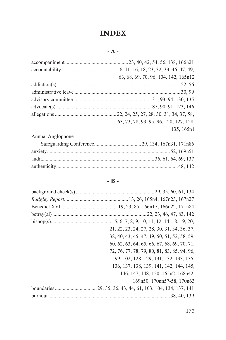## **INDEX**

|                   | 63, 68, 69, 70, 96, 104, 142, 165n12   |
|-------------------|----------------------------------------|
|                   |                                        |
|                   |                                        |
|                   |                                        |
|                   |                                        |
|                   |                                        |
|                   | 63, 73, 78, 93, 95, 96, 120, 127, 128, |
|                   | 135, 165n1                             |
| Annual Anglophone |                                        |

### **- B -**

| 21, 22, 23, 24, 27, 28, 30, 31, 34, 36, 37, |
|---------------------------------------------|
| 38, 40, 43, 45, 47, 49, 50, 51, 52, 58, 59, |
| 60, 62, 63, 64, 65, 66, 67, 68, 69, 70, 71, |
| 72, 76, 77, 78, 79, 80, 81, 83, 85, 94, 96, |
| 99, 102, 128, 129, 131, 132, 133, 135,      |
| 136, 137, 138, 139, 141, 142, 144, 145,     |
| 146, 147, 148, 150, 165n2, 168n42,          |
| 169n50, 170nn57-58, 170n63                  |
|                                             |
|                                             |
|                                             |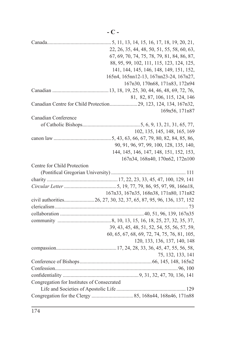|                                            | 22, 26, 35, 44, 48, 50, 51, 55, 58, 60, 63,                     |
|--------------------------------------------|-----------------------------------------------------------------|
|                                            | 67, 69, 70, 74, 75, 78, 79, 81, 84, 86, 87,                     |
|                                            | 88, 95, 99, 102, 111, 115, 123, 124, 125,                       |
|                                            | 141, 144, 145, 146, 148, 149, 151, 152,                         |
|                                            | 165n4, 165nn12-13, 167nn23-24, 167n27,                          |
|                                            | 167n30, 170n68, 171n83, 172n94                                  |
|                                            |                                                                 |
|                                            | 81, 82, 87, 106, 115, 124, 146                                  |
|                                            | Canadian Centre for Child Protection 29, 123, 124, 134, 167n32, |
|                                            | 169n56, 171n87                                                  |
| Canadian Conference                        |                                                                 |
|                                            |                                                                 |
|                                            | 102, 135, 145, 148, 165, 169                                    |
|                                            |                                                                 |
|                                            | 90, 91, 96, 97, 99, 100, 128, 135, 140,                         |
|                                            | 144, 145, 146, 147, 148, 151, 152, 153,                         |
|                                            | 167n34, 168n40, 170n62, 172n100                                 |
| Centre for Child Protection                |                                                                 |
|                                            |                                                                 |
|                                            |                                                                 |
|                                            |                                                                 |
|                                            | 167n33, 167n35, 168n38, 171n80, 171n82                          |
|                                            |                                                                 |
|                                            |                                                                 |
|                                            |                                                                 |
|                                            |                                                                 |
|                                            | 39, 43, 45, 48, 51, 52, 54, 55, 56, 57, 59,                     |
|                                            | 60, 65, 67, 68, 69, 72, 74, 75, 76, 81, 105,                    |
|                                            | 120, 133, 136, 137, 140, 148                                    |
|                                            |                                                                 |
|                                            | 75, 132, 133, 141                                               |
|                                            |                                                                 |
|                                            |                                                                 |
|                                            |                                                                 |
| Congregation for Institutes of Consecrated |                                                                 |
|                                            |                                                                 |
|                                            |                                                                 |
|                                            |                                                                 |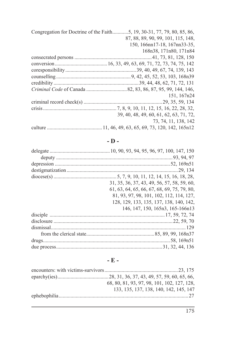| 87, 88, 89, 90, 99, 101, 115, 148,      |
|-----------------------------------------|
| 150, 166nn17-18, 167nn33-35,            |
| 168n38, 171n80, 171n84                  |
|                                         |
|                                         |
|                                         |
|                                         |
|                                         |
|                                         |
| 151, 167n24                             |
|                                         |
|                                         |
| 39, 40, 48, 49, 60, 61, 62, 63, 71, 72, |
| 73, 74, 11, 138, 142                    |
|                                         |

### **- D -**

| 31, 35, 36, 37, 43, 49, 56, 57, 58, 59, 60, |
|---------------------------------------------|
| 61, 63, 64, 65, 66, 67, 68, 69, 75, 79, 80, |
| 81, 93, 97, 98, 101, 102, 112, 114, 127,    |
| 128, 129, 133, 135, 137, 138, 140, 142,     |
| 146, 147, 150, 165n3, 165-166n13            |
|                                             |
|                                             |
|                                             |
|                                             |
|                                             |
|                                             |

**- E -**

| 68, 80, 81, 93, 97, 98, 101, 102, 127, 128, |  |
|---------------------------------------------|--|
| 133, 135, 137, 138, 140, 142, 145, 147      |  |
|                                             |  |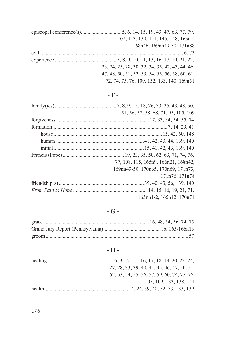| 102, 113, 139, 141, 145, 148, 165n1,            |
|-------------------------------------------------|
| 168n46, 169nn49-50, 171n88                      |
|                                                 |
|                                                 |
| 23, 24, 25, 28, 30, 32, 34, 35, 42, 43, 44, 46, |
| 47, 48, 50, 51, 52, 53, 54, 55, 56, 58, 60, 61, |
| 72, 74, 75, 76, 109, 132, 133, 140, 169n51      |

# **- F -**

| 51, 56, 57, 58, 68, 71, 95, 105, 109 |
|--------------------------------------|
|                                      |
|                                      |
|                                      |
|                                      |
|                                      |
|                                      |
| 77, 108, 115, 165n9, 166n21, 168n42, |
| 169nn49-50, 170n65, 170n69, 171n73,  |
| 171n76, 171n78                       |
|                                      |
|                                      |
| 165nn1-2, 165n12, 170n71             |

# **- G -**

# **- H -**

|        | 27, 28, 33, 39, 40, 44, 45, 46, 47, 50, 51, |
|--------|---------------------------------------------|
|        | 52, 53, 54, 55, 56, 57, 59, 60, 74, 75, 76, |
|        | 105, 109, 133, 138, 141                     |
| health |                                             |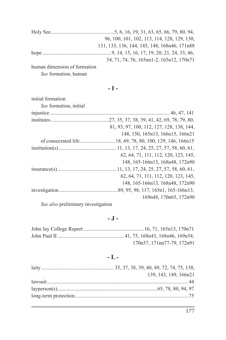|                              | 96, 100, 101, 102, 113, 114, 128, 129, 130,  |
|------------------------------|----------------------------------------------|
|                              | 131, 135, 136, 144, 145, 148, 168n46, 171n88 |
|                              |                                              |
|                              | 54, 71, 74, 76, 165nn1-2, 165n12, 170n71     |
| human dimension of formation |                                              |

*See* formation, human

**- I -**

| initial formation      |                                           |
|------------------------|-------------------------------------------|
| See formation, initial |                                           |
|                        |                                           |
|                        |                                           |
|                        | 81, 93, 97, 100, 112, 127, 128, 138, 144, |
|                        | 148, 150, 165n13, 166n15, 166n21          |
|                        |                                           |
|                        |                                           |
|                        | 62, 64, 71, 111, 112, 120, 123, 145,      |
|                        | 148, 165-166n13, 168n48, 172n90           |
|                        |                                           |
|                        | 62, 64, 71, 111, 112, 120, 123, 145,      |
|                        | 148, 165-166n13, 168n48, 172n90           |
|                        |                                           |
|                        | 169n48, 170n65, 172n90                    |
|                        |                                           |

*See also* preliminary investigation

### **- J -**

| 170n57, 171nn77-79, 172n91 |
|----------------------------|

### **- L -**

| 139, 143, 149, 166n21 |
|-----------------------|
|                       |
|                       |
|                       |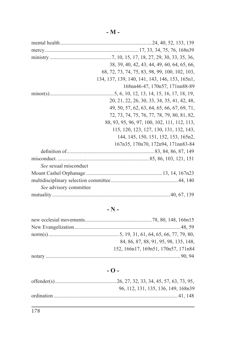|                        | 38, 39, 40, 42, 43, 44, 49, 60, 64, 65, 66,    |
|------------------------|------------------------------------------------|
|                        | 68, 72, 73, 74, 75, 83, 98, 99, 100, 102, 103, |
|                        | 134, 137, 139, 140, 141, 143, 146, 153, 165n1, |
|                        | 168nn46-47, 170n57, 171nn88-89                 |
|                        |                                                |
|                        | 20, 21, 22, 26, 30, 33, 34, 35, 41, 42, 48,    |
|                        | 49, 50, 57, 62, 63, 64, 65, 66, 67, 69, 71,    |
|                        | 72, 73, 74, 75, 76, 77, 78, 79, 80, 81, 82,    |
|                        | 88, 93, 95, 96, 97, 100, 102, 111, 112, 113,   |
|                        | 115, 120, 123, 127, 130, 131, 132, 143,        |
|                        | 144, 145, 150, 151, 152, 153, 165n2,           |
|                        | 167n35, 170n70, 172n94, 171nn83-84             |
|                        |                                                |
|                        |                                                |
| See sexual misconduct  |                                                |
|                        |                                                |
|                        |                                                |
| See advisory committee |                                                |
|                        |                                                |

### **- N -**

| 84, 86, 87, 88, 91, 95, 98, 135, 148, |
|---------------------------------------|
| 152, 166n17, 169n51, 170n57, 171n84   |
|                                       |

### **- O -**

| 96, 112, 131, 135, 136, 149, 168n39 |
|-------------------------------------|
|                                     |
|                                     |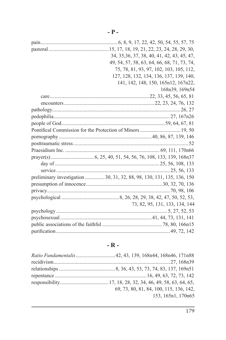| 34, 35, 36, 37, 38, 40, 41, 42, 43, 45, 47,                            |
|------------------------------------------------------------------------|
| 49, 54, 57, 58, 63, 64, 66, 68, 71, 73, 74,                            |
| 75, 78, 81, 93, 97, 102, 103, 105, 112,                                |
| 127, 128, 132, 134, 136, 137, 139, 140,                                |
| 141, 142, 148, 150, 165n12, 167n22,                                    |
| 168n39, 169n54                                                         |
|                                                                        |
|                                                                        |
|                                                                        |
|                                                                        |
|                                                                        |
| Pontifical Commission for the Protection of Minors  19, 50             |
|                                                                        |
|                                                                        |
|                                                                        |
|                                                                        |
|                                                                        |
|                                                                        |
| preliminary investigation  30, 31, 32, 88, 98, 130, 131, 135, 136, 150 |
|                                                                        |
|                                                                        |
|                                                                        |
| 73, 82, 95, 131, 133, 134, 144                                         |
|                                                                        |
|                                                                        |
|                                                                        |
|                                                                        |

### **- R -**

| Ratio Fundamentalis 42, 43, 139, 168n44, 168n46, 171n88 |
|---------------------------------------------------------|
|                                                         |
|                                                         |
|                                                         |
|                                                         |
| 69, 73, 80, 81, 84, 100, 115, 136, 142,                 |
| 153, 165n1, 170n65                                      |
|                                                         |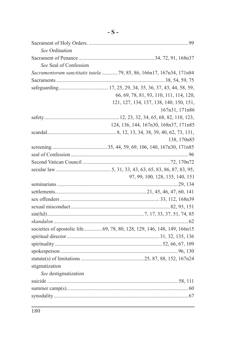| See Ordination         |                                                                         |
|------------------------|-------------------------------------------------------------------------|
|                        |                                                                         |
| See Seal of Confession |                                                                         |
|                        | Sacramentorum sanctitatis tutela  79, 85, 86, 166n17, 167n34, 171n84    |
|                        |                                                                         |
|                        |                                                                         |
|                        | 66, 69, 78, 81, 93, 110, 111, 114, 120,                                 |
|                        | 121, 127, 134, 137, 138, 140, 150, 151,                                 |
|                        | 167n31, 171n86                                                          |
|                        |                                                                         |
|                        | 124, 136, 144, 167n30, 168n37, 171n85                                   |
|                        |                                                                         |
|                        | 138, 170n85                                                             |
|                        |                                                                         |
|                        |                                                                         |
|                        |                                                                         |
|                        |                                                                         |
|                        | 97, 99, 100, 128, 135, 140, 151                                         |
|                        |                                                                         |
|                        |                                                                         |
|                        |                                                                         |
|                        |                                                                         |
|                        |                                                                         |
|                        |                                                                         |
|                        | societies of apostolic life 69, 78, 80, 128, 129, 146, 148, 149, 166n15 |
|                        |                                                                         |
|                        |                                                                         |
|                        |                                                                         |
|                        |                                                                         |
| stigmatization         |                                                                         |
| See destigmatization   |                                                                         |
|                        |                                                                         |
|                        |                                                                         |
|                        |                                                                         |
|                        |                                                                         |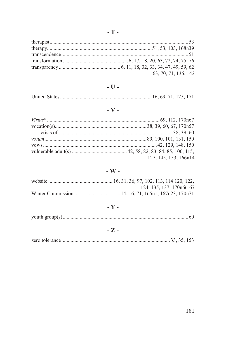| 63, 70, 71, 136, 142 |
|----------------------|

#### $\sim$  U  $\sim$

|--|

# $\sim$  V  $\sim$

| 127, 145, 153, 166n14 |
|-----------------------|

#### $-$  W  $-$

| 124, 135, 137, 170n66-67 |
|--------------------------|
|                          |

## -  $\mathbf{Y}$  -

|--|--|

#### $-Z -$

|--|--|--|--|--|--|--|